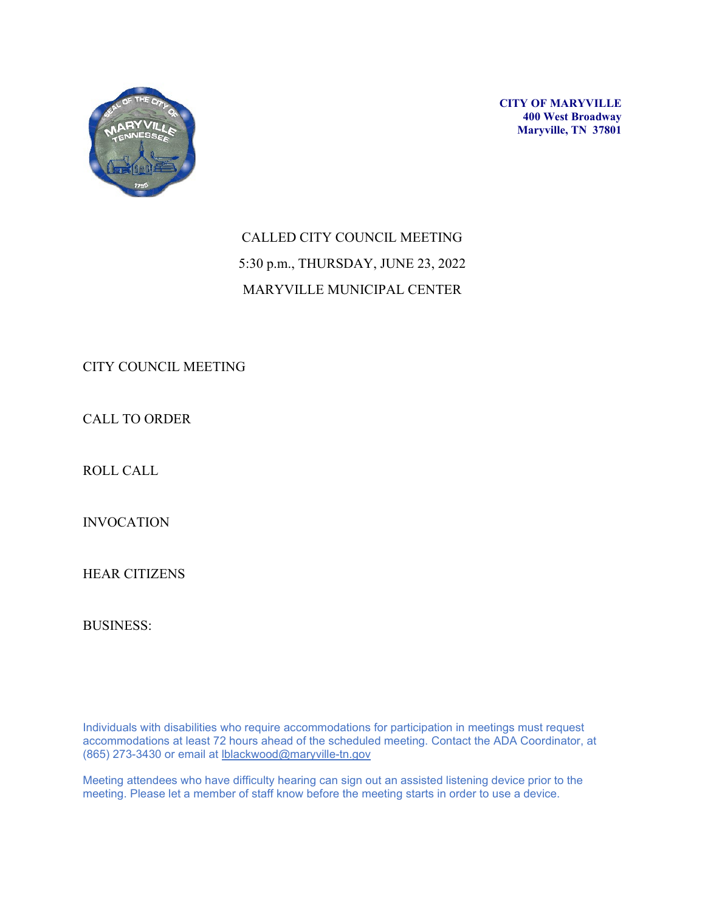

**CITY OF MARYVILLE 400 West Broadway Maryville, TN 37801**

# CALLED CITY COUNCIL MEETING 5:30 p.m., THURSDAY, JUNE 23, 2022 MARYVILLE MUNICIPAL CENTER

CITY COUNCIL MEETING

CALL TO ORDER

ROLL CALL

INVOCATION

HEAR CITIZENS

BUSINESS:

Individuals with disabilities who require accommodations for participation in meetings must request accommodations at least 72 hours ahead of the scheduled meeting. Contact the ADA Coordinator, at (865) 273-3430 or email at [lblackwood@maryville-tn.gov](mailto:lblackwood@maryville-tn.gov)

Meeting attendees who have difficulty hearing can sign out an assisted listening device prior to the meeting. Please let a member of staff know before the meeting starts in order to use a device.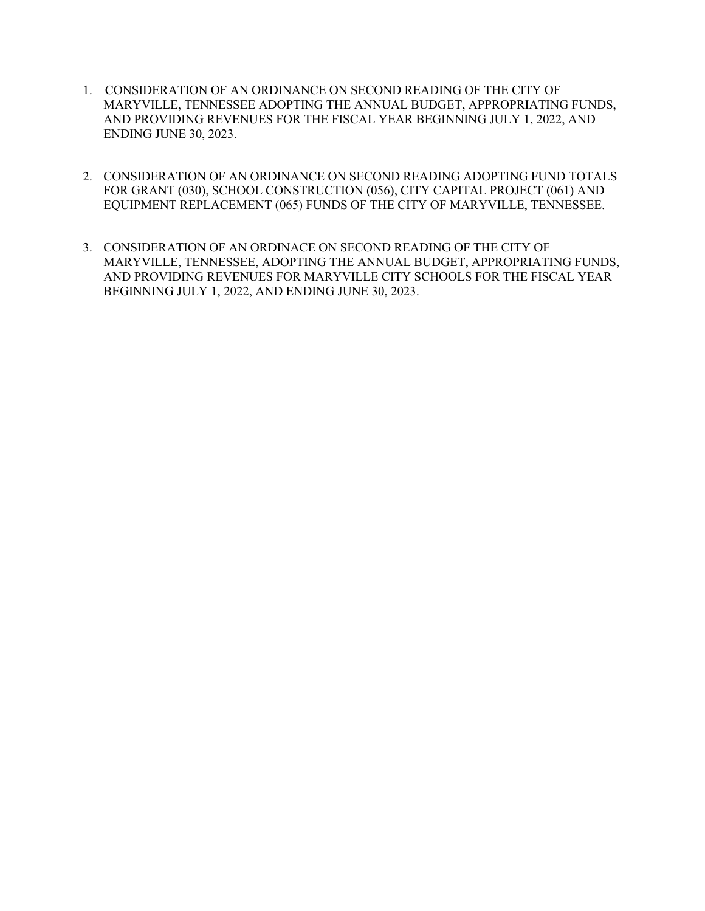- 1. CONSIDERATION OF AN ORDINANCE ON SECOND READING OF THE CITY OF MARYVILLE, TENNESSEE ADOPTING THE ANNUAL BUDGET, APPROPRIATING FUNDS, AND PROVIDING REVENUES FOR THE FISCAL YEAR BEGINNING JULY 1, 2022, AND ENDING JUNE 30, 2023.
- 2. CONSIDERATION OF AN ORDINANCE ON SECOND READING ADOPTING FUND TOTALS FOR GRANT (030), SCHOOL CONSTRUCTION (056), CITY CAPITAL PROJECT (061) AND EQUIPMENT REPLACEMENT (065) FUNDS OF THE CITY OF MARYVILLE, TENNESSEE.
- 3. CONSIDERATION OF AN ORDINACE ON SECOND READING OF THE CITY OF MARYVILLE, TENNESSEE, ADOPTING THE ANNUAL BUDGET, APPROPRIATING FUNDS, AND PROVIDING REVENUES FOR MARYVILLE CITY SCHOOLS FOR THE FISCAL YEAR BEGINNING JULY 1, 2022, AND ENDING JUNE 30, 2023.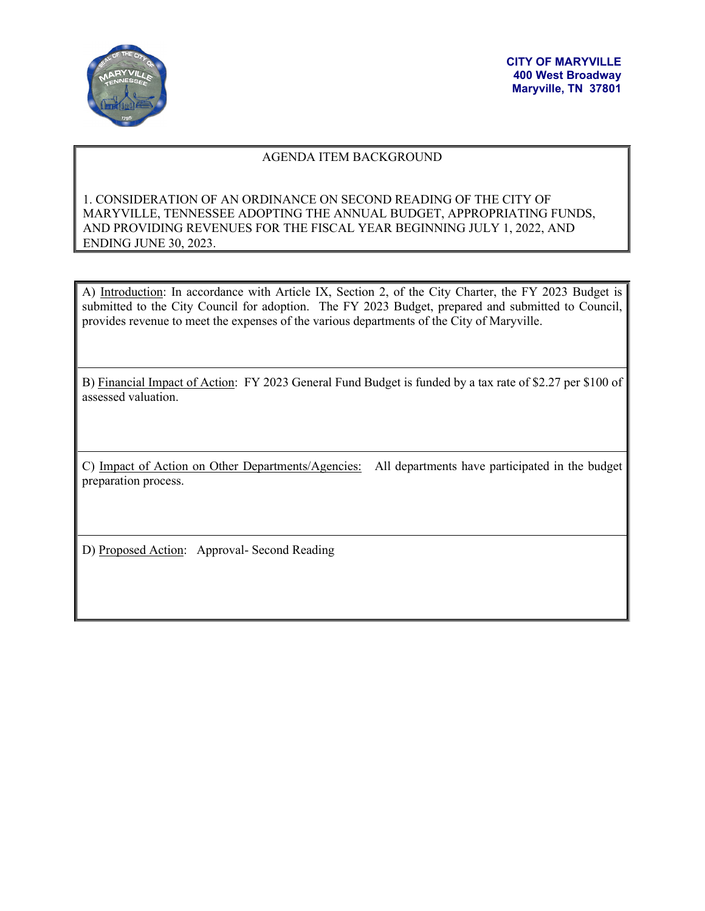

# AGENDA ITEM BACKGROUND

# 1. CONSIDERATION OF AN ORDINANCE ON SECOND READING OF THE CITY OF MARYVILLE, TENNESSEE ADOPTING THE ANNUAL BUDGET, APPROPRIATING FUNDS, AND PROVIDING REVENUES FOR THE FISCAL YEAR BEGINNING JULY 1, 2022, AND ENDING JUNE 30, 2023.

A) Introduction: In accordance with Article IX, Section 2, of the City Charter, the FY 2023 Budget is submitted to the City Council for adoption. The FY 2023 Budget, prepared and submitted to Council, provides revenue to meet the expenses of the various departments of the City of Maryville.

B) Financial Impact of Action: FY 2023 General Fund Budget is funded by a tax rate of \$2.27 per \$100 of assessed valuation.

C) Impact of Action on Other Departments/Agencies: All departments have participated in the budget preparation process.

D) Proposed Action: Approval- Second Reading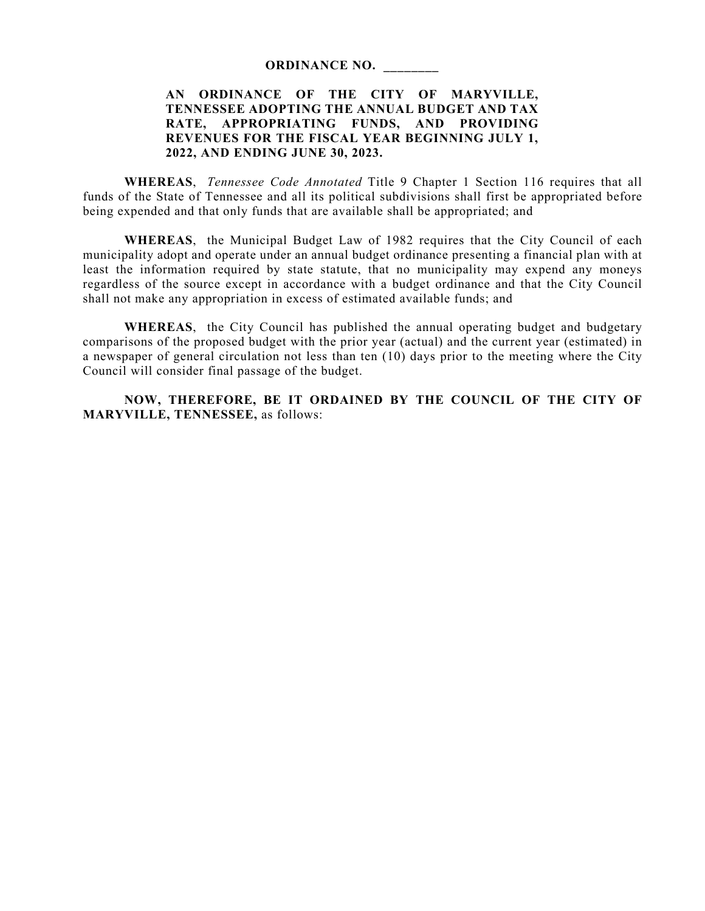#### **ORDINANCE NO. \_\_\_\_\_\_\_\_**

# **AN ORDINANCE OF THE CITY OF MARYVILLE, TENNESSEE ADOPTING THE ANNUAL BUDGET AND TAX RATE, APPROPRIATING FUNDS, AND PROVIDING REVENUES FOR THE FISCAL YEAR BEGINNING JULY 1, 2022, AND ENDING JUNE 30, 2023.**

**WHEREAS**, *Tennessee Code Annotated* Title 9 Chapter 1 Section 116 requires that all funds of the State of Tennessee and all its political subdivisions shall first be appropriated before being expended and that only funds that are available shall be appropriated; and

**WHEREAS**, the Municipal Budget Law of 1982 requires that the City Council of each municipality adopt and operate under an annual budget ordinance presenting a financial plan with at least the information required by state statute, that no municipality may expend any moneys regardless of the source except in accordance with a budget ordinance and that the City Council shall not make any appropriation in excess of estimated available funds; and

**WHEREAS**, the City Council has published the annual operating budget and budgetary comparisons of the proposed budget with the prior year (actual) and the current year (estimated) in a newspaper of general circulation not less than ten (10) days prior to the meeting where the City Council will consider final passage of the budget.

**NOW, THEREFORE, BE IT ORDAINED BY THE COUNCIL OF THE CITY OF MARYVILLE, TENNESSEE,** as follows: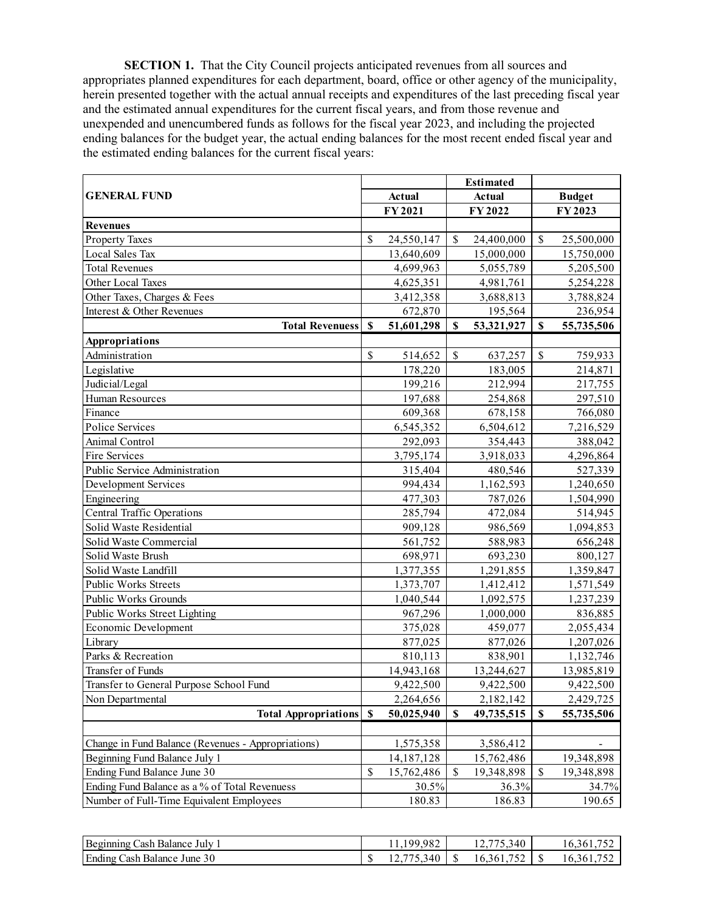**SECTION 1.** That the City Council projects anticipated revenues from all sources and appropriates planned expenditures for each department, board, office or other agency of the municipality, herein presented together with the actual annual receipts and expenditures of the last preceding fiscal year and the estimated annual expenditures for the current fiscal years, and from those revenue and unexpended and unencumbered funds as follows for the fiscal year 2023, and including the projected ending balances for the budget year, the actual ending balances for the most recent ended fiscal year and the estimated ending balances for the current fiscal years:

| <b>GENERAL FUND</b><br><b>Actual</b><br><b>Budget</b><br><b>Actual</b><br>FY 2021<br>FY 2022<br>FY2023<br><b>Revenues</b><br>\$<br>$\mathbb{S}$<br><b>Property Taxes</b><br>24,550,147<br>\$<br>25,500,000<br>24,400,000<br>Local Sales Tax<br>13,640,609<br>15,000,000<br>15,750,000<br><b>Total Revenues</b><br>4,699,963<br>5,055,789<br>5,205,500<br>Other Local Taxes<br>4,625,351<br>4,981,761<br>5,254,228<br>Other Taxes, Charges & Fees<br>3,412,358<br>3,688,813<br>3,788,824<br>Interest & Other Revenues<br>672,870<br>195,564<br>236,954<br>$\mathbf S$<br><b>Total Revenuess</b><br>\$<br>51,601,298<br>S<br>53,321,927<br>55,735,506<br>Appropriations<br>$\mathbb S$<br>$\mathbb S$<br>$\mathbb{S}$<br>Administration<br>514,652<br>637,257<br>759,933<br>Legislative<br>178,220<br>183,005<br>214,871<br>Judicial/Legal<br>199,216<br>212,994<br>217,755<br>Human Resources<br>197,688<br>254,868<br>297,510<br>Finance<br>609,368<br>678,158<br>766,080<br>Police Services<br>6,545,352<br>6,504,612<br>7,216,529<br>Animal Control<br>292,093<br>354,443<br>388,042<br>Fire Services<br>3,795,174<br>3,918,033<br>4,296,864<br>Public Service Administration<br>315,404<br>480,546<br>527,339<br>994,434<br>1,162,593<br>1,240,650<br>Development Services<br>477,303<br>787,026<br>Engineering<br>1,504,990<br><b>Central Traffic Operations</b><br>285,794<br>472,084<br>514,945<br>Solid Waste Residential<br>909,128<br>986,569<br>1,094,853<br>Solid Waste Commercial<br>561,752<br>656,248<br>588,983<br>Solid Waste Brush<br>698,971<br>693,230<br>800,127<br>Solid Waste Landfill<br>1,377,355<br>1,291,855<br>1,359,847<br>Public Works Streets<br>1,373,707<br>1,412,412<br>1,571,549<br>Public Works Grounds<br>1,040,544<br>1,092,575<br>1,237,239<br>Public Works Street Lighting<br>967,296<br>1,000,000<br>836,885<br>Economic Development<br>375,028<br>459,077<br>2,055,434<br>Library<br>877,025<br>877,026<br>1,207,026<br>Parks & Recreation<br>810,113<br>838,901<br>1,132,746<br>Transfer of Funds<br>14,943,168<br>13,244,627<br>13,985,819<br>9,422,500<br>9,422,500<br>9,422,500<br>Transfer to General Purpose School Fund<br>2,264,656<br>2,182,142<br>Non Departmental<br>2,429,725<br>\$<br>$\boldsymbol{\mathsf{S}}$<br><b>Total Appropriations</b><br>$\boldsymbol{\mathsf{S}}$<br>50,025,940<br>49,735,515<br>55,735,506<br>Change in Fund Balance (Revenues - Appropriations)<br>3,586,412<br>1,575,358<br>Beginning Fund Balance July 1<br>19,348,898<br>14,187,128<br>15,762,486<br>Ending Fund Balance June 30<br>\$<br>\$<br>\$<br>15,762,486<br>19,348,898<br>19,348,898<br>Ending Fund Balance as a % of Total Revenuess<br>30.5%<br>36.3%<br>34.7%<br>Number of Full-Time Equivalent Employees<br>180.83<br>186.83<br>190.65 |  |  | <b>Estimated</b> |  |
|-----------------------------------------------------------------------------------------------------------------------------------------------------------------------------------------------------------------------------------------------------------------------------------------------------------------------------------------------------------------------------------------------------------------------------------------------------------------------------------------------------------------------------------------------------------------------------------------------------------------------------------------------------------------------------------------------------------------------------------------------------------------------------------------------------------------------------------------------------------------------------------------------------------------------------------------------------------------------------------------------------------------------------------------------------------------------------------------------------------------------------------------------------------------------------------------------------------------------------------------------------------------------------------------------------------------------------------------------------------------------------------------------------------------------------------------------------------------------------------------------------------------------------------------------------------------------------------------------------------------------------------------------------------------------------------------------------------------------------------------------------------------------------------------------------------------------------------------------------------------------------------------------------------------------------------------------------------------------------------------------------------------------------------------------------------------------------------------------------------------------------------------------------------------------------------------------------------------------------------------------------------------------------------------------------------------------------------------------------------------------------------------------------------------------------------------------------------------------------------------------------------------------------------------------------------------------------------------------------------------------------------------------------------------------------------------------------------------------------------------------------------------------------------------|--|--|------------------|--|
|                                                                                                                                                                                                                                                                                                                                                                                                                                                                                                                                                                                                                                                                                                                                                                                                                                                                                                                                                                                                                                                                                                                                                                                                                                                                                                                                                                                                                                                                                                                                                                                                                                                                                                                                                                                                                                                                                                                                                                                                                                                                                                                                                                                                                                                                                                                                                                                                                                                                                                                                                                                                                                                                                                                                                                                         |  |  |                  |  |
|                                                                                                                                                                                                                                                                                                                                                                                                                                                                                                                                                                                                                                                                                                                                                                                                                                                                                                                                                                                                                                                                                                                                                                                                                                                                                                                                                                                                                                                                                                                                                                                                                                                                                                                                                                                                                                                                                                                                                                                                                                                                                                                                                                                                                                                                                                                                                                                                                                                                                                                                                                                                                                                                                                                                                                                         |  |  |                  |  |
|                                                                                                                                                                                                                                                                                                                                                                                                                                                                                                                                                                                                                                                                                                                                                                                                                                                                                                                                                                                                                                                                                                                                                                                                                                                                                                                                                                                                                                                                                                                                                                                                                                                                                                                                                                                                                                                                                                                                                                                                                                                                                                                                                                                                                                                                                                                                                                                                                                                                                                                                                                                                                                                                                                                                                                                         |  |  |                  |  |
|                                                                                                                                                                                                                                                                                                                                                                                                                                                                                                                                                                                                                                                                                                                                                                                                                                                                                                                                                                                                                                                                                                                                                                                                                                                                                                                                                                                                                                                                                                                                                                                                                                                                                                                                                                                                                                                                                                                                                                                                                                                                                                                                                                                                                                                                                                                                                                                                                                                                                                                                                                                                                                                                                                                                                                                         |  |  |                  |  |
|                                                                                                                                                                                                                                                                                                                                                                                                                                                                                                                                                                                                                                                                                                                                                                                                                                                                                                                                                                                                                                                                                                                                                                                                                                                                                                                                                                                                                                                                                                                                                                                                                                                                                                                                                                                                                                                                                                                                                                                                                                                                                                                                                                                                                                                                                                                                                                                                                                                                                                                                                                                                                                                                                                                                                                                         |  |  |                  |  |
|                                                                                                                                                                                                                                                                                                                                                                                                                                                                                                                                                                                                                                                                                                                                                                                                                                                                                                                                                                                                                                                                                                                                                                                                                                                                                                                                                                                                                                                                                                                                                                                                                                                                                                                                                                                                                                                                                                                                                                                                                                                                                                                                                                                                                                                                                                                                                                                                                                                                                                                                                                                                                                                                                                                                                                                         |  |  |                  |  |
|                                                                                                                                                                                                                                                                                                                                                                                                                                                                                                                                                                                                                                                                                                                                                                                                                                                                                                                                                                                                                                                                                                                                                                                                                                                                                                                                                                                                                                                                                                                                                                                                                                                                                                                                                                                                                                                                                                                                                                                                                                                                                                                                                                                                                                                                                                                                                                                                                                                                                                                                                                                                                                                                                                                                                                                         |  |  |                  |  |
|                                                                                                                                                                                                                                                                                                                                                                                                                                                                                                                                                                                                                                                                                                                                                                                                                                                                                                                                                                                                                                                                                                                                                                                                                                                                                                                                                                                                                                                                                                                                                                                                                                                                                                                                                                                                                                                                                                                                                                                                                                                                                                                                                                                                                                                                                                                                                                                                                                                                                                                                                                                                                                                                                                                                                                                         |  |  |                  |  |
|                                                                                                                                                                                                                                                                                                                                                                                                                                                                                                                                                                                                                                                                                                                                                                                                                                                                                                                                                                                                                                                                                                                                                                                                                                                                                                                                                                                                                                                                                                                                                                                                                                                                                                                                                                                                                                                                                                                                                                                                                                                                                                                                                                                                                                                                                                                                                                                                                                                                                                                                                                                                                                                                                                                                                                                         |  |  |                  |  |
|                                                                                                                                                                                                                                                                                                                                                                                                                                                                                                                                                                                                                                                                                                                                                                                                                                                                                                                                                                                                                                                                                                                                                                                                                                                                                                                                                                                                                                                                                                                                                                                                                                                                                                                                                                                                                                                                                                                                                                                                                                                                                                                                                                                                                                                                                                                                                                                                                                                                                                                                                                                                                                                                                                                                                                                         |  |  |                  |  |
|                                                                                                                                                                                                                                                                                                                                                                                                                                                                                                                                                                                                                                                                                                                                                                                                                                                                                                                                                                                                                                                                                                                                                                                                                                                                                                                                                                                                                                                                                                                                                                                                                                                                                                                                                                                                                                                                                                                                                                                                                                                                                                                                                                                                                                                                                                                                                                                                                                                                                                                                                                                                                                                                                                                                                                                         |  |  |                  |  |
|                                                                                                                                                                                                                                                                                                                                                                                                                                                                                                                                                                                                                                                                                                                                                                                                                                                                                                                                                                                                                                                                                                                                                                                                                                                                                                                                                                                                                                                                                                                                                                                                                                                                                                                                                                                                                                                                                                                                                                                                                                                                                                                                                                                                                                                                                                                                                                                                                                                                                                                                                                                                                                                                                                                                                                                         |  |  |                  |  |
|                                                                                                                                                                                                                                                                                                                                                                                                                                                                                                                                                                                                                                                                                                                                                                                                                                                                                                                                                                                                                                                                                                                                                                                                                                                                                                                                                                                                                                                                                                                                                                                                                                                                                                                                                                                                                                                                                                                                                                                                                                                                                                                                                                                                                                                                                                                                                                                                                                                                                                                                                                                                                                                                                                                                                                                         |  |  |                  |  |
|                                                                                                                                                                                                                                                                                                                                                                                                                                                                                                                                                                                                                                                                                                                                                                                                                                                                                                                                                                                                                                                                                                                                                                                                                                                                                                                                                                                                                                                                                                                                                                                                                                                                                                                                                                                                                                                                                                                                                                                                                                                                                                                                                                                                                                                                                                                                                                                                                                                                                                                                                                                                                                                                                                                                                                                         |  |  |                  |  |
|                                                                                                                                                                                                                                                                                                                                                                                                                                                                                                                                                                                                                                                                                                                                                                                                                                                                                                                                                                                                                                                                                                                                                                                                                                                                                                                                                                                                                                                                                                                                                                                                                                                                                                                                                                                                                                                                                                                                                                                                                                                                                                                                                                                                                                                                                                                                                                                                                                                                                                                                                                                                                                                                                                                                                                                         |  |  |                  |  |
|                                                                                                                                                                                                                                                                                                                                                                                                                                                                                                                                                                                                                                                                                                                                                                                                                                                                                                                                                                                                                                                                                                                                                                                                                                                                                                                                                                                                                                                                                                                                                                                                                                                                                                                                                                                                                                                                                                                                                                                                                                                                                                                                                                                                                                                                                                                                                                                                                                                                                                                                                                                                                                                                                                                                                                                         |  |  |                  |  |
|                                                                                                                                                                                                                                                                                                                                                                                                                                                                                                                                                                                                                                                                                                                                                                                                                                                                                                                                                                                                                                                                                                                                                                                                                                                                                                                                                                                                                                                                                                                                                                                                                                                                                                                                                                                                                                                                                                                                                                                                                                                                                                                                                                                                                                                                                                                                                                                                                                                                                                                                                                                                                                                                                                                                                                                         |  |  |                  |  |
|                                                                                                                                                                                                                                                                                                                                                                                                                                                                                                                                                                                                                                                                                                                                                                                                                                                                                                                                                                                                                                                                                                                                                                                                                                                                                                                                                                                                                                                                                                                                                                                                                                                                                                                                                                                                                                                                                                                                                                                                                                                                                                                                                                                                                                                                                                                                                                                                                                                                                                                                                                                                                                                                                                                                                                                         |  |  |                  |  |
|                                                                                                                                                                                                                                                                                                                                                                                                                                                                                                                                                                                                                                                                                                                                                                                                                                                                                                                                                                                                                                                                                                                                                                                                                                                                                                                                                                                                                                                                                                                                                                                                                                                                                                                                                                                                                                                                                                                                                                                                                                                                                                                                                                                                                                                                                                                                                                                                                                                                                                                                                                                                                                                                                                                                                                                         |  |  |                  |  |
|                                                                                                                                                                                                                                                                                                                                                                                                                                                                                                                                                                                                                                                                                                                                                                                                                                                                                                                                                                                                                                                                                                                                                                                                                                                                                                                                                                                                                                                                                                                                                                                                                                                                                                                                                                                                                                                                                                                                                                                                                                                                                                                                                                                                                                                                                                                                                                                                                                                                                                                                                                                                                                                                                                                                                                                         |  |  |                  |  |
|                                                                                                                                                                                                                                                                                                                                                                                                                                                                                                                                                                                                                                                                                                                                                                                                                                                                                                                                                                                                                                                                                                                                                                                                                                                                                                                                                                                                                                                                                                                                                                                                                                                                                                                                                                                                                                                                                                                                                                                                                                                                                                                                                                                                                                                                                                                                                                                                                                                                                                                                                                                                                                                                                                                                                                                         |  |  |                  |  |
|                                                                                                                                                                                                                                                                                                                                                                                                                                                                                                                                                                                                                                                                                                                                                                                                                                                                                                                                                                                                                                                                                                                                                                                                                                                                                                                                                                                                                                                                                                                                                                                                                                                                                                                                                                                                                                                                                                                                                                                                                                                                                                                                                                                                                                                                                                                                                                                                                                                                                                                                                                                                                                                                                                                                                                                         |  |  |                  |  |
|                                                                                                                                                                                                                                                                                                                                                                                                                                                                                                                                                                                                                                                                                                                                                                                                                                                                                                                                                                                                                                                                                                                                                                                                                                                                                                                                                                                                                                                                                                                                                                                                                                                                                                                                                                                                                                                                                                                                                                                                                                                                                                                                                                                                                                                                                                                                                                                                                                                                                                                                                                                                                                                                                                                                                                                         |  |  |                  |  |
|                                                                                                                                                                                                                                                                                                                                                                                                                                                                                                                                                                                                                                                                                                                                                                                                                                                                                                                                                                                                                                                                                                                                                                                                                                                                                                                                                                                                                                                                                                                                                                                                                                                                                                                                                                                                                                                                                                                                                                                                                                                                                                                                                                                                                                                                                                                                                                                                                                                                                                                                                                                                                                                                                                                                                                                         |  |  |                  |  |
|                                                                                                                                                                                                                                                                                                                                                                                                                                                                                                                                                                                                                                                                                                                                                                                                                                                                                                                                                                                                                                                                                                                                                                                                                                                                                                                                                                                                                                                                                                                                                                                                                                                                                                                                                                                                                                                                                                                                                                                                                                                                                                                                                                                                                                                                                                                                                                                                                                                                                                                                                                                                                                                                                                                                                                                         |  |  |                  |  |
|                                                                                                                                                                                                                                                                                                                                                                                                                                                                                                                                                                                                                                                                                                                                                                                                                                                                                                                                                                                                                                                                                                                                                                                                                                                                                                                                                                                                                                                                                                                                                                                                                                                                                                                                                                                                                                                                                                                                                                                                                                                                                                                                                                                                                                                                                                                                                                                                                                                                                                                                                                                                                                                                                                                                                                                         |  |  |                  |  |
|                                                                                                                                                                                                                                                                                                                                                                                                                                                                                                                                                                                                                                                                                                                                                                                                                                                                                                                                                                                                                                                                                                                                                                                                                                                                                                                                                                                                                                                                                                                                                                                                                                                                                                                                                                                                                                                                                                                                                                                                                                                                                                                                                                                                                                                                                                                                                                                                                                                                                                                                                                                                                                                                                                                                                                                         |  |  |                  |  |
|                                                                                                                                                                                                                                                                                                                                                                                                                                                                                                                                                                                                                                                                                                                                                                                                                                                                                                                                                                                                                                                                                                                                                                                                                                                                                                                                                                                                                                                                                                                                                                                                                                                                                                                                                                                                                                                                                                                                                                                                                                                                                                                                                                                                                                                                                                                                                                                                                                                                                                                                                                                                                                                                                                                                                                                         |  |  |                  |  |
|                                                                                                                                                                                                                                                                                                                                                                                                                                                                                                                                                                                                                                                                                                                                                                                                                                                                                                                                                                                                                                                                                                                                                                                                                                                                                                                                                                                                                                                                                                                                                                                                                                                                                                                                                                                                                                                                                                                                                                                                                                                                                                                                                                                                                                                                                                                                                                                                                                                                                                                                                                                                                                                                                                                                                                                         |  |  |                  |  |
|                                                                                                                                                                                                                                                                                                                                                                                                                                                                                                                                                                                                                                                                                                                                                                                                                                                                                                                                                                                                                                                                                                                                                                                                                                                                                                                                                                                                                                                                                                                                                                                                                                                                                                                                                                                                                                                                                                                                                                                                                                                                                                                                                                                                                                                                                                                                                                                                                                                                                                                                                                                                                                                                                                                                                                                         |  |  |                  |  |
|                                                                                                                                                                                                                                                                                                                                                                                                                                                                                                                                                                                                                                                                                                                                                                                                                                                                                                                                                                                                                                                                                                                                                                                                                                                                                                                                                                                                                                                                                                                                                                                                                                                                                                                                                                                                                                                                                                                                                                                                                                                                                                                                                                                                                                                                                                                                                                                                                                                                                                                                                                                                                                                                                                                                                                                         |  |  |                  |  |
|                                                                                                                                                                                                                                                                                                                                                                                                                                                                                                                                                                                                                                                                                                                                                                                                                                                                                                                                                                                                                                                                                                                                                                                                                                                                                                                                                                                                                                                                                                                                                                                                                                                                                                                                                                                                                                                                                                                                                                                                                                                                                                                                                                                                                                                                                                                                                                                                                                                                                                                                                                                                                                                                                                                                                                                         |  |  |                  |  |
|                                                                                                                                                                                                                                                                                                                                                                                                                                                                                                                                                                                                                                                                                                                                                                                                                                                                                                                                                                                                                                                                                                                                                                                                                                                                                                                                                                                                                                                                                                                                                                                                                                                                                                                                                                                                                                                                                                                                                                                                                                                                                                                                                                                                                                                                                                                                                                                                                                                                                                                                                                                                                                                                                                                                                                                         |  |  |                  |  |
|                                                                                                                                                                                                                                                                                                                                                                                                                                                                                                                                                                                                                                                                                                                                                                                                                                                                                                                                                                                                                                                                                                                                                                                                                                                                                                                                                                                                                                                                                                                                                                                                                                                                                                                                                                                                                                                                                                                                                                                                                                                                                                                                                                                                                                                                                                                                                                                                                                                                                                                                                                                                                                                                                                                                                                                         |  |  |                  |  |
|                                                                                                                                                                                                                                                                                                                                                                                                                                                                                                                                                                                                                                                                                                                                                                                                                                                                                                                                                                                                                                                                                                                                                                                                                                                                                                                                                                                                                                                                                                                                                                                                                                                                                                                                                                                                                                                                                                                                                                                                                                                                                                                                                                                                                                                                                                                                                                                                                                                                                                                                                                                                                                                                                                                                                                                         |  |  |                  |  |
|                                                                                                                                                                                                                                                                                                                                                                                                                                                                                                                                                                                                                                                                                                                                                                                                                                                                                                                                                                                                                                                                                                                                                                                                                                                                                                                                                                                                                                                                                                                                                                                                                                                                                                                                                                                                                                                                                                                                                                                                                                                                                                                                                                                                                                                                                                                                                                                                                                                                                                                                                                                                                                                                                                                                                                                         |  |  |                  |  |
|                                                                                                                                                                                                                                                                                                                                                                                                                                                                                                                                                                                                                                                                                                                                                                                                                                                                                                                                                                                                                                                                                                                                                                                                                                                                                                                                                                                                                                                                                                                                                                                                                                                                                                                                                                                                                                                                                                                                                                                                                                                                                                                                                                                                                                                                                                                                                                                                                                                                                                                                                                                                                                                                                                                                                                                         |  |  |                  |  |
|                                                                                                                                                                                                                                                                                                                                                                                                                                                                                                                                                                                                                                                                                                                                                                                                                                                                                                                                                                                                                                                                                                                                                                                                                                                                                                                                                                                                                                                                                                                                                                                                                                                                                                                                                                                                                                                                                                                                                                                                                                                                                                                                                                                                                                                                                                                                                                                                                                                                                                                                                                                                                                                                                                                                                                                         |  |  |                  |  |
|                                                                                                                                                                                                                                                                                                                                                                                                                                                                                                                                                                                                                                                                                                                                                                                                                                                                                                                                                                                                                                                                                                                                                                                                                                                                                                                                                                                                                                                                                                                                                                                                                                                                                                                                                                                                                                                                                                                                                                                                                                                                                                                                                                                                                                                                                                                                                                                                                                                                                                                                                                                                                                                                                                                                                                                         |  |  |                  |  |
|                                                                                                                                                                                                                                                                                                                                                                                                                                                                                                                                                                                                                                                                                                                                                                                                                                                                                                                                                                                                                                                                                                                                                                                                                                                                                                                                                                                                                                                                                                                                                                                                                                                                                                                                                                                                                                                                                                                                                                                                                                                                                                                                                                                                                                                                                                                                                                                                                                                                                                                                                                                                                                                                                                                                                                                         |  |  |                  |  |
|                                                                                                                                                                                                                                                                                                                                                                                                                                                                                                                                                                                                                                                                                                                                                                                                                                                                                                                                                                                                                                                                                                                                                                                                                                                                                                                                                                                                                                                                                                                                                                                                                                                                                                                                                                                                                                                                                                                                                                                                                                                                                                                                                                                                                                                                                                                                                                                                                                                                                                                                                                                                                                                                                                                                                                                         |  |  |                  |  |
|                                                                                                                                                                                                                                                                                                                                                                                                                                                                                                                                                                                                                                                                                                                                                                                                                                                                                                                                                                                                                                                                                                                                                                                                                                                                                                                                                                                                                                                                                                                                                                                                                                                                                                                                                                                                                                                                                                                                                                                                                                                                                                                                                                                                                                                                                                                                                                                                                                                                                                                                                                                                                                                                                                                                                                                         |  |  |                  |  |
|                                                                                                                                                                                                                                                                                                                                                                                                                                                                                                                                                                                                                                                                                                                                                                                                                                                                                                                                                                                                                                                                                                                                                                                                                                                                                                                                                                                                                                                                                                                                                                                                                                                                                                                                                                                                                                                                                                                                                                                                                                                                                                                                                                                                                                                                                                                                                                                                                                                                                                                                                                                                                                                                                                                                                                                         |  |  |                  |  |

| Beginning<br>July<br>'ach<br>Balance      |      | 000<br>.                 | 340<br>$\overline{1}$<br>ر… |      | in.<br>10.5 |
|-------------------------------------------|------|--------------------------|-----------------------------|------|-------------|
| Ending<br>`ach<br>June<br>Balance<br>.3 U | - 11 | $\sqrt{2}$<br>ن 11،<br>. | -                           | -114 | in.<br>0.1  |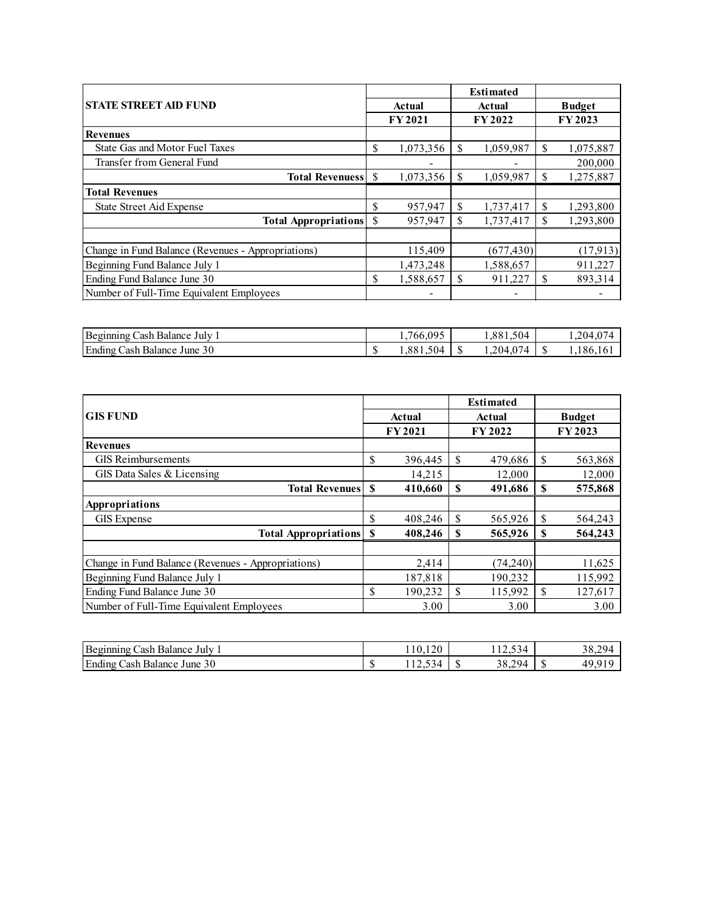|                                                    |        |               |     | <b>Estimated</b> |               |           |
|----------------------------------------------------|--------|---------------|-----|------------------|---------------|-----------|
| <b>STATE STREET AID FUND</b>                       | Actual |               |     | <b>Actual</b>    | <b>Budget</b> |           |
|                                                    |        | <b>FY2021</b> |     | FY 2022          |               | FY 2023   |
| <b>Revenues</b>                                    |        |               |     |                  |               |           |
| State Gas and Motor Fuel Taxes                     | \$     | 1,073,356     | \$  | 1,059,987        | \$            | 1,075,887 |
| Transfer from General Fund                         |        |               |     |                  |               | 200,000   |
| <b>Total Revenuess</b> S                           |        | 1,073,356     | \$  | 1,059,987        | \$            | 1,275,887 |
| <b>Total Revenues</b>                              |        |               |     |                  |               |           |
| State Street Aid Expense                           | \$     | 957,947       | \$  | 1,737,417        | \$            | 1,293,800 |
| <b>Total Appropriations</b> S                      |        | 957.947       | \$. | 1,737,417        | \$            | 1,293,800 |
|                                                    |        |               |     |                  |               |           |
| Change in Fund Balance (Revenues - Appropriations) |        | 115,409       |     | (677, 430)       |               | (17,913)  |
| Beginning Fund Balance July 1                      |        | 1,473,248     |     | 1,588,657        |               | 911,227   |
| Ending Fund Balance June 30                        | \$     | 1,588,657     | \$  | 911,227          | \$            | 893,314   |
| Number of Full-Time Equivalent Employees           |        | -             |     |                  |               |           |

| Beginning<br>July<br>Balance<br>∴ash |           | 09 <sup>5</sup><br>766.0 |    | 504<br>001<br>1,001,<br>◡ |     | 204<br>$\sim$ |
|--------------------------------------|-----------|--------------------------|----|---------------------------|-----|---------------|
| Ending<br>30<br>Cash Balance<br>June | æ<br>-412 | 504<br>$88^{\degree}$    | кD | 074<br>0.204              | . . | 186,1         |

|                                                    |        |               |    | <b>Estimated</b> |               |         |
|----------------------------------------------------|--------|---------------|----|------------------|---------------|---------|
| <b>GIS FUND</b>                                    | Actual |               |    | Actual           | <b>Budget</b> |         |
|                                                    |        | <b>FY2021</b> |    | <b>FY2022</b>    |               | FY 2023 |
| <b>Revenues</b>                                    |        |               |    |                  |               |         |
| <b>GIS</b> Reimbursements                          | \$     | 396,445       | \$ | 479,686          | \$            | 563,868 |
| GIS Data Sales & Licensing                         |        | 14,215        |    | 12,000           |               | 12,000  |
| <b>Total Revenues</b>                              | S      | 410,660       | \$ | 491,686          | <b>S</b>      | 575,868 |
| Appropriations                                     |        |               |    |                  |               |         |
| <b>GIS</b> Expense                                 | \$     | 408,246       | \$ | 565,926          | \$            | 564,243 |
| <b>Total Appropriations</b>                        | S      | 408,246       | S  | 565,926          | \$            | 564,243 |
|                                                    |        |               |    |                  |               |         |
| Change in Fund Balance (Revenues - Appropriations) |        | 2,414         |    | (74,240)         |               | 11,625  |
| Beginning Fund Balance July 1                      |        | 187,818       |    | 190,232          |               | 115,992 |
| Ending Fund Balance June 30                        | \$     | 190,232       | \$ | 115,992          | S             | 127,617 |
| Number of Full-Time Equivalent Employees           |        | 3.00          |    | 3.00             |               | 3.00    |

| Beginning<br>. July<br>ash.<br>Balance              |                    | $\Omega$<br>$\Omega$<br>.v.120       | $\sim$<br>$\sim$<br>$\sim$ $\sim$<br>ر ر. ۱ | າດ<br>20 <sub>4</sub><br>$30.2^{\circ}$ |
|-----------------------------------------------------|--------------------|--------------------------------------|---------------------------------------------|-----------------------------------------|
| Ending<br>30<br><sup>l</sup> une<br>∠ash<br>Balance | $\sqrt{2}$<br>- 11 | $\sim$<br>$\Delta$<br>. . <i>. .</i> | າດ<br>294<br>$30.2^{\circ}$                 | 4 O                                     |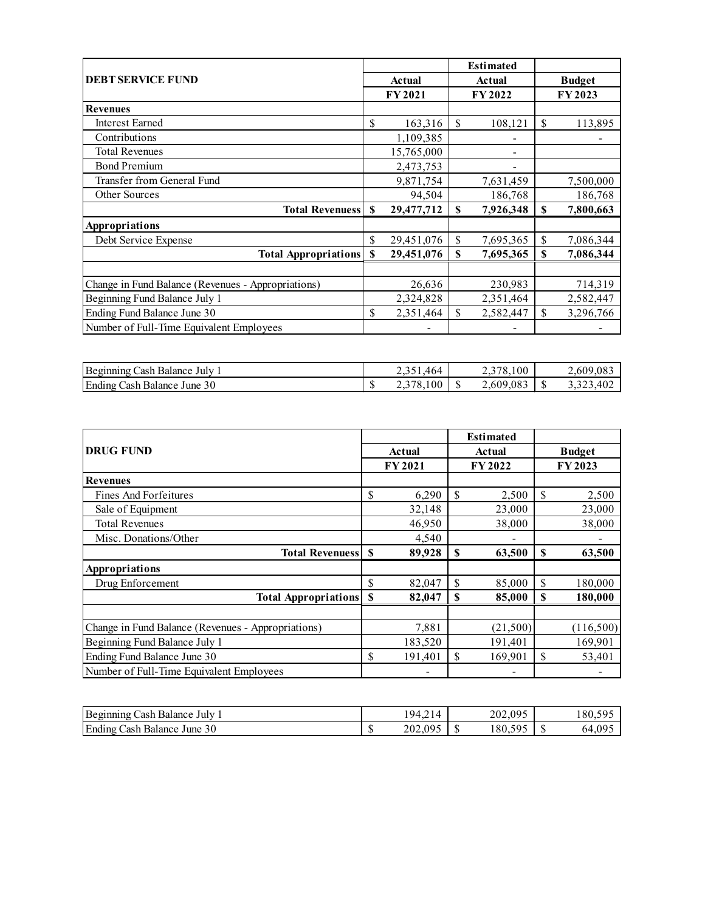|                                                    |    |               | <b>Estimated</b> |               |               |
|----------------------------------------------------|----|---------------|------------------|---------------|---------------|
| <b>DEBT SERVICE FUND</b>                           |    | <b>Actual</b> | <b>Actual</b>    |               | <b>Budget</b> |
|                                                    |    | <b>FY2021</b> | FY 2022          | FY 2023       |               |
| <b>Revenues</b>                                    |    |               |                  |               |               |
| <b>Interest Earned</b>                             | \$ | 163,316       | \$<br>108,121    | $\mathcal{S}$ | 113,895       |
| Contributions                                      |    | 1,109,385     |                  |               |               |
| <b>Total Revenues</b>                              |    | 15,765,000    |                  |               |               |
| <b>Bond Premium</b>                                |    | 2,473,753     |                  |               |               |
| Transfer from General Fund                         |    | 9,871,754     | 7,631,459        |               | 7,500,000     |
| Other Sources                                      |    | 94,504        | 186,768          |               | 186,768       |
| <b>Total Revenuess</b>                             | S  | 29,477,712    | \$<br>7,926,348  | \$            | 7,800,663     |
| Appropriations                                     |    |               |                  |               |               |
| Debt Service Expense                               | \$ | 29,451,076    | \$<br>7,695,365  | \$            | 7,086,344     |
| <b>Total Appropriations</b>                        | S  | 29,451,076    | \$<br>7,695,365  | \$            | 7,086,344     |
|                                                    |    |               |                  |               |               |
| Change in Fund Balance (Revenues - Appropriations) |    | 26,636        | 230,983          |               | 714,319       |
| Beginning Fund Balance July 1                      |    | 2,324,828     | 2,351,464        |               | 2,582,447     |
| Ending Fund Balance June 30                        | \$ | 2,351,464     | \$<br>2,582,447  | \$            | 3,296,766     |
| Number of Full-Time Equivalent Employees           |    |               |                  |               |               |

| Beginning<br>July<br>`ach<br>Balance                  |                    | 464<br><u>_</u> | /8,100<br>ا سومند              |    | $2,609$ $\degree$<br>'প.0১. |
|-------------------------------------------------------|--------------------|-----------------|--------------------------------|----|-----------------------------|
| Ending<br>$\sim$<br>'ach<br>June<br>- Balance<br>. JU | $\sqrt{2}$<br>- 11 | $\sim$<br>100   | $0.08^\circ$<br>$2,60^{\circ}$ | ъD | $\Delta$ 0<br>$-112$        |

|                                                    |          |         | <b>Estimated</b> |               |           |  |
|----------------------------------------------------|----------|---------|------------------|---------------|-----------|--|
| <b>DRUG FUND</b>                                   |          | Actual  | <b>Actual</b>    | <b>Budget</b> |           |  |
|                                                    |          | FY 2021 | FY 2022          |               | FY 2023   |  |
| <b>Revenues</b>                                    |          |         |                  |               |           |  |
| Fines And Forfeitures                              | \$       | 6,290   | \$<br>2,500      | \$            | 2,500     |  |
| Sale of Equipment                                  |          | 32,148  | 23,000           |               | 23,000    |  |
| <b>Total Revenues</b>                              |          | 46,950  | 38,000           |               | 38,000    |  |
| Misc. Donations/Other                              |          | 4,540   |                  |               |           |  |
| <b>Total Revenuess</b>                             | \$       | 89,928  | \$<br>63,500     | \$            | 63,500    |  |
| Appropriations                                     |          |         |                  |               |           |  |
| Drug Enforcement                                   | \$       | 82,047  | \$<br>85,000     | \$            | 180,000   |  |
| <b>Total Appropriations</b>                        | <b>S</b> | 82,047  | \$<br>85,000     | \$            | 180,000   |  |
|                                                    |          |         |                  |               |           |  |
| Change in Fund Balance (Revenues - Appropriations) |          | 7,881   | (21,500)         |               | (116,500) |  |
| Beginning Fund Balance July 1                      |          | 183,520 | 191,401          |               | 169,901   |  |
| Ending Fund Balance June 30                        | \$       | 191,401 | \$<br>169,901    | \$            | 53,401    |  |
| Number of Full-Time Equivalent Employees           |          |         |                  |               |           |  |

| Beginning<br>July<br>'ash<br>Balance    |    | $\sim$ $\sim$<br>$\Omega_{\Delta}$<br>. |     | 202,095      |    | $180.5^{\circ}$<br>$\sim$ |
|-----------------------------------------|----|-----------------------------------------|-----|--------------|----|---------------------------|
| Ending<br>30<br>'ash<br>June<br>Balance | 11 | 095<br>202,0                            | د ۱ | 505<br>180.5 | υЮ | ng<br>64                  |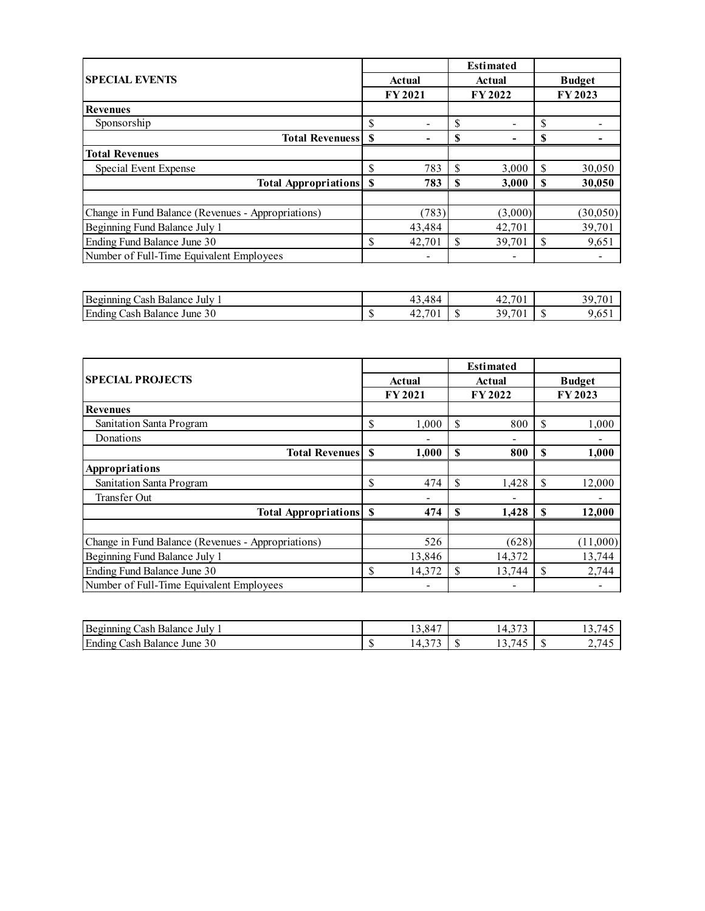|                                                    |               |                          |    | <b>Estimated</b> |         |               |
|----------------------------------------------------|---------------|--------------------------|----|------------------|---------|---------------|
| <b>SPECIAL EVENTS</b>                              |               | Actual                   |    | Actual           |         | <b>Budget</b> |
|                                                    |               | <b>FY2021</b>            |    | <b>FY 2022</b>   | FY 2023 |               |
| <b>Revenues</b>                                    |               |                          |    |                  |         |               |
| Sponsorship                                        | \$            |                          | S  | -                | \$      |               |
| <b>Total Revenuess</b>                             | \$            |                          | \$ |                  | S       |               |
| <b>Total Revenues</b>                              |               |                          |    |                  |         |               |
| Special Event Expense                              | \$            | 783                      | S  | 3,000            | \$      | 30,050        |
| <b>Total Appropriations</b>                        | <sup>\$</sup> | 783                      | \$ | 3,000            | S       | 30,050        |
|                                                    |               |                          |    |                  |         |               |
| Change in Fund Balance (Revenues - Appropriations) |               | (783)                    |    | (3,000)          |         | (30,050)      |
| Beginning Fund Balance July 1                      |               | 43,484                   |    | 42,701           |         | 39,701        |
| Ending Fund Balance June 30                        | \$            | 42,701                   | S  | 39,701           | \$      | 9,651         |
| Number of Full-Time Equivalent Employees           |               | $\overline{\phantom{a}}$ |    | -                |         |               |
|                                                    |               |                          |    |                  |         |               |

| Be<br>-July<br><b>Balance</b><br>- ash<br>1no<br>∼чm               | 1 O<br>$\sim$<br>$\cdot$ .                             | 701<br>$\sim$<br>$\mathbf{r}$ | 39     |
|--------------------------------------------------------------------|--------------------------------------------------------|-------------------------------|--------|
| Ending<br>$\sim$<br>50 <sup>2</sup><br>June<br>`ach<br>ва<br>lance | $\overline{\phantom{a}}$<br>$\sim$<br>$\triangle$<br>. | າ ດ<br>æ<br>יי                | $\sim$ |

|                                                    | <b>Estimated</b> |               |              |         |    |               |
|----------------------------------------------------|------------------|---------------|--------------|---------|----|---------------|
| <b>SPECIAL PROJECTS</b>                            |                  | Actual        |              | Actual  |    | <b>Budget</b> |
|                                                    |                  | <b>FY2021</b> |              | FY 2022 |    | FY 2023       |
| <b>Revenues</b>                                    |                  |               |              |         |    |               |
| Sanitation Santa Program                           | \$               | 1.000         | \$           | 800     | S  | 1.000         |
| Donations                                          |                  |               |              |         |    |               |
| <b>Total Revenues</b>                              | \$               | 1,000         | \$           | 800     | S  | 1,000         |
| Appropriations                                     |                  |               |              |         |    |               |
| Sanitation Santa Program                           | \$               | 474           | \$           | 1,428   | \$ | 12,000        |
| Transfer Out                                       |                  |               |              |         |    |               |
| <b>Total Appropriations</b>                        | -S               | 474           | $\mathbf{s}$ | 1,428   | S  | 12,000        |
|                                                    |                  |               |              |         |    |               |
| Change in Fund Balance (Revenues - Appropriations) |                  | 526           |              | (628)   |    | (11,000)      |
| Beginning Fund Balance July 1                      |                  | 13,846        |              | 14,372  |    | 13,744        |
| Ending Fund Balance June 30                        | \$               | 14.372        | \$           | 13,744  | \$ | 2,744         |
| Number of Full-Time Equivalent Employees           |                  | -             |              |         |    |               |

| Ð<br>∵ack<br>July<br>Balance                                                                                | 847<br>$\sim$<br>1 J 4 U             | $\sim$ $\sim$ $\sim$<br>.                                                  | ຳ<br>.                                 |
|-------------------------------------------------------------------------------------------------------------|--------------------------------------|----------------------------------------------------------------------------|----------------------------------------|
| $\cdot$ $\cdot$<br>$\blacksquare$<br>$\gamma$<br>June<br>`as h<br>Balance<br>$ \text{ma}_{\text{L}}$<br>.3U | $\sim$ $\sim$ $\sim$<br>ュー<br><br>л. | $\overline{\phantom{0}}$<br>$\ddot{\phantom{1}}$<br>. .<br>$\cdot$ $\cdot$ | -<br>$\overline{ }$<br>$\prime$<br>، ت |
|                                                                                                             |                                      |                                                                            |                                        |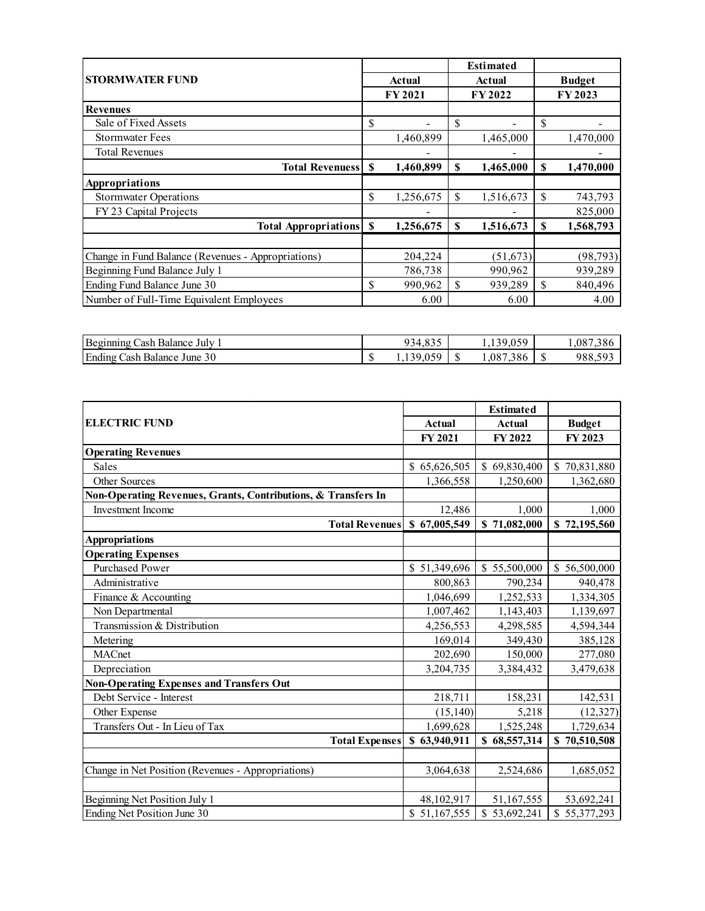|                                                    |    |                    |               | <b>Estimated</b> |         |               |
|----------------------------------------------------|----|--------------------|---------------|------------------|---------|---------------|
| <b>STORMWATER FUND</b>                             |    | Actual             |               | Actual           |         | <b>Budget</b> |
|                                                    |    | FY 2021<br>FY 2022 |               |                  | FY 2023 |               |
| <b>Revenues</b>                                    |    |                    |               |                  |         |               |
| Sale of Fixed Assets                               | \$ |                    | S             |                  | \$      |               |
| <b>Stormwater Fees</b>                             |    | 1,460,899          |               | 1,465,000        |         | 1,470,000     |
| <b>Total Revenues</b>                              |    |                    |               |                  |         |               |
| <b>Total Revenuess</b>                             | \$ | 1,460,899          | S             | 1,465,000        | \$      | 1,470,000     |
| Appropriations                                     |    |                    |               |                  |         |               |
| <b>Stormwater Operations</b>                       | \$ | 1,256,675          | <sup>\$</sup> | 1,516,673        | \$      | 743,793       |
| FY 23 Capital Projects                             |    |                    |               |                  |         | 825,000       |
| <b>Total Appropriations</b>                        | S  | 1,256,675          | S             | 1,516,673        | S       | 1,568,793     |
|                                                    |    |                    |               |                  |         |               |
| Change in Fund Balance (Revenues - Appropriations) |    | 204,224            |               | (51, 673)        |         | (98, 793)     |
| Beginning Fund Balance July 1                      |    | 786,738            |               | 990,962          |         | 939,289       |
| Ending Fund Balance June 30                        | \$ | 990,962            | S             | 939,289          | \$      | 840,496       |
| Number of Full-Time Equivalent Employees           |    | 6.00               |               | 6.00             |         | 4.00          |

| Beginning<br>'ash<br>July<br>Balance    | $\sim$ $\sim$ $\sim$<br>$\sim$<br>$\overline{A}$<br>7.033<br>ັ | 0.05C<br>. .                 |    | ۰Ā                                  |
|-----------------------------------------|----------------------------------------------------------------|------------------------------|----|-------------------------------------|
| Ending<br>30<br>'ash<br>June<br>Balance | 0.50<br>u                                                      | 200<br>$.08^{\circ}$<br>.386 | ٠D | 00 N<br>$\sim$ $\sim$ $\sim$<br>988 |

|                                                               |               | <b>Estimated</b> |               |
|---------------------------------------------------------------|---------------|------------------|---------------|
| <b>ELECTRIC FUND</b>                                          | <b>Actual</b> | <b>Actual</b>    | <b>Budget</b> |
|                                                               | FY 2021       | FY 2022          | FY 2023       |
| <b>Operating Revenues</b>                                     |               |                  |               |
| Sales                                                         | \$65,626,505  | \$69,830,400     | \$70,831,880  |
| Other Sources                                                 | 1,366,558     | 1,250,600        | 1,362,680     |
| Non-Operating Revenues, Grants, Contributions, & Transfers In |               |                  |               |
| Investment Income                                             | 12,486        | 1.000            | 1.000         |
| <b>Total Revenues</b>                                         | \$67,005,549  | \$71,082,000     | \$72,195,560  |
| <b>Appropriations</b>                                         |               |                  |               |
| <b>Operating Expenses</b>                                     |               |                  |               |
| <b>Purchased Power</b>                                        | \$51,349,696  | \$55,500,000     | \$56,500,000  |
| Administrative                                                | 800,863       | 790,234          | 940,478       |
| Finance & Accounting                                          | 1,046,699     | 1,252,533        | 1,334,305     |
| Non Departmental                                              | 1,007,462     | 1,143,403        | 1,139,697     |
| Transmission & Distribution                                   | 4,256,553     | 4,298,585        | 4,594,344     |
| Metering                                                      | 169,014       | 349,430          | 385,128       |
| <b>MACnet</b>                                                 | 202,690       | 150,000          | 277,080       |
| Depreciation                                                  | 3,204,735     | 3,384,432        | 3,479,638     |
| <b>Non-Operating Expenses and Transfers Out</b>               |               |                  |               |
| Debt Service - Interest                                       | 218,711       | 158,231          | 142,531       |
| Other Expense                                                 | (15, 140)     | 5,218            | (12, 327)     |
| Transfers Out - In Lieu of Tax                                | 1,699,628     | 1,525,248        | 1,729,634     |
| <b>Total Expenses</b> \$ 63,940,911                           |               | \$68,557,314     | \$70,510,508  |
|                                                               |               |                  |               |
| Change in Net Position (Revenues - Appropriations)            | 3,064,638     | 2,524,686        | 1,685,052     |
|                                                               |               |                  |               |
| Beginning Net Position July 1                                 | 48,102,917    | 51,167,555       | 53,692,241    |
| Ending Net Position June 30                                   | \$51,167,555  | \$53,692,241     | \$55,377,293  |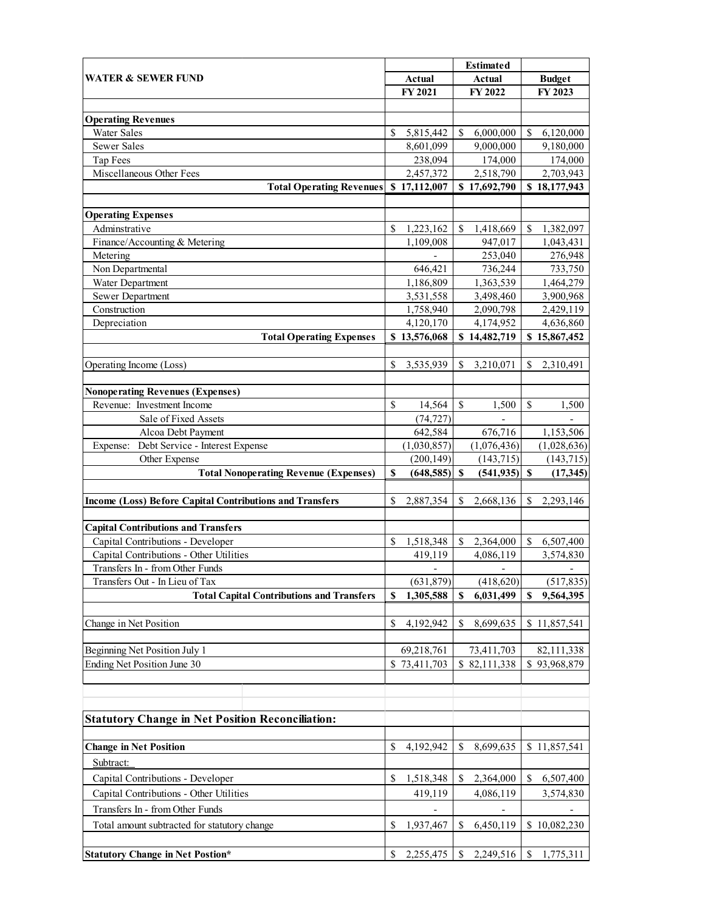|                                                          |                              |               | <b>Estimated</b>          |              |                              |
|----------------------------------------------------------|------------------------------|---------------|---------------------------|--------------|------------------------------|
| <b>WATER &amp; SEWER FUND</b>                            | Actual                       |               | <b>Actual</b>             |              | <b>Budget</b>                |
|                                                          | FY 2021                      |               | FY 2022                   |              | FY 2023                      |
|                                                          |                              |               |                           |              |                              |
| <b>Operating Revenues</b>                                |                              |               |                           |              |                              |
| <b>Water Sales</b>                                       | \$<br>5,815,442              | \$            | 6,000,000                 | $\mathbb{S}$ | 6,120,000                    |
| Sewer Sales                                              | 8,601,099                    |               | 9,000,000                 |              | 9,180,000                    |
| Tap Fees                                                 | 238,094                      |               | 174,000                   |              | 174,000                      |
| Miscellaneous Other Fees                                 | 2,457,372                    |               | 2,518,790                 |              | 2,703,943                    |
| <b>Total Operating Revenues</b>                          | \$17,112,007                 |               | \$17,692,790              |              | \$18,177,943                 |
|                                                          |                              |               |                           |              |                              |
| <b>Operating Expenses</b>                                |                              |               |                           |              |                              |
| Adminstrative                                            | \$<br>1,223,162              | \$            | 1,418,669                 | \$           | 1,382,097                    |
| Finance/Accounting & Metering                            | 1,109,008                    |               | 947,017                   |              | 1,043,431                    |
| Metering                                                 |                              |               | 253,040                   |              | 276,948                      |
| Non Departmental                                         | 646,421                      |               | 736,244                   |              | 733,750                      |
| Water Department                                         | 1,186,809                    |               | 1,363,539                 |              | 1,464,279                    |
| Sewer Department                                         | 3,531,558                    |               | 3,498,460                 |              | 3,900,968                    |
| Construction                                             | 1,758,940                    |               | 2,090,798                 |              | 2,429,119                    |
| Depreciation                                             | 4,120,170                    |               | 4,174,952                 |              | 4,636,860                    |
| <b>Total Operating Expenses</b>                          | \$13,576,068                 |               | \$14,482,719              |              | \$15,867,452                 |
|                                                          |                              |               |                           |              |                              |
| Operating Income (Loss)                                  | \$<br>3,535,939              | \$            | 3,210,071                 | \$           | 2,310,491                    |
|                                                          |                              |               |                           |              |                              |
| <b>Nonoperating Revenues (Expenses)</b>                  |                              |               |                           |              |                              |
| Revenue: Investment Income<br>Sale of Fixed Assets       | \$<br>14,564<br>(74, 727)    | \$            | 1,500                     | \$           | 1,500                        |
| Alcoa Debt Payment                                       |                              |               |                           |              |                              |
| Debt Service - Interest Expense<br>Expense:              | 642,584                      |               | 676,716                   |              | 1,153,506                    |
| Other Expense                                            | (1,030,857)<br>(200, 149)    |               | (1,076,436)<br>(143, 715) |              | (1,028,636)<br>(143, 715)    |
| <b>Total Nonoperating Revenue (Expenses)</b>             | \$<br>(648, 585)             | <b>S</b>      | $(541, 935)$ \$           |              | (17,345)                     |
|                                                          |                              |               |                           |              |                              |
| Income (Loss) Before Capital Contributions and Transfers | \$<br>2,887,354              | S             | 2,668,136                 | \$           | 2,293,146                    |
|                                                          |                              |               |                           |              |                              |
| <b>Capital Contributions and Transfers</b>               |                              |               |                           |              |                              |
| Capital Contributions - Developer                        | \$<br>1,518,348              | $\mathcal{S}$ | 2,364,000                 | \$           | 6,507,400                    |
| Capital Contributions - Other Utilities                  | 419,119                      |               | 4,086,119                 |              | 3,574,830                    |
| Transfers In - from Other Funds                          |                              |               |                           |              |                              |
| Transfers Out - In Lieu of Tax                           | (631,879)                    |               | (418, 620)                |              | (517, 835)                   |
| <b>Total Capital Contributions and Transfers</b>         | \$<br>1,305,588              | S             | 6,031,499                 | S            | 9,564,395                    |
|                                                          |                              |               |                           |              |                              |
| Change in Net Position                                   | \$<br>4,192,942              | S             | 8,699,635                 |              | \$11,857,541                 |
|                                                          |                              |               |                           |              |                              |
| Beginning Net Position July 1                            | 69,218,761                   |               | 73,411,703                |              | 82,111,338                   |
| Ending Net Position June 30                              | \$73,411,703                 |               | \$82,111,338              |              | \$93,968,879                 |
|                                                          |                              |               |                           |              |                              |
|                                                          |                              |               |                           |              |                              |
|                                                          |                              |               |                           |              |                              |
| <b>Statutory Change in Net Position Reconciliation:</b>  |                              |               |                           |              |                              |
|                                                          |                              |               |                           |              |                              |
| <b>Change in Net Position</b>                            | \$<br>4,192,942              | \$            | 8,699,635                 |              | \$11,857,541                 |
| Subtract:                                                |                              |               |                           |              |                              |
| Capital Contributions - Developer                        | \$<br>1,518,348              | \$            | 2,364,000                 | S.           | 6,507,400                    |
| Capital Contributions - Other Utilities                  | 419,119                      |               | 4,086,119                 |              | 3,574,830                    |
|                                                          |                              |               |                           |              |                              |
| Transfers In - from Other Funds                          | $\qquad \qquad \blacksquare$ |               | $\overline{\phantom{a}}$  |              | $\qquad \qquad \blacksquare$ |
| Total amount subtracted for statutory change             | \$<br>1,937,467              | \$            | 6,450,119                 |              | \$10,082,230                 |
|                                                          |                              |               |                           |              |                              |
| <b>Statutory Change in Net Postion*</b>                  | \$<br>2,255,475              | \$            | 2,249,516                 | $\mathbb{S}$ | 1,775,311                    |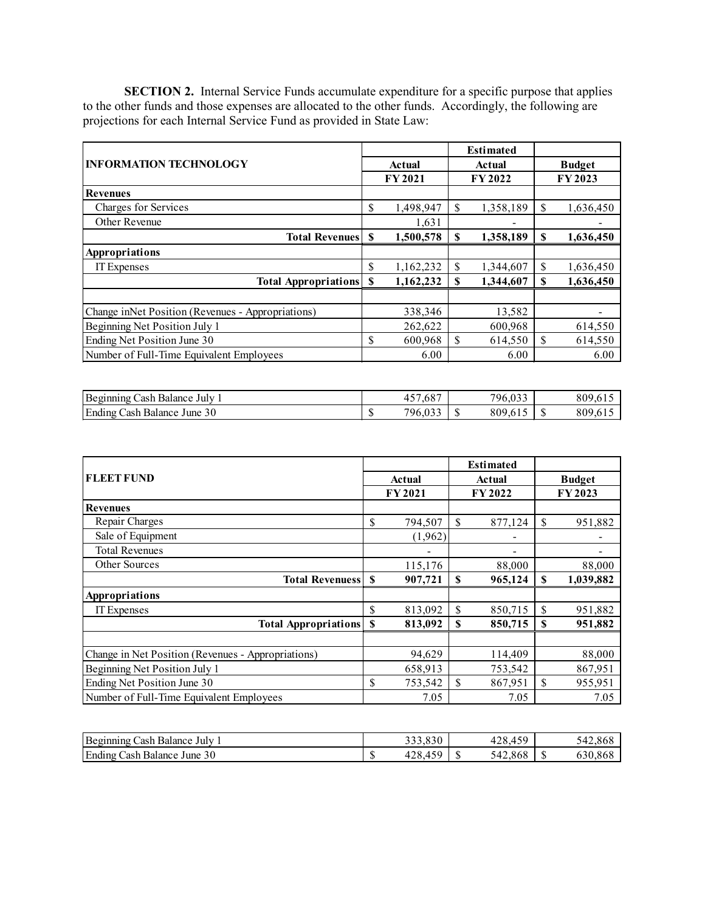**SECTION 2.** Internal Service Funds accumulate expenditure for a specific purpose that applies to the other funds and those expenses are allocated to the other funds. Accordingly, the following are projections for each Internal Service Fund as provided in State Law:

|                                                   |    |           |    | <b>Estimated</b> |               |           |  |
|---------------------------------------------------|----|-----------|----|------------------|---------------|-----------|--|
| <b>INFORMATION TECHNOLOGY</b>                     |    | Actual    |    | Actual           | <b>Budget</b> |           |  |
|                                                   |    | FY 2021   |    | FY 2022          |               | FY 2023   |  |
| <b>Revenues</b>                                   |    |           |    |                  |               |           |  |
| Charges for Services                              | \$ | 1,498,947 | \$ | 1,358,189        | \$            | 1,636,450 |  |
| Other Revenue                                     |    | 1,631     |    |                  |               |           |  |
| <b>Total Revenues</b>                             | S  | 1,500,578 | \$ | 1,358,189        | \$            | 1,636,450 |  |
| Appropriations                                    |    |           |    |                  |               |           |  |
| IT Expenses                                       | \$ | 1,162,232 | \$ | 1,344,607        | \$            | 1,636,450 |  |
| <b>Total Appropriations</b>                       | S  | 1,162,232 | S  | 1,344,607        | \$            | 1,636,450 |  |
|                                                   |    |           |    |                  |               |           |  |
| Change inNet Position (Revenues - Appropriations) |    | 338,346   |    | 13,582           |               |           |  |
| Beginning Net Position July 1                     |    | 262,622   |    | 600,968          |               | 614,550   |  |
| Ending Net Position June 30                       | \$ | 600,968   | \$ | 614,550          | <sup>\$</sup> | 614,550   |  |
| Number of Full-Time Equivalent Employees          |    | 6.00      |    | 6.00             |               | 6.00      |  |

| Beginning<br>ash<br>July<br>Balance     | 07<br>$ -$<br>$'$ ,00<br>. .<br>τ    |    | 796.03. | 809.<br>. v |
|-----------------------------------------|--------------------------------------|----|---------|-------------|
| Ending<br>30<br>`ash<br>June<br>Balance | $\sim$ $\sim$ $\sim$<br>796.0<br>ر_، | 12 | 809     | 809<br>٠. ت |

|                                                    |          |         | <b>Estimated</b> |         |    |               |
|----------------------------------------------------|----------|---------|------------------|---------|----|---------------|
| <b>FLEET FUND</b>                                  |          | Actual  |                  | Actual  |    | <b>Budget</b> |
|                                                    |          | FY 2021 |                  | FY 2022 |    | FY 2023       |
| <b>Revenues</b>                                    |          |         |                  |         |    |               |
| Repair Charges                                     | \$       | 794,507 | \$               | 877,124 | \$ | 951,882       |
| Sale of Equipment                                  |          | (1,962) |                  | -       |    |               |
| <b>Total Revenues</b>                              |          |         |                  | ٠       |    |               |
| <b>Other Sources</b>                               |          | 115,176 |                  | 88,000  |    | 88,000        |
| <b>Total Revenuess</b>                             | S        | 907,721 | \$               | 965,124 | S  | 1,039,882     |
| Appropriations                                     |          |         |                  |         |    |               |
| IT Expenses                                        | \$       | 813,092 | \$               | 850,715 | \$ | 951,882       |
| <b>Total Appropriations</b>                        | <b>S</b> | 813,092 | S                | 850,715 | S  | 951,882       |
|                                                    |          |         |                  |         |    |               |
| Change in Net Position (Revenues - Appropriations) |          | 94,629  |                  | 114,409 |    | 88,000        |
| Beginning Net Position July 1                      |          | 658,913 |                  | 753,542 |    | 867,951       |
| Ending Net Position June 30                        | \$       | 753,542 | \$               | 867,951 | \$ | 955,951       |
| Number of Full-Time Equivalent Employees           |          | 7.05    |                  | 7.05    |    | 7.05          |

| Beginning<br>July.<br>`ash<br>Balance                       | 0.20<br>$\sim$ $\sim$               |         | $\sim$ $\sim$<br>$\sqrt{2}$<br>. .    |            | $\sim$ $\sim$<br>$\sim$ 4 $\sim$<br>، 4<br>12.808 |
|-------------------------------------------------------------|-------------------------------------|---------|---------------------------------------|------------|---------------------------------------------------|
| Ending<br>50 <sup>2</sup><br>`ash<br>June<br><b>Balance</b> | $\sim$ $\sim$<br>$\Omega$<br>ட<br>. | ₼<br>۰U | $\sim$ $\sim$<br>$,4^{\circ}$<br>-000 | $\sqrt{2}$ | $\sim$<br>oqu                                     |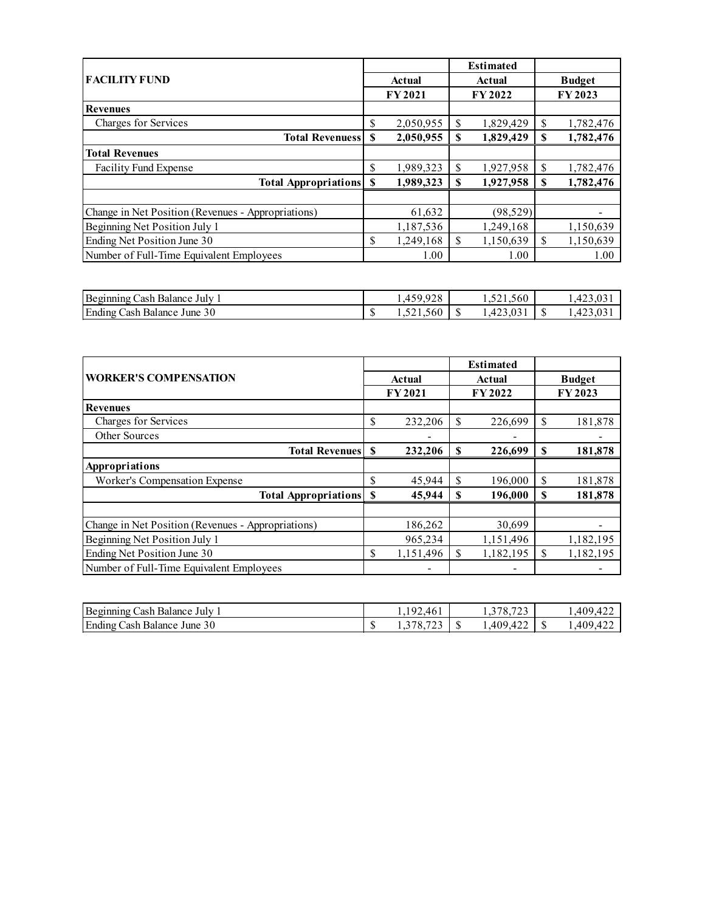|                                                    |    |               |    | <b>Estimated</b> |               |           |
|----------------------------------------------------|----|---------------|----|------------------|---------------|-----------|
| <b>FACILITY FUND</b>                               |    | <b>Actual</b> |    | Actual           | <b>Budget</b> |           |
|                                                    |    | <b>FY2021</b> |    | FY 2022          |               | FY 2023   |
| <b>Revenues</b>                                    |    |               |    |                  |               |           |
| Charges for Services                               | \$ | 2,050,955     | \$ | 1,829,429        | \$            | 1,782,476 |
| <b>Total Revenuess</b>                             | S  | 2,050,955     | \$ | 1,829,429        | \$            | 1,782,476 |
| <b>Total Revenues</b>                              |    |               |    |                  |               |           |
| Facility Fund Expense                              | \$ | 1,989,323     | \$ | 1,927,958        | \$            | 1,782,476 |
| <b>Total Appropriations</b>                        | S  | 1,989,323     | S  | 1,927,958        | S             | 1,782,476 |
|                                                    |    |               |    |                  |               |           |
| Change in Net Position (Revenues - Appropriations) |    | 61,632        |    | (98, 529)        |               | -         |
| Beginning Net Position July 1                      |    | 1,187,536     |    | 1,249,168        |               | 1,150,639 |
| Ending Net Position June 30                        | \$ | 1,249,168     | \$ | 1,150,639        | \$            | 1,150,639 |
| Number of Full-Time Equivalent Employees           |    | 1.00          |    | 1.00             |               | 1.00      |
|                                                    |    |               |    |                  |               |           |

| Beginning<br>July<br>`ash<br>. Balance  |         | 020<br>$\sim$<br>1, T, J, J<br>ن ∠∙ |                   | 1.521.560          | $-0.05$ |
|-----------------------------------------|---------|-------------------------------------|-------------------|--------------------|---------|
| Ending<br>30<br>'ash<br>Balance<br>June | ₼<br>۰U | $\sim$ $\sim$<br>24.360             | $\triangle$<br>мD | $\sim$<br>∵.⊤∠ ບັບ |         |

|                                                    |    |               |    | <b>Estimated</b> |               |           |
|----------------------------------------------------|----|---------------|----|------------------|---------------|-----------|
| <b>WORKER'S COMPENSATION</b>                       |    | <b>Actual</b> |    | Actual           | <b>Budget</b> |           |
|                                                    |    | <b>FY2021</b> |    | <b>FY2022</b>    |               | FY 2023   |
| <b>Revenues</b>                                    |    |               |    |                  |               |           |
| Charges for Services                               | \$ | 232,206       | \$ | 226,699          | \$            | 181,878   |
| Other Sources                                      |    |               |    |                  |               |           |
| <b>Total Revenues</b>                              | \$ | 232,206       | S  | 226,699          | S             | 181,878   |
| Appropriations                                     |    |               |    |                  |               |           |
| Worker's Compensation Expense                      | \$ | 45.944        | \$ | 196,000          | \$            | 181,878   |
| <b>Total Appropriations</b>                        | S  | 45,944        | \$ | 196,000          | S             | 181,878   |
|                                                    |    |               |    |                  |               |           |
| Change in Net Position (Revenues - Appropriations) |    | 186,262       |    | 30,699           |               |           |
| Beginning Net Position July 1                      |    | 965,234       |    | 1,151,496        |               | 1,182,195 |
| Ending Net Position June 30                        | \$ | 1,151,496     | \$ | 1,182,195        | \$            | 1,182,195 |
| Number of Full-Time Equivalent Employees           |    | ۰             |    |                  |               |           |

| Beginn<br>`ash<br>July<br>. Balance<br>1no         |          | . റ^<br>46<br>. . U .                                     |                  | $\sim$ $\sim$<br>◡.<br>ر…<br><u>_</u> | 400.<br>$\sim$ |
|----------------------------------------------------|----------|-----------------------------------------------------------|------------------|---------------------------------------|----------------|
| Ending<br>$\gamma$<br>ash<br>Balance<br>June<br>30 | <b>U</b> | $\sim$ $\sim$<br>$\sim$ $\sim$ $\sim$<br>. ن د<br>ی سو عد | $\sqrt{2}$<br>ъĐ | $\sim$ $\sim$<br>$A \cap C$<br>.      | $\sim$<br>100  |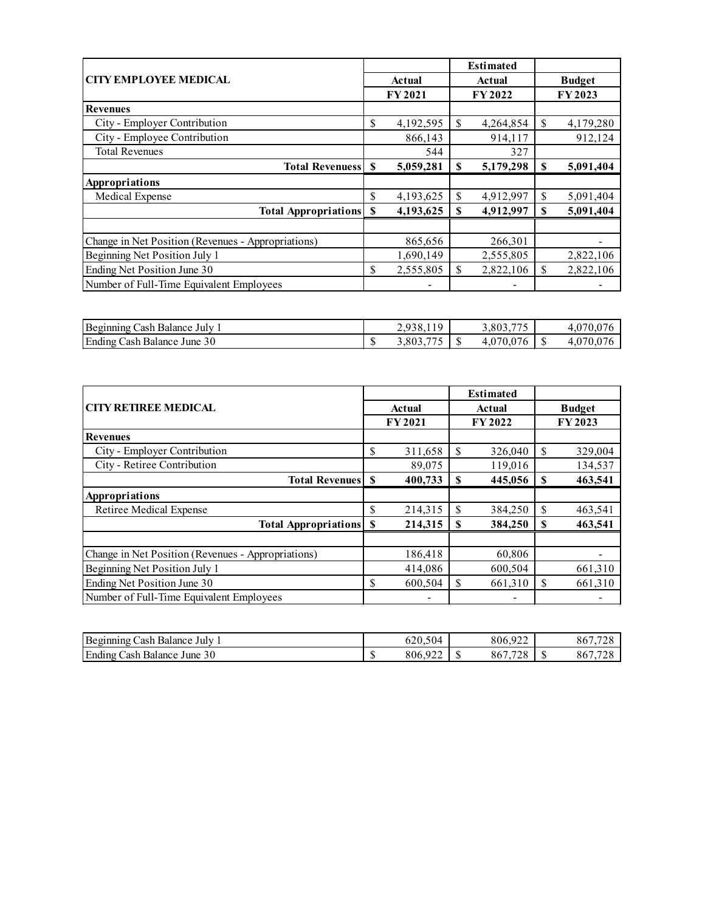|                                                    |                 |    | <b>Estimated</b> |    |               |
|----------------------------------------------------|-----------------|----|------------------|----|---------------|
| <b>CITY EMPLOYEE MEDICAL</b>                       | Actual          |    | Actual           |    | <b>Budget</b> |
|                                                    | <b>FY2021</b>   |    | FY 2022          |    | FY 2023       |
| <b>Revenues</b>                                    |                 |    |                  |    |               |
| City - Employer Contribution                       | \$<br>4,192,595 | \$ | 4,264,854        | \$ | 4,179,280     |
| City - Employee Contribution                       | 866,143         |    | 914,117          |    | 912,124       |
| <b>Total Revenues</b>                              | 544             |    | 327              |    |               |
| <b>Total Revenuess</b>                             | \$<br>5,059,281 | S  | 5,179,298        | S  | 5,091,404     |
| Appropriations                                     |                 |    |                  |    |               |
| Medical Expense                                    | \$<br>4,193,625 | \$ | 4,912,997        | \$ | 5,091,404     |
| <b>Total Appropriations</b>                        | \$<br>4,193,625 | \$ | 4,912,997        | \$ | 5,091,404     |
|                                                    |                 |    |                  |    |               |
| Change in Net Position (Revenues - Appropriations) | 865,656         |    | 266,301          |    |               |
| Beginning Net Position July 1                      | 1,690,149       |    | 2,555,805        |    | 2,822,106     |
| Ending Net Position June 30                        | \$<br>2,555,805 | \$ | 2,822,106        | \$ | 2,822,106     |
| Number of Full-Time Equivalent Employees           |                 |    |                  |    |               |

| Beginning<br>July<br>`ash-<br>Balance   |    | 10<br>◡                   |                 | $\overline{\phantom{a}}$<br>002<br><b>س</b> |  |
|-----------------------------------------|----|---------------------------|-----------------|---------------------------------------------|--|
| Ending<br>June $30$<br>, ash<br>Balance | ۵D | $- - -$<br>0 <sub>0</sub> | $\sqrt{2}$<br>w | $\sim$<br>$.0-$                             |  |

|                                                    |    |               | <b>Estimated</b> |    |               |  |
|----------------------------------------------------|----|---------------|------------------|----|---------------|--|
| <b>CITY RETIREE MEDICAL</b>                        |    | Actual        | Actual           |    | <b>Budget</b> |  |
|                                                    |    | <b>FY2021</b> | FY 2022          |    | FY 2023       |  |
| <b>Revenues</b>                                    |    |               |                  |    |               |  |
| City - Employer Contribution                       | \$ | 311,658       | \$<br>326,040    | S  | 329,004       |  |
| City - Retiree Contribution                        |    | 89,075        | 119,016          |    | 134,537       |  |
| <b>Total Revenues</b>                              | S  | 400,733       | \$<br>445,056    | S  | 463,541       |  |
| Appropriations                                     |    |               |                  |    |               |  |
| <b>Retiree Medical Expense</b>                     | \$ | 214,315       | \$<br>384,250    | \$ | 463,541       |  |
| <b>Total Appropriations</b>                        | S  | 214,315       | \$<br>384,250    | \$ | 463,541       |  |
|                                                    |    |               |                  |    |               |  |
| Change in Net Position (Revenues - Appropriations) |    | 186,418       | 60,806           |    |               |  |
| Beginning Net Position July 1                      |    | 414,086       | 600,504          |    | 661,310       |  |
| Ending Net Position June 30                        | \$ | 600,504       | \$<br>661,310    | S  | 661,310       |  |
| Number of Full-Time Equivalent Employees           |    | -             | -                |    |               |  |

| Beginning<br>July<br>`ach<br>Balance                     |        | $\sim$ $\sim$<br>$\sim$ $\sim$<br>504<br>620.S | 0.22<br>806<br>ت ہے۔                                                | (5.7.70)<br>86    |
|----------------------------------------------------------|--------|------------------------------------------------|---------------------------------------------------------------------|-------------------|
| Ending<br>$\sim$ $\sim$<br>30<br>'ash<br>Balance<br>June | ₼<br>w | $\sim$ $\sim$ $\sim$<br>ΩΩ<br>806,             | $\rightarrow$ $\rightarrow$ $\sim$<br>$\sim$ $\sim$<br>oυ<br>$\sim$ | <br>$-\sim$<br>86 |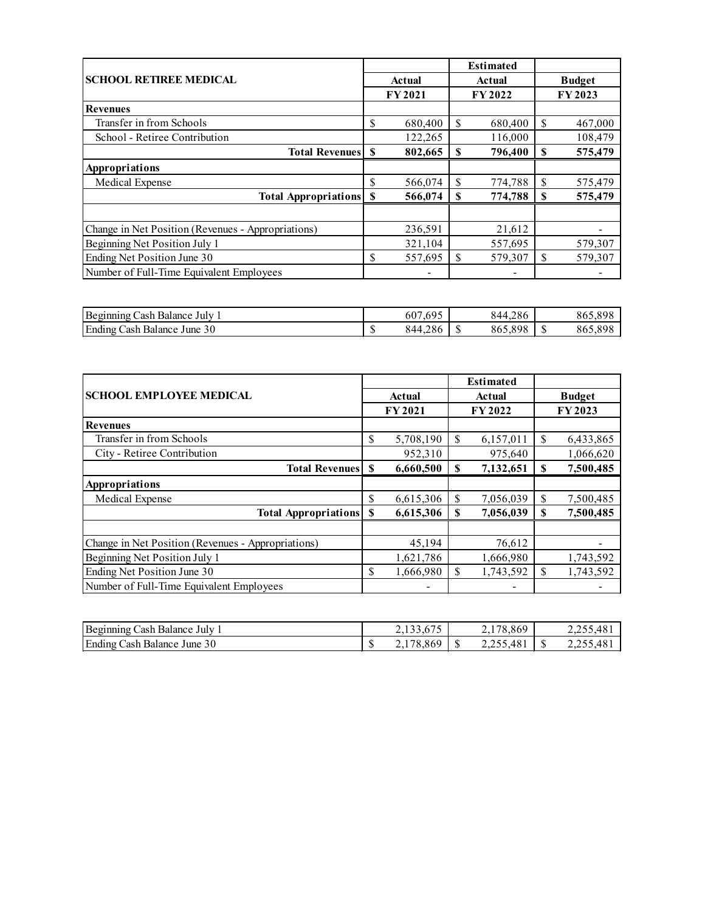|                                                    |    |               |    | <b>Estimated</b> |               |         |
|----------------------------------------------------|----|---------------|----|------------------|---------------|---------|
| <b>SCHOOL RETIREE MEDICAL</b>                      |    | Actual        |    | Actual           | <b>Budget</b> |         |
|                                                    |    | <b>FY2021</b> |    | <b>FY2022</b>    |               | FY 2023 |
| <b>Revenues</b>                                    |    |               |    |                  |               |         |
| Transfer in from Schools                           | \$ | 680,400       | S  | 680,400          | \$            | 467,000 |
| School - Retiree Contribution                      |    | 122,265       |    | 116,000          |               | 108,479 |
| <b>Total Revenues</b>                              | S  | 802,665       | S  | 796,400          | S             | 575,479 |
| Appropriations                                     |    |               |    |                  |               |         |
| Medical Expense                                    | \$ | 566,074       | \$ | 774,788          | \$            | 575,479 |
| <b>Total Appropriations</b>                        | S  | 566,074       | S  | 774,788          | S             | 575,479 |
|                                                    |    |               |    |                  |               |         |
| Change in Net Position (Revenues - Appropriations) |    | 236,591       |    | 21,612           |               |         |
| Beginning Net Position July 1                      |    | 321,104       |    | 557,695          |               | 579,307 |
| Ending Net Position June 30                        | \$ | 557,695       | \$ | 579,307          | \$            | 579,307 |
| Number of Full-Time Equivalent Employees           |    |               |    |                  |               |         |

| Beginning<br>July<br>Balance<br>ash     | 69 <sup>r</sup><br>607                              | 4.286<br>844.                  | 0e <sub>r</sub><br>000<br>86. |
|-----------------------------------------|-----------------------------------------------------|--------------------------------|-------------------------------|
| Ending<br>30<br>`ash<br>Balance<br>June | $\sim$ $\sim$<br>$\rightarrow$<br>.8 t<br>844<br>۵U | 909<br>$\triangle$<br>86<br>٠D | 86.                           |

|                                                    |                                                                                                                                                                                                                                                                                                                                                                                                    |           |   | <b>Estimated</b> |    |           |  |
|----------------------------------------------------|----------------------------------------------------------------------------------------------------------------------------------------------------------------------------------------------------------------------------------------------------------------------------------------------------------------------------------------------------------------------------------------------------|-----------|---|------------------|----|-----------|--|
| <b>SCHOOL EMPLOYEE MEDICAL</b>                     | <b>Budget</b><br><b>Actual</b><br>Actual<br>FY 2023<br>FY 2021<br><b>FY2022</b><br>5,708,190<br><sup>\$</sup><br>6,157,011<br>\$<br>\$<br>952,310<br>975,640<br>7,132,651<br><b>Total Revenues</b><br>\$<br>6,660,500<br>S<br>S<br>\$<br>\$<br>6,615,306<br>S<br>7,056,039<br>6,615,306<br>7,056,039<br>\$<br><b>Total Appropriations</b><br>\$<br>S<br>45,194<br>76,612<br>1,621,786<br>1,666,980 |           |   |                  |    |           |  |
|                                                    |                                                                                                                                                                                                                                                                                                                                                                                                    |           |   |                  |    |           |  |
| <b>Revenues</b>                                    |                                                                                                                                                                                                                                                                                                                                                                                                    |           |   |                  |    |           |  |
| Transfer in from Schools                           |                                                                                                                                                                                                                                                                                                                                                                                                    |           |   |                  |    | 6,433,865 |  |
| City - Retiree Contribution                        |                                                                                                                                                                                                                                                                                                                                                                                                    |           |   |                  |    | 1,066,620 |  |
|                                                    |                                                                                                                                                                                                                                                                                                                                                                                                    |           |   |                  |    | 7,500,485 |  |
| Appropriations                                     |                                                                                                                                                                                                                                                                                                                                                                                                    |           |   |                  |    |           |  |
| Medical Expense                                    |                                                                                                                                                                                                                                                                                                                                                                                                    |           |   |                  |    | 7,500,485 |  |
|                                                    |                                                                                                                                                                                                                                                                                                                                                                                                    |           |   |                  |    | 7,500,485 |  |
|                                                    |                                                                                                                                                                                                                                                                                                                                                                                                    |           |   |                  |    |           |  |
| Change in Net Position (Revenues - Appropriations) |                                                                                                                                                                                                                                                                                                                                                                                                    |           |   |                  |    |           |  |
| Beginning Net Position July 1                      |                                                                                                                                                                                                                                                                                                                                                                                                    |           |   |                  |    | 1,743,592 |  |
| Ending Net Position June 30                        | \$                                                                                                                                                                                                                                                                                                                                                                                                 | 1,666,980 | S | 1,743,592        | \$ | 1,743,592 |  |
| Number of Full-Time Equivalent Employees           |                                                                                                                                                                                                                                                                                                                                                                                                    |           |   |                  |    |           |  |

| Beginning<br>Cash Balance<br>July    |            | $\sim$ $\sim$<br>4,133,015 | . 8.869<br>$\sim$ $\sim$ $\sim$ $\sim$ |      | 2.299.401        |
|--------------------------------------|------------|----------------------------|----------------------------------------|------|------------------|
| Ending<br>June 30<br>≿ash<br>Balance | $\sqrt{2}$ | 8.869<br>$\overline{a}$    | 2,255,481                              | - 14 | $\overline{2,2}$ |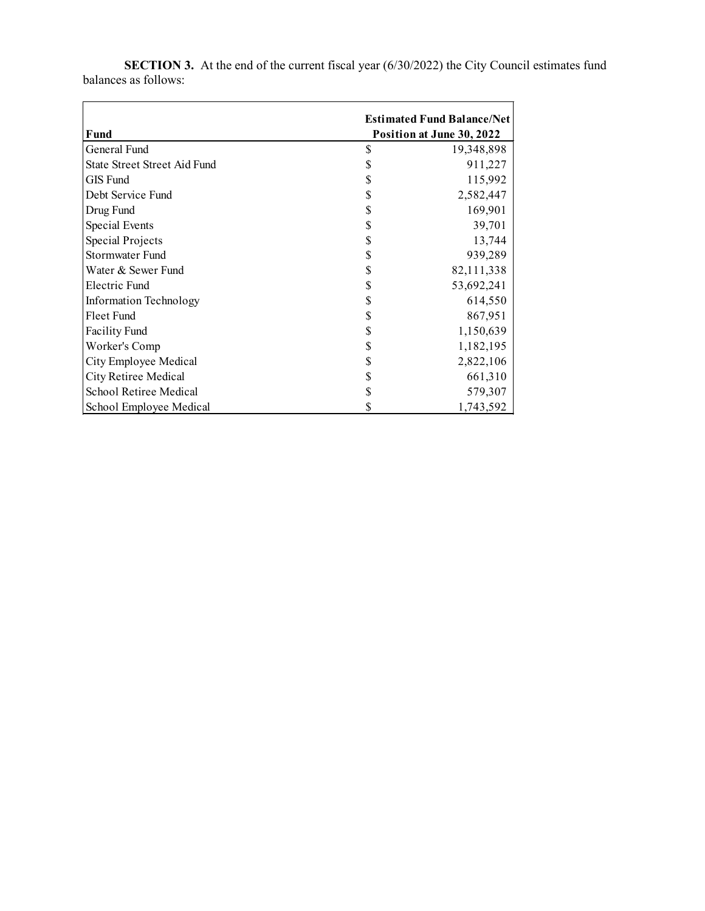|                               |   | <b>Estimated Fund Balance/Net</b> |
|-------------------------------|---|-----------------------------------|
| Fund                          |   | Position at June 30, 2022         |
| General Fund                  | S | 19,348,898                        |
| State Street Street Aid Fund  |   | 911,227                           |
| GIS Fund                      |   | 115,992                           |
| Debt Service Fund             |   | 2,582,447                         |
| Drug Fund                     |   | 169,901                           |
| Special Events                |   | 39,701                            |
| Special Projects              |   | 13,744                            |
| Stormwater Fund               |   | 939,289                           |
| Water & Sewer Fund            |   | 82,111,338                        |
| Electric Fund                 |   | 53,692,241                        |
| <b>Information Technology</b> |   | 614,550                           |
| Fleet Fund                    |   | 867,951                           |
| <b>Facility Fund</b>          |   | 1,150,639                         |
| Worker's Comp                 |   | 1,182,195                         |
| City Employee Medical         |   | 2,822,106                         |
| City Retiree Medical          |   | 661,310                           |
| School Retiree Medical        |   | 579,307                           |
| School Employee Medical       |   | 1,743,592                         |

**SECTION 3.** At the end of the current fiscal year (6/30/2022) the City Council estimates fund balances as follows: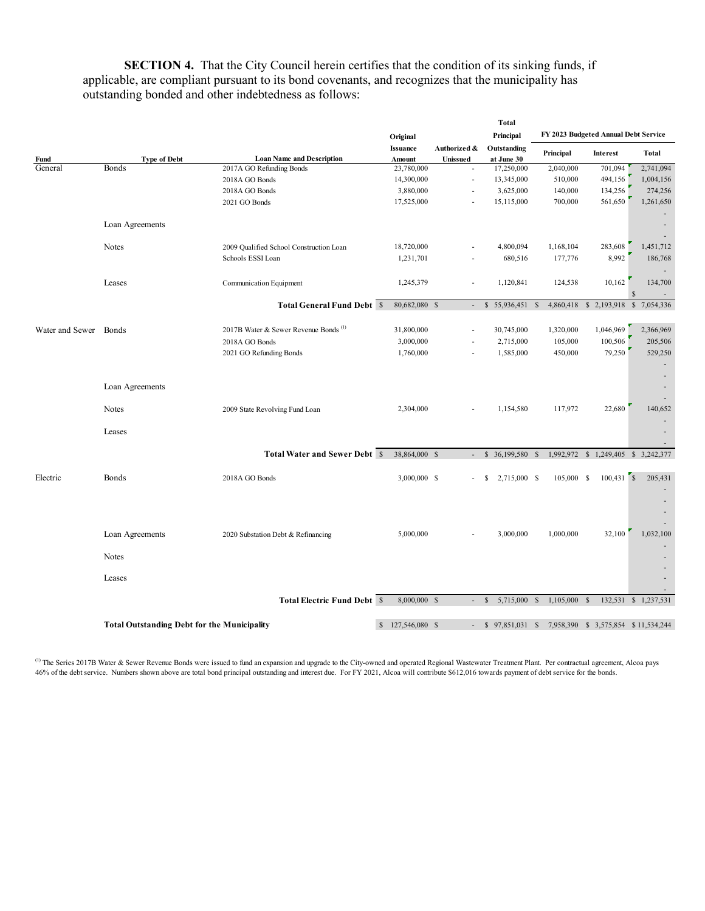**SECTION 4.** That the City Council herein certifies that the condition of its sinking funds, if applicable, are compliant pursuant to its bond covenants, and recognizes that the municipality has outstanding bonded and other indebtedness as follows:

|                       |                                                    | Original                                         |                           |                          | <b>Total</b><br>Principal    |                                                         | FY 2023 Budgeted Annual Debt Service |                      |  |  |
|-----------------------|----------------------------------------------------|--------------------------------------------------|---------------------------|--------------------------|------------------------------|---------------------------------------------------------|--------------------------------------|----------------------|--|--|
| Fund                  | <b>Type of Debt</b>                                | <b>Loan Name and Description</b>                 | <b>Issuance</b><br>Amount | Authorized &<br>Unissued | Outstanding<br>at June 30    | Principal                                               | Interest                             | Total                |  |  |
| General               | Bonds                                              | 2017A GO Refunding Bonds                         | 23,780,000                |                          | 17,250,000                   | 2,040,000                                               | 701,094                              | 2,741,094            |  |  |
|                       |                                                    | 2018A GO Bonds                                   | 14,300,000                | ×,                       | 13,345,000                   | 510,000                                                 | 494,156                              | 1,004,156            |  |  |
|                       |                                                    | 2018A GO Bonds                                   | 3,880,000                 | ÷,                       | 3,625,000                    | 140,000                                                 | 134,256                              | 274,256              |  |  |
|                       |                                                    |                                                  | 17,525,000                |                          | 15,115,000                   | 700,000                                                 |                                      |                      |  |  |
|                       |                                                    | 2021 GO Bonds                                    |                           |                          |                              |                                                         | 561,650                              | 1,261,650            |  |  |
|                       |                                                    |                                                  |                           |                          |                              |                                                         |                                      |                      |  |  |
|                       | Loan Agreements                                    |                                                  |                           |                          |                              |                                                         |                                      |                      |  |  |
|                       |                                                    |                                                  |                           |                          |                              |                                                         |                                      |                      |  |  |
|                       | Notes                                              | 2009 Qualified School Construction Loan          | 18,720,000                |                          | 4,800,094                    | 1,168,104                                               | 283,608                              | 1,451,712            |  |  |
|                       |                                                    | Schools ESSI Loan                                | 1,231,701                 |                          | 680,516                      | 177,776                                                 | 8,992                                | 186,768              |  |  |
|                       |                                                    |                                                  |                           |                          |                              |                                                         |                                      |                      |  |  |
|                       | Leases                                             | Communication Equipment                          | 1,245,379                 |                          | 1,120,841                    | 124,538                                                 | 10,162                               | 134,700              |  |  |
|                       |                                                    |                                                  |                           |                          |                              |                                                         |                                      | $\mathcal{S}$        |  |  |
|                       |                                                    | <b>Total General Fund Debt \$</b>                | 80,682,080 \$             | $\overline{\phantom{a}}$ | $$5,936,451$ \$              |                                                         | 4,860,418 \$ 2,193,918 \$ 7,054,336  |                      |  |  |
|                       |                                                    |                                                  |                           |                          |                              |                                                         |                                      |                      |  |  |
| Water and Sewer Bonds |                                                    | 2017B Water & Sewer Revenue Bonds <sup>(1)</sup> | 31,800,000                | J.                       | 30,745,000                   | 1,320,000                                               | 1,046,969                            | 2,366,969            |  |  |
|                       |                                                    | 2018A GO Bonds                                   | 3,000,000                 | ×,                       | 2,715,000                    | 105,000                                                 | 100,506                              | 205,506              |  |  |
|                       |                                                    | 2021 GO Refunding Bonds                          | 1,760,000                 |                          | 1,585,000                    | 450,000                                                 | 79,250                               | 529,250              |  |  |
|                       |                                                    |                                                  |                           |                          |                              |                                                         |                                      |                      |  |  |
|                       |                                                    |                                                  |                           |                          |                              |                                                         |                                      |                      |  |  |
|                       |                                                    |                                                  |                           |                          |                              |                                                         |                                      |                      |  |  |
|                       | Loan Agreements                                    |                                                  |                           |                          |                              |                                                         |                                      |                      |  |  |
|                       |                                                    |                                                  |                           |                          |                              |                                                         |                                      |                      |  |  |
|                       | Notes                                              | 2009 State Revolving Fund Loan                   | 2,304,000                 |                          | 1,154,580                    | 117,972                                                 | 22,680                               | 140,652              |  |  |
|                       |                                                    |                                                  |                           |                          |                              |                                                         |                                      |                      |  |  |
|                       | Leases                                             |                                                  |                           |                          |                              |                                                         |                                      |                      |  |  |
|                       |                                                    |                                                  |                           |                          |                              |                                                         |                                      |                      |  |  |
|                       |                                                    | <b>Total Water and Sewer Debt \$</b>             | 38,864,000 \$             | $\omega$                 | $$36,199,580$ \$             |                                                         | 1,992,972 \$ 1,249,405 \$ 3,242,377  |                      |  |  |
|                       |                                                    |                                                  |                           |                          |                              |                                                         |                                      |                      |  |  |
| Electric              | Bonds                                              | 2018A GO Bonds                                   | 3,000,000 \$              |                          | 2,715,000 \$<br>-S           | 105,000 \$                                              |                                      | 205,431              |  |  |
|                       |                                                    |                                                  |                           |                          |                              |                                                         |                                      |                      |  |  |
|                       |                                                    |                                                  |                           |                          |                              |                                                         |                                      |                      |  |  |
|                       |                                                    |                                                  |                           |                          |                              |                                                         |                                      |                      |  |  |
|                       |                                                    |                                                  |                           |                          |                              |                                                         |                                      |                      |  |  |
|                       | Loan Agreements                                    | 2020 Substation Debt & Refinancing               | 5,000,000                 |                          | 3,000,000                    | 1,000,000                                               | 32,100                               | 1,032,100            |  |  |
|                       |                                                    |                                                  |                           |                          |                              |                                                         |                                      |                      |  |  |
|                       | <b>Notes</b>                                       |                                                  |                           |                          |                              |                                                         |                                      |                      |  |  |
|                       |                                                    |                                                  |                           |                          |                              |                                                         |                                      |                      |  |  |
|                       | Leases                                             |                                                  |                           |                          |                              |                                                         |                                      |                      |  |  |
|                       |                                                    |                                                  |                           |                          |                              |                                                         |                                      |                      |  |  |
|                       |                                                    | <b>Total Electric Fund Debt \$</b>               | 8,000,000 \$              | $\sim$                   | 5,715,000 \$<br>$\mathbb{S}$ | $1,105,000$ \$                                          |                                      | 132,531 \$ 1,237,531 |  |  |
|                       |                                                    |                                                  |                           |                          |                              |                                                         |                                      |                      |  |  |
|                       |                                                    |                                                  |                           |                          |                              |                                                         |                                      |                      |  |  |
|                       | <b>Total Outstanding Debt for the Municipality</b> | $\mathbb{S}$                                     | 127,546,080 \$            |                          |                              | - \$ 97,851,031 \$ 7,958,390 \$ 3,575,854 \$ 11,534,244 |                                      |                      |  |  |

<sup>(1)</sup> The Series 2017B Water & Sewer Revenue Bonds were issued to fund an expansion and upgrade to the City-owned and operated Regional Wastewater Treatment Plant. Per contractual agreement, Alcoa pays 46% of the debt service. Numbers shown above are total bond principal outstanding and interest due. For FY 2021, Alcoa will contribute \$612,016 towards payment of debt service for the bonds.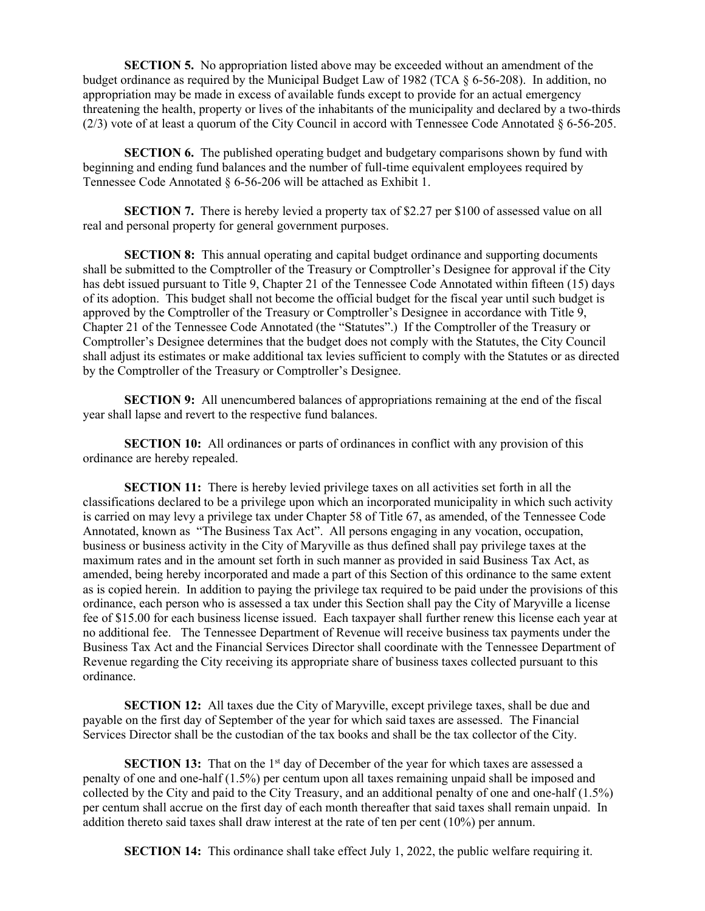**SECTION 5.** No appropriation listed above may be exceeded without an amendment of the budget ordinance as required by the Municipal Budget Law of 1982 (TCA § 6-56-208). In addition, no appropriation may be made in excess of available funds except to provide for an actual emergency threatening the health, property or lives of the inhabitants of the municipality and declared by a two-thirds (2/3) vote of at least a quorum of the City Council in accord with Tennessee Code Annotated § 6-56-205.

**SECTION 6.** The published operating budget and budgetary comparisons shown by fund with beginning and ending fund balances and the number of full-time equivalent employees required by Tennessee Code Annotated § 6-56-206 will be attached as Exhibit 1.

**SECTION 7.** There is hereby levied a property tax of \$2.27 per \$100 of assessed value on all real and personal property for general government purposes.

**SECTION 8:** This annual operating and capital budget ordinance and supporting documents shall be submitted to the Comptroller of the Treasury or Comptroller's Designee for approval if the City has debt issued pursuant to Title 9, Chapter 21 of the Tennessee Code Annotated within fifteen (15) days of its adoption. This budget shall not become the official budget for the fiscal year until such budget is approved by the Comptroller of the Treasury or Comptroller's Designee in accordance with Title 9, Chapter 21 of the Tennessee Code Annotated (the "Statutes".) If the Comptroller of the Treasury or Comptroller's Designee determines that the budget does not comply with the Statutes, the City Council shall adjust its estimates or make additional tax levies sufficient to comply with the Statutes or as directed by the Comptroller of the Treasury or Comptroller's Designee.

**SECTION 9:** All unencumbered balances of appropriations remaining at the end of the fiscal year shall lapse and revert to the respective fund balances.

**SECTION 10:** All ordinances or parts of ordinances in conflict with any provision of this ordinance are hereby repealed.

**SECTION 11:** There is hereby levied privilege taxes on all activities set forth in all the classifications declared to be a privilege upon which an incorporated municipality in which such activity is carried on may levy a privilege tax under Chapter 58 of Title 67, as amended, of the Tennessee Code Annotated, known as "The Business Tax Act". All persons engaging in any vocation, occupation, business or business activity in the City of Maryville as thus defined shall pay privilege taxes at the maximum rates and in the amount set forth in such manner as provided in said Business Tax Act, as amended, being hereby incorporated and made a part of this Section of this ordinance to the same extent as is copied herein. In addition to paying the privilege tax required to be paid under the provisions of this ordinance, each person who is assessed a tax under this Section shall pay the City of Maryville a license fee of \$15.00 for each business license issued. Each taxpayer shall further renew this license each year at no additional fee. The Tennessee Department of Revenue will receive business tax payments under the Business Tax Act and the Financial Services Director shall coordinate with the Tennessee Department of Revenue regarding the City receiving its appropriate share of business taxes collected pursuant to this ordinance.

**SECTION 12:** All taxes due the City of Maryville, except privilege taxes, shall be due and payable on the first day of September of the year for which said taxes are assessed. The Financial Services Director shall be the custodian of the tax books and shall be the tax collector of the City.

**SECTION 13:** That on the 1<sup>st</sup> day of December of the year for which taxes are assessed a penalty of one and one-half (1.5%) per centum upon all taxes remaining unpaid shall be imposed and collected by the City and paid to the City Treasury, and an additional penalty of one and one-half (1.5%) per centum shall accrue on the first day of each month thereafter that said taxes shall remain unpaid. In addition thereto said taxes shall draw interest at the rate of ten per cent (10%) per annum.

**SECTION 14:** This ordinance shall take effect July 1, 2022, the public welfare requiring it.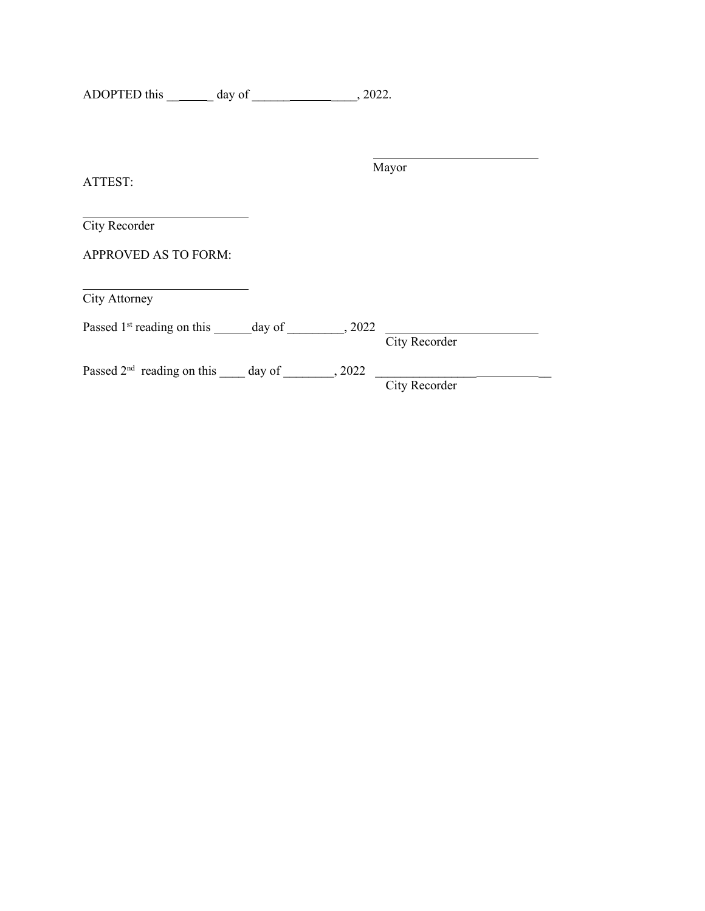ADOPTED this \_\_\_\_\_\_\_ day of \_\_\_\_\_\_\_\_\_\_\_\_\_\_\_\_, 2022.

Mayor ATTEST: City Recorder APPROVED AS TO FORM: City Attorney Passed  $1^{st}$  reading on this \_\_\_\_\_\_\_\_ day of \_\_\_\_\_\_\_\_\_, 2022 City Recorder Passed  $2<sup>nd</sup>$  reading on this \_\_\_\_ day of \_\_\_\_\_\_\_, 2022 \_\_\_\_\_\_\_\_\_\_\_\_\_\_\_\_\_\_\_\_\_ City Recorder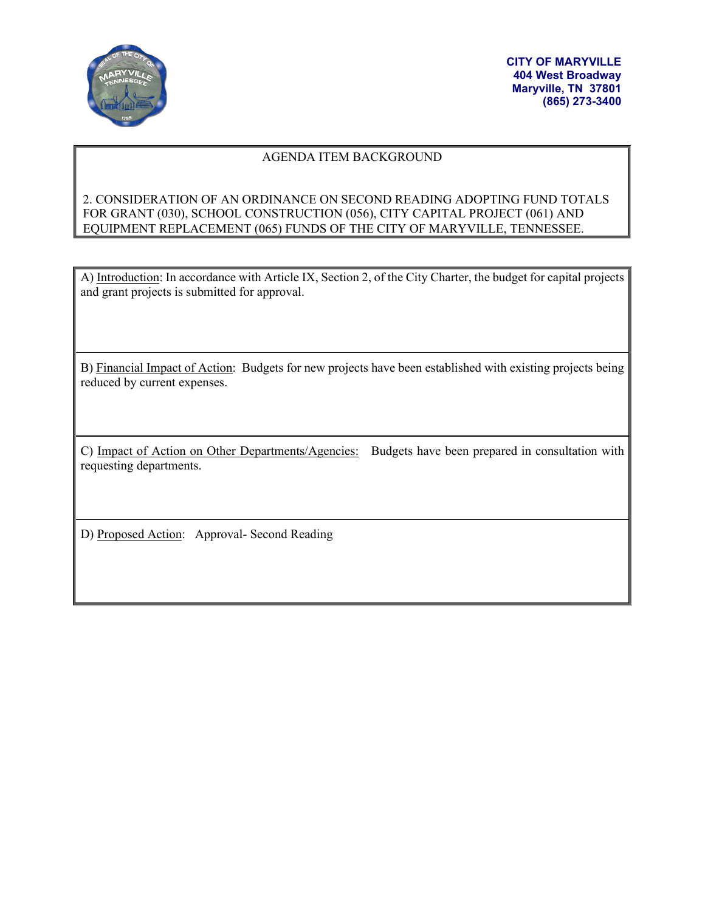

#### AGENDA ITEM BACKGROUND

# 2. CONSIDERATION OF AN ORDINANCE ON SECOND READING ADOPTING FUND TOTALS FOR GRANT (030), SCHOOL CONSTRUCTION (056), CITY CAPITAL PROJECT (061) AND EQUIPMENT REPLACEMENT (065) FUNDS OF THE CITY OF MARYVILLE, TENNESSEE.

A) Introduction: In accordance with Article IX, Section 2, of the City Charter, the budget for capital projects and grant projects is submitted for approval.

B) Financial Impact of Action: Budgets for new projects have been established with existing projects being reduced by current expenses.

C) Impact of Action on Other Departments/Agencies: Budgets have been prepared in consultation with requesting departments.

D) Proposed Action: Approval- Second Reading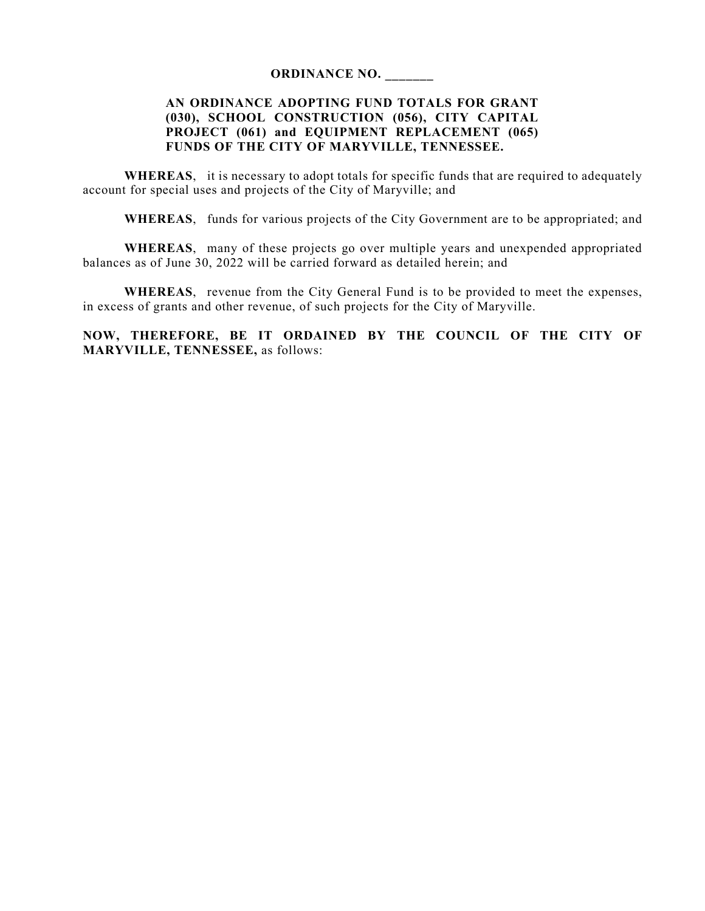#### **ORDINANCE NO. \_\_\_\_\_\_\_**

# **AN ORDINANCE ADOPTING FUND TOTALS FOR GRANT (030), SCHOOL CONSTRUCTION (056), CITY CAPITAL PROJECT (061) and EQUIPMENT REPLACEMENT (065) FUNDS OF THE CITY OF MARYVILLE, TENNESSEE.**

**WHEREAS**, it is necessary to adopt totals for specific funds that are required to adequately account for special uses and projects of the City of Maryville; and

**WHEREAS**, funds for various projects of the City Government are to be appropriated; and

**WHEREAS**, many of these projects go over multiple years and unexpended appropriated balances as of June 30, 2022 will be carried forward as detailed herein; and

**WHEREAS**, revenue from the City General Fund is to be provided to meet the expenses, in excess of grants and other revenue, of such projects for the City of Maryville.

**NOW, THEREFORE, BE IT ORDAINED BY THE COUNCIL OF THE CITY OF MARYVILLE, TENNESSEE,** as follows: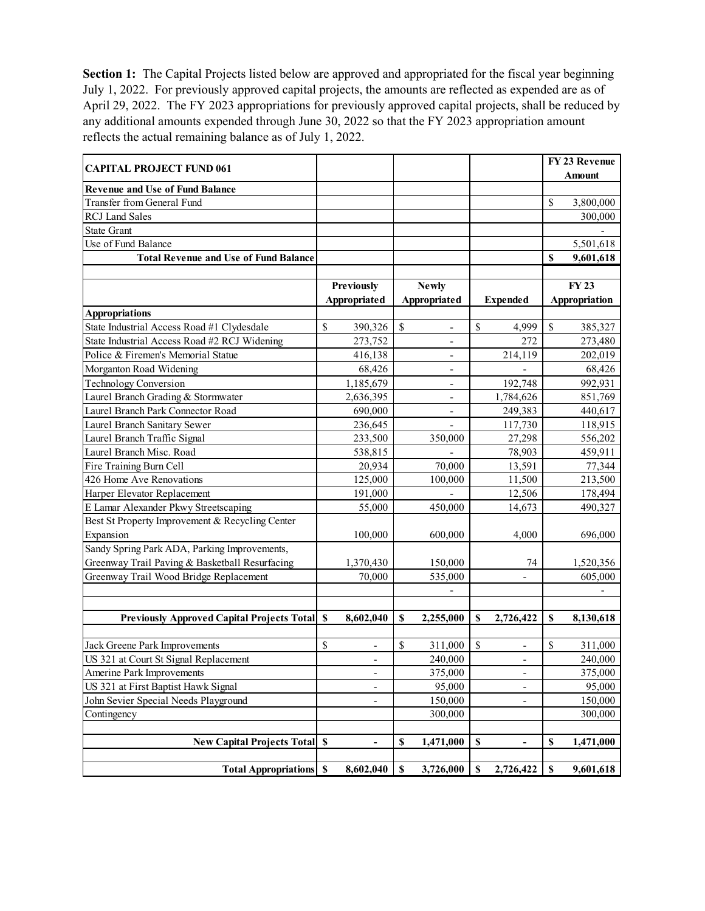**Section 1:** The Capital Projects listed below are approved and appropriated for the fiscal year beginning July 1, 2022. For previously approved capital projects, the amounts are reflected as expended are as of April 29, 2022. The FY 2023 appropriations for previously approved capital projects, shall be reduced by any additional amounts expended through June 30, 2022 so that the FY 2023 appropriation amount reflects the actual remaining balance as of July 1, 2022.

| <b>CAPITAL PROJECT FUND 061</b>                     |                                    |               |                          |              |                              |              | FY 23 Revenue |
|-----------------------------------------------------|------------------------------------|---------------|--------------------------|--------------|------------------------------|--------------|---------------|
|                                                     |                                    |               |                          |              |                              |              | <b>Amount</b> |
| <b>Revenue and Use of Fund Balance</b>              |                                    |               |                          |              |                              |              |               |
| Transfer from General Fund                          |                                    |               |                          |              |                              | $\mathbb{S}$ | 3,800,000     |
| <b>RCJ</b> Land Sales                               |                                    |               |                          |              |                              |              | 300,000       |
| <b>State Grant</b>                                  |                                    |               |                          |              |                              |              |               |
| Use of Fund Balance                                 |                                    |               |                          |              |                              |              | 5,501,618     |
| <b>Total Revenue and Use of Fund Balance</b>        |                                    |               |                          |              |                              | \$           | 9,601,618     |
|                                                     |                                    |               |                          |              |                              |              |               |
|                                                     | Previously                         |               | <b>Newly</b>             |              |                              |              | <b>FY23</b>   |
|                                                     | Appropriated                       |               | Appropriated             |              | <b>Expended</b>              |              | Appropriation |
| <b>Appropriations</b>                               |                                    |               |                          |              |                              |              |               |
| State Industrial Access Road #1 Clydesdale          | \$<br>390,326                      | <sup>\$</sup> | $\overline{\phantom{0}}$ | $\mathbb{S}$ | 4,999                        | $\mathbb{S}$ | 385,327       |
| State Industrial Access Road #2 RCJ Widening        | 273,752                            |               |                          |              | 272                          |              | 273,480       |
| Police & Firemen's Memorial Statue                  | 416,138                            |               | $\overline{a}$           |              | 214,119                      |              | 202,019       |
| Morganton Road Widening                             | 68,426                             |               | $\overline{\phantom{0}}$ |              |                              |              | 68,426        |
| <b>Technology Conversion</b>                        | 1,185,679                          |               | $\overline{a}$           |              | 192,748                      |              | 992,931       |
| Laurel Branch Grading & Stormwater                  | 2,636,395                          |               | $\overline{a}$           |              | 1,784,626                    |              | 851,769       |
| Laurel Branch Park Connector Road                   | 690,000                            |               | $\overline{\phantom{0}}$ |              | 249,383                      |              | 440,617       |
| Laurel Branch Sanitary Sewer                        | 236,645                            |               |                          |              | 117,730                      |              | 118,915       |
| Laurel Branch Traffic Signal                        | 233,500                            |               | 350,000                  |              | 27,298                       |              | 556,202       |
| Laurel Branch Misc. Road                            | 538,815                            |               |                          |              | 78,903                       |              | 459,911       |
| Fire Training Burn Cell                             | 20,934                             |               | 70,000                   |              | 13,591                       |              | 77,344        |
| 426 Home Ave Renovations                            | 125,000                            |               | 100,000                  |              | 11,500                       |              | 213,500       |
| Harper Elevator Replacement                         | 191,000                            |               |                          |              | 12,506                       |              | 178,494       |
| E Lamar Alexander Pkwy Streetscaping                | 55,000                             |               | 450,000                  |              | 14,673                       |              | 490,327       |
| Best St Property Improvement & Recycling Center     |                                    |               |                          |              |                              |              |               |
| Expansion                                           | 100,000                            |               | 600,000                  |              | 4,000                        |              | 696,000       |
| Sandy Spring Park ADA, Parking Improvements,        |                                    |               |                          |              |                              |              |               |
| Greenway Trail Paving & Basketball Resurfacing      | 1,370,430                          |               | 150,000                  |              | 74                           |              | 1,520,356     |
| Greenway Trail Wood Bridge Replacement              | 70,000                             |               | 535,000                  |              |                              |              | 605,000       |
|                                                     |                                    |               |                          |              |                              |              |               |
|                                                     |                                    |               |                          |              |                              |              |               |
| <b>Previously Approved Capital Projects Total S</b> | 8,602,040                          | \$            | 2,255,000                | S            | 2,726,422                    | \$           | 8,130,618     |
|                                                     |                                    |               |                          |              |                              |              |               |
| Jack Greene Park Improvements                       | \$<br>$\qquad \qquad \blacksquare$ | $\mathbb{S}$  | 311,000                  | $\mathbb{S}$ |                              | \$           | 311,000       |
| US 321 at Court St Signal Replacement               | $\overline{\phantom{a}}$           |               | 240,000                  |              | $\overline{\phantom{a}}$     |              | 240,000       |
| Amerine Park Improvements                           | $\overline{\phantom{a}}$           |               | 375,000                  |              | $\qquad \qquad \blacksquare$ |              | 375,000       |
| US 321 at First Baptist Hawk Signal                 | $\overline{\phantom{a}}$           |               | 95,000                   |              | $\qquad \qquad \blacksquare$ |              | 95,000        |
| John Sevier Special Needs Playground                | $\qquad \qquad \blacksquare$       |               | 150,000                  |              |                              |              | 150,000       |
| Contingency                                         |                                    |               | 300,000                  |              |                              |              | 300,000       |
|                                                     |                                    |               |                          |              |                              |              |               |
| <b>New Capital Projects Total S</b>                 | $\overline{\phantom{m}}$           | $\mathbb S$   | 1,471,000                | $\mathbb S$  |                              | \$           | 1,471,000     |
|                                                     |                                    |               |                          |              |                              |              |               |
| <b>Total Appropriations</b> S                       | 8,602,040                          | \$            | 3,726,000                | S            | 2,726,422                    | \$           | 9,601,618     |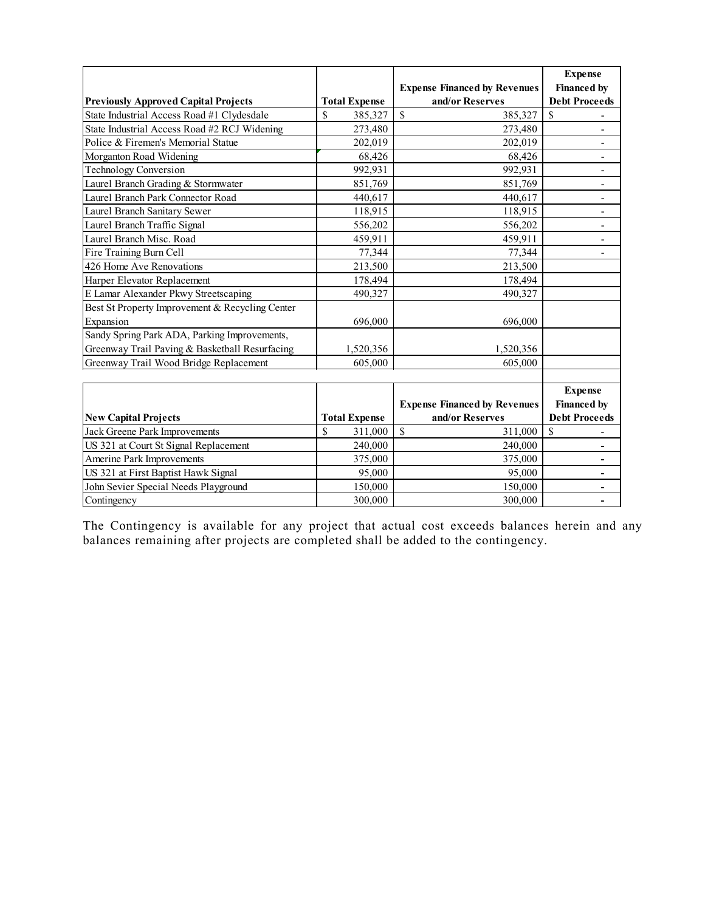|                                                 |                      |                                     | <b>Expense</b>           |
|-------------------------------------------------|----------------------|-------------------------------------|--------------------------|
|                                                 |                      | <b>Expense Financed by Revenues</b> | <b>Financed by</b>       |
| <b>Previously Approved Capital Projects</b>     | <b>Total Expense</b> | and/or Reserves                     | <b>Debt Proceeds</b>     |
| State Industrial Access Road #1 Clydesdale      | \$<br>385,327        | $\mathbb{S}$<br>385,327             | $\mathbb{S}$             |
| State Industrial Access Road #2 RCJ Widening    | 273,480              | 273,480                             |                          |
| Police & Firemen's Memorial Statue              | 202,019              | 202,019                             | $\overline{\phantom{a}}$ |
| Morganton Road Widening                         | 68,426               | 68,426                              | $\overline{\phantom{a}}$ |
| <b>Technology Conversion</b>                    | 992,931              | 992,931                             |                          |
| Laurel Branch Grading & Stormwater              | 851,769              | 851,769                             | $\overline{\phantom{a}}$ |
| Laurel Branch Park Connector Road               | 440,617              | 440,617                             | $\overline{\phantom{a}}$ |
| Laurel Branch Sanitary Sewer                    | 118,915              | 118,915                             |                          |
| Laurel Branch Traffic Signal                    | 556,202              | 556,202                             | $\overline{a}$           |
| Laurel Branch Misc. Road                        | 459,911              | 459,911                             | $\overline{\phantom{a}}$ |
| Fire Training Burn Cell                         | 77,344               | 77,344                              |                          |
| 426 Home Ave Renovations                        | 213,500              | 213,500                             |                          |
| Harper Elevator Replacement                     | 178,494              | 178,494                             |                          |
| E Lamar Alexander Pkwy Streetscaping            | 490,327              | 490,327                             |                          |
| Best St Property Improvement & Recycling Center |                      |                                     |                          |
| Expansion                                       | 696,000              | 696,000                             |                          |
| Sandy Spring Park ADA, Parking Improvements,    |                      |                                     |                          |
| Greenway Trail Paving & Basketball Resurfacing  | 1,520,356            | 1,520,356                           |                          |
| Greenway Trail Wood Bridge Replacement          | 605,000              | 605,000                             |                          |
|                                                 |                      |                                     |                          |
|                                                 |                      |                                     | <b>Expense</b>           |
|                                                 |                      | <b>Expense Financed by Revenues</b> | <b>Financed by</b>       |
| <b>New Capital Projects</b>                     | <b>Total Expense</b> | and/or Reserves                     | <b>Debt Proceeds</b>     |
| Jack Greene Park Improvements                   | \$<br>311,000        | $\mathbb{S}$<br>311,000             | $\mathbb{S}$             |
| US 321 at Court St Signal Replacement           | 240,000              | 240,000                             | -                        |
| Amerine Park Improvements                       | 375,000              | 375,000                             | ٠                        |
| US 321 at First Baptist Hawk Signal             | 95,000               | 95,000                              |                          |
| John Sevier Special Needs Playground            | 150,000              | 150,000                             |                          |
| Contingency                                     | 300,000              | 300,000                             | $\overline{\phantom{0}}$ |

The Contingency is available for any project that actual cost exceeds balances herein and any balances remaining after projects are completed shall be added to the contingency.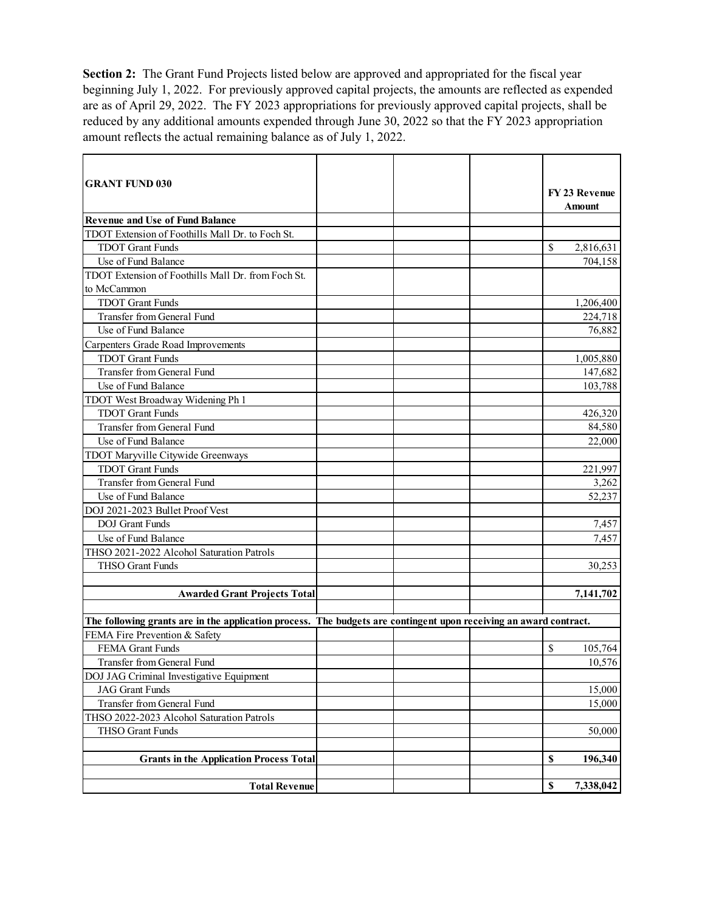**Section 2:** The Grant Fund Projects listed below are approved and appropriated for the fiscal year beginning July 1, 2022. For previously approved capital projects, the amounts are reflected as expended are as of April 29, 2022. The FY 2023 appropriations for previously approved capital projects, shall be reduced by any additional amounts expended through June 30, 2022 so that the FY 2023 appropriation amount reflects the actual remaining balance as of July 1, 2022.

| <b>GRANT FUND 030</b>                                                                                             |  |    | <b>FY 23 Revenue</b> |
|-------------------------------------------------------------------------------------------------------------------|--|----|----------------------|
|                                                                                                                   |  |    | Amount               |
| <b>Revenue and Use of Fund Balance</b>                                                                            |  |    |                      |
| TDOT Extension of Foothills Mall Dr. to Foch St.                                                                  |  |    |                      |
| <b>TDOT</b> Grant Funds                                                                                           |  | \$ | 2,816,631            |
| Use of Fund Balance                                                                                               |  |    | 704,158              |
| TDOT Extension of Foothills Mall Dr. from Foch St.                                                                |  |    |                      |
| to McCammon                                                                                                       |  |    |                      |
| <b>TDOT</b> Grant Funds                                                                                           |  |    | 1,206,400            |
| Transfer from General Fund                                                                                        |  |    | 224,718              |
| Use of Fund Balance                                                                                               |  |    | 76,882               |
| Carpenters Grade Road Improvements                                                                                |  |    |                      |
| <b>TDOT Grant Funds</b>                                                                                           |  |    | 1,005,880            |
| Transfer from General Fund                                                                                        |  |    | 147,682              |
| Use of Fund Balance                                                                                               |  |    | 103,788              |
| TDOT West Broadway Widening Ph 1                                                                                  |  |    |                      |
| <b>TDOT Grant Funds</b>                                                                                           |  |    | 426,320              |
| Transfer from General Fund                                                                                        |  |    | 84,580               |
| Use of Fund Balance                                                                                               |  |    | 22,000               |
| TDOT Maryville Citywide Greenways                                                                                 |  |    |                      |
| <b>TDOT</b> Grant Funds                                                                                           |  |    | 221,997              |
| Transfer from General Fund                                                                                        |  |    | 3,262                |
| Use of Fund Balance                                                                                               |  |    | 52,237               |
| DOJ 2021-2023 Bullet Proof Vest                                                                                   |  |    |                      |
| <b>DOJ</b> Grant Funds                                                                                            |  |    | 7,457                |
| Use of Fund Balance                                                                                               |  |    | 7,457                |
| THSO 2021-2022 Alcohol Saturation Patrols                                                                         |  |    |                      |
| THSO Grant Funds                                                                                                  |  |    | 30,253               |
|                                                                                                                   |  |    |                      |
| <b>Awarded Grant Projects Total</b>                                                                               |  |    | 7,141,702            |
|                                                                                                                   |  |    |                      |
| The following grants are in the application process. The budgets are contingent upon receiving an award contract. |  |    |                      |
| FEMA Fire Prevention & Safety                                                                                     |  |    |                      |
| FEMA Grant Funds                                                                                                  |  | \$ | 105,764              |
| Transfer from General Fund                                                                                        |  |    | 10,576               |
| DOJ JAG Criminal Investigative Equipment                                                                          |  |    |                      |
| <b>JAG</b> Grant Funds                                                                                            |  |    | 15,000               |
| Transfer from General Fund                                                                                        |  |    | 15,000               |
| THSO 2022-2023 Alcohol Saturation Patrols                                                                         |  |    |                      |
| THSO Grant Funds                                                                                                  |  |    | 50,000               |
|                                                                                                                   |  |    |                      |
| <b>Grants in the Application Process Total</b>                                                                    |  | \$ | 196,340              |
|                                                                                                                   |  |    |                      |
| <b>Total Revenue</b>                                                                                              |  | \$ | 7,338,042            |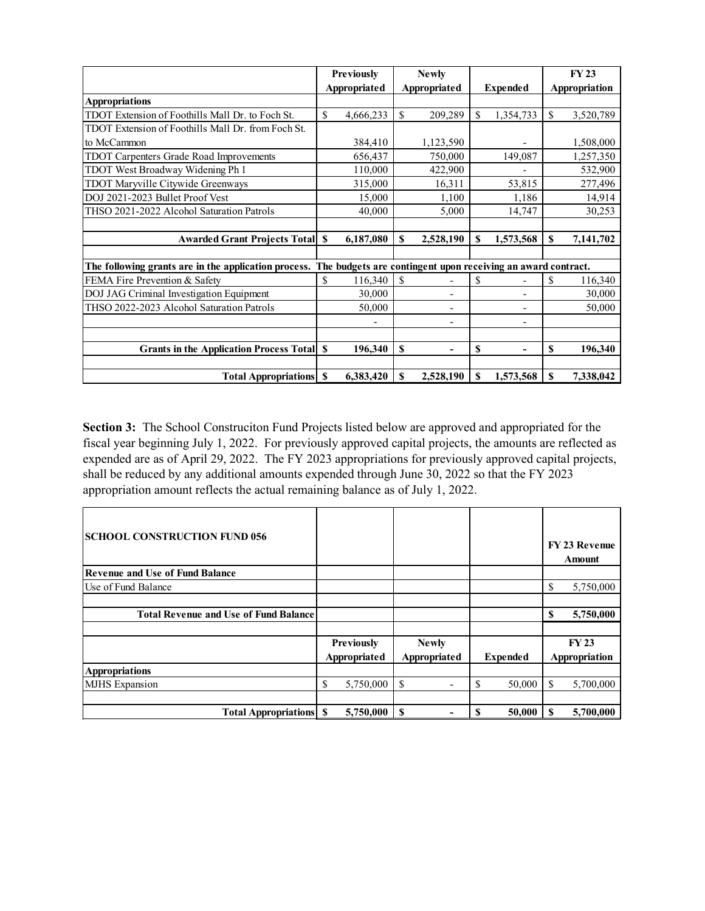|                                                                                                                   | <b>Previously</b> |              | <b>Newly</b>    |     |                 |    | <b>FY 23</b>  |
|-------------------------------------------------------------------------------------------------------------------|-------------------|--------------|-----------------|-----|-----------------|----|---------------|
|                                                                                                                   |                   | Appropriated | Appropriated    |     | <b>Expended</b> |    | Appropriation |
| <b>Appropriations</b>                                                                                             |                   |              |                 |     |                 |    |               |
| TDOT Extension of Foothills Mall Dr. to Foch St.                                                                  | $\mathbb{S}$      | 4,666,233    | \$<br>209,289   | \$. | 1,354,733       | \$ | 3,520,789     |
| TDOT Extension of Foothills Mall Dr. from Foch St.                                                                |                   |              |                 |     |                 |    |               |
| to McCammon                                                                                                       |                   | 384,410      | 1,123,590       |     |                 |    | 1,508,000     |
| TDOT Carpenters Grade Road Improvements                                                                           |                   | 656,437      | 750,000         |     | 149,087         |    | 1,257,350     |
| TDOT West Broadway Widening Ph 1                                                                                  |                   | 110,000      | 422,900         |     |                 |    | 532,900       |
| TDOT Maryville Citywide Greenways                                                                                 |                   | 315,000      | 16,311          |     | 53,815          |    | 277,496       |
| DOJ 2021-2023 Bullet Proof Vest                                                                                   |                   | 15,000       | 1,100           |     | 1,186           |    | 14,914        |
| THSO 2021-2022 Alcohol Saturation Patrols                                                                         |                   | 40,000       | 5,000           |     | 14,747          |    | 30,253        |
|                                                                                                                   |                   |              |                 |     |                 |    |               |
| <b>Awarded Grant Projects Total S</b>                                                                             |                   | 6,187,080    | \$<br>2,528,190 | \$  | 1,573,568       | \$ | 7,141,702     |
|                                                                                                                   |                   |              |                 |     |                 |    |               |
| The following grants are in the application process. The budgets are contingent upon receiving an award contract. |                   |              |                 |     |                 |    |               |
| FEMA Fire Prevention & Safety                                                                                     | \$                | 116,340      | \$              | \$  |                 | \$ | 116,340       |
| DOJ JAG Criminal Investigation Equipment                                                                          |                   | 30,000       |                 |     |                 |    | 30,000        |
| THSO 2022-2023 Alcohol Saturation Patrols                                                                         |                   | 50,000       |                 |     |                 |    | 50,000        |
|                                                                                                                   |                   |              | -               |     |                 |    |               |
|                                                                                                                   |                   |              |                 |     |                 |    |               |
| Grants in the Application Process Total \\$                                                                       |                   | 196,340      | \$              | \$  |                 | S  | 196,340       |
|                                                                                                                   |                   |              |                 |     |                 |    |               |
| <b>Total Appropriations</b> S                                                                                     |                   | 6,383,420    | \$<br>2,528,190 | \$  | 1,573,568       | \$ | 7,338,042     |

**Section 3:** The School Construciton Fund Projects listed below are approved and appropriated for the fiscal year beginning July 1, 2022. For previously approved capital projects, the amounts are reflected as expended are as of April 29, 2022. The FY 2023 appropriations for previously approved capital projects, shall be reduced by any additional amounts expended through June 30, 2022 so that the FY 2023 appropriation amount reflects the actual remaining balance as of July 1, 2022.

| <b>SCHOOL CONSTRUCTION FUND 056</b>          |   |                   |    |              |   |                 |    | <b>FY 23 Revenue</b><br>Amount |
|----------------------------------------------|---|-------------------|----|--------------|---|-----------------|----|--------------------------------|
| <b>Revenue and Use of Fund Balance</b>       |   |                   |    |              |   |                 |    |                                |
| Use of Fund Balance                          |   |                   |    |              |   |                 | \$ | 5,750,000                      |
|                                              |   |                   |    |              |   |                 |    |                                |
| <b>Total Revenue and Use of Fund Balance</b> |   |                   |    |              |   |                 | \$ | 5,750,000                      |
|                                              |   |                   |    |              |   |                 |    |                                |
|                                              |   | <b>Previously</b> |    | <b>Newly</b> |   |                 |    | <b>FY23</b>                    |
|                                              |   | Appropriated      |    | Appropriated |   | <b>Expended</b> |    | Appropriation                  |
| <b>Appropriations</b>                        |   |                   |    |              |   |                 |    |                                |
| <b>MJHS</b> Expansion                        | S | 5,750,000         | \$ |              | S | 50,000          | S  | 5,700,000                      |
|                                              |   |                   |    |              |   |                 |    |                                |
| <b>Total Appropriations</b> S                |   | 5,750,000         | -S |              | S | 50,000          | S  | 5,700,000                      |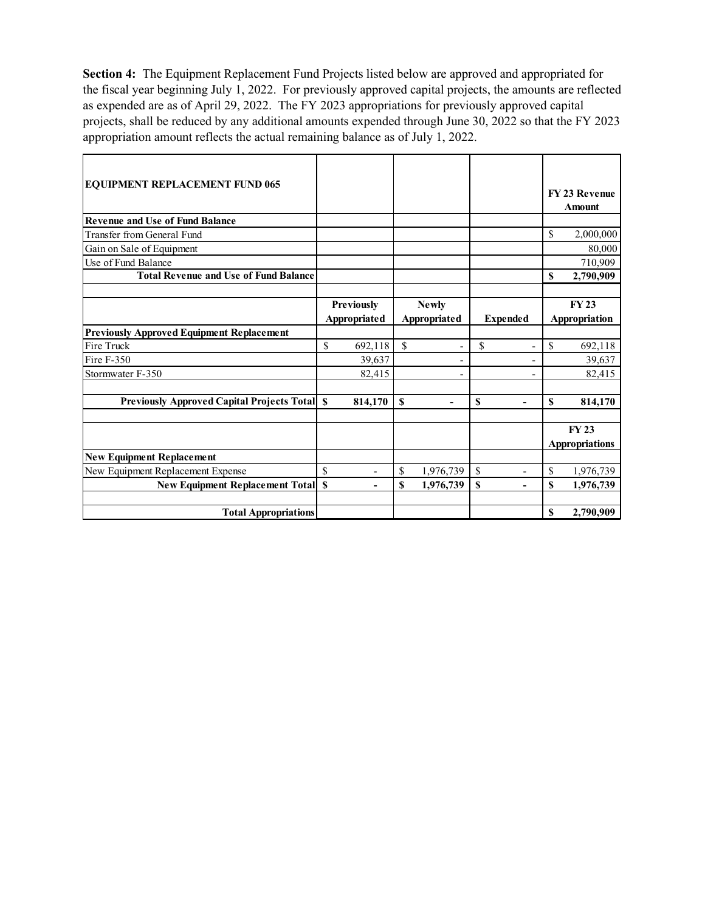**Section 4:** The Equipment Replacement Fund Projects listed below are approved and appropriated for the fiscal year beginning July 1, 2022. For previously approved capital projects, the amounts are reflected as expended are as of April 29, 2022. The FY 2023 appropriations for previously approved capital projects, shall be reduced by any additional amounts expended through June 30, 2022 so that the FY 2023 appropriation amount reflects the actual remaining balance as of July 1, 2022.

| <b>EQUIPMENT REPLACEMENT FUND 065</b>               |               |                          |             |                          |                 |    | FY 23 Revenue<br>Amount |
|-----------------------------------------------------|---------------|--------------------------|-------------|--------------------------|-----------------|----|-------------------------|
| <b>Revenue and Use of Fund Balance</b>              |               |                          |             |                          |                 |    |                         |
| Transfer from General Fund                          |               |                          |             |                          |                 | \$ | 2,000,000               |
| Gain on Sale of Equipment                           |               |                          |             |                          |                 |    | 80,000                  |
| Use of Fund Balance                                 |               |                          |             |                          |                 |    | 710,909                 |
| <b>Total Revenue and Use of Fund Balance</b>        |               |                          |             |                          |                 | S  | 2,790,909               |
|                                                     |               |                          |             |                          |                 |    |                         |
|                                                     |               | <b>Previously</b>        |             | <b>Newly</b>             |                 |    | <b>FY23</b>             |
|                                                     |               | Appropriated             |             | Appropriated             | <b>Expended</b> |    | Appropriation           |
| <b>Previously Approved Equipment Replacement</b>    |               |                          |             |                          |                 |    |                         |
| Fire Truck                                          | $\mathbb{S}$  | 692,118                  | \$          |                          | \$              | \$ | 692,118                 |
| Fire F-350                                          |               | 39,637                   |             | $\overline{\phantom{a}}$ |                 |    | 39.637                  |
| Stormwater F-350                                    |               | 82,415                   |             | $\overline{\phantom{a}}$ |                 |    | 82,415                  |
|                                                     |               |                          |             |                          |                 |    |                         |
| <b>Previously Approved Capital Projects Total S</b> |               | 814,170                  | $\mathbf S$ | ٠                        | \$<br>٠         | S  | 814,170                 |
|                                                     |               |                          |             |                          |                 |    |                         |
|                                                     |               |                          |             |                          |                 |    | <b>FY 23</b>            |
|                                                     |               |                          |             |                          |                 |    | <b>Appropriations</b>   |
| <b>New Equipment Replacement</b>                    |               |                          |             |                          |                 |    |                         |
| New Equipment Replacement Expense                   | <sup>\$</sup> | $\overline{\phantom{a}}$ | \$          | 1,976,739                | \$<br>٠         | \$ | 1,976,739               |
| <b>New Equipment Replacement Total \$</b>           |               | ٠                        | \$          | 1,976,739                | \$              | S  | 1,976,739               |
|                                                     |               |                          |             |                          |                 |    |                         |
| <b>Total Appropriations</b>                         |               |                          |             |                          |                 | \$ | 2,790,909               |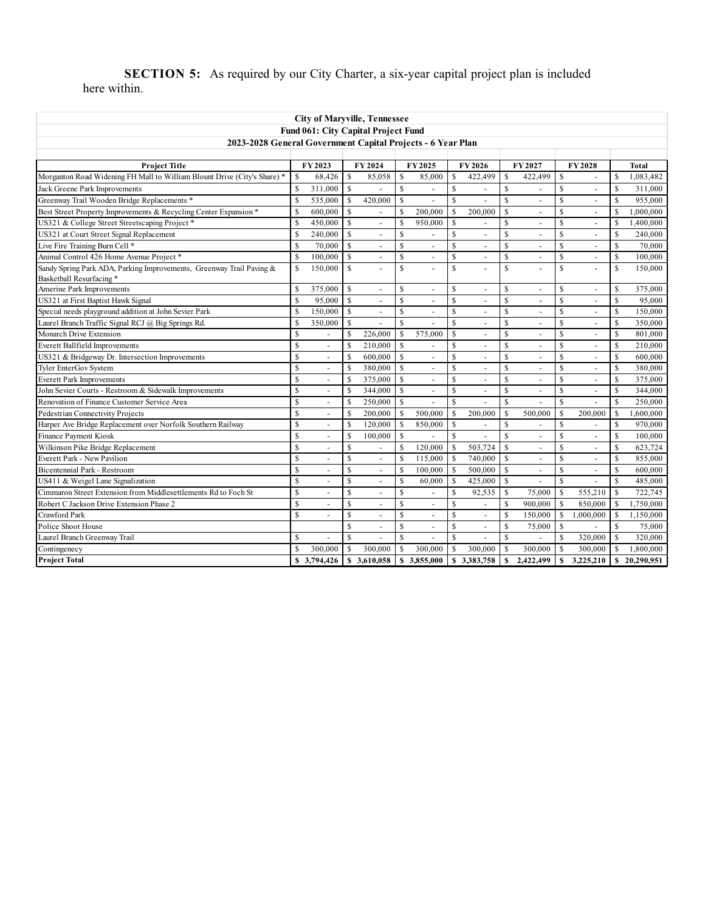**SECTION 5:** As required by our City Charter, a six-year capital project plan is included here within.

| <b>City of Maryville, Tennessee</b>                                                              |              |                          |                    |                                     |                    |                             |                    |                          |               |                |                         |                          |               |            |
|--------------------------------------------------------------------------------------------------|--------------|--------------------------|--------------------|-------------------------------------|--------------------|-----------------------------|--------------------|--------------------------|---------------|----------------|-------------------------|--------------------------|---------------|------------|
|                                                                                                  |              |                          |                    | Fund 061: City Capital Project Fund |                    |                             |                    |                          |               |                |                         |                          |               |            |
| 2023-2028 General Government Capital Projects - 6 Year Plan                                      |              |                          |                    |                                     |                    |                             |                    |                          |               |                |                         |                          |               |            |
|                                                                                                  |              |                          |                    |                                     |                    |                             |                    |                          |               |                |                         |                          |               |            |
| <b>Project Title</b>                                                                             |              | FY 2023                  |                    | FY 2024                             |                    | FY 2025                     |                    | FY 2026                  |               | FY 2027        |                         | FY 2028                  |               | Total      |
| Morganton Road Widening FH Mall to William Blount Drive (City's Share) *                         | S            | 68,426                   | $\mathbf S$        | 85,058                              | $\mathsf{\$}$      | 85,000                      | $\mathbb{S}$       | 422.499                  | S             | 422,499        | \$                      | ÷.                       | $\mathbf S$   | 1,083,482  |
| Jack Greene Park Improvements                                                                    | $\mathbb{S}$ | 311,000                  | $\mathbf S$        |                                     | $\mathsf{\$}$      | ÷                           | $\mathbf S$        | ä,                       | $\mathbf S$   |                | \$                      | ÷                        | $\mathbf S$   | 311,000    |
| Greenway Trail Wooden Bridge Replacements *                                                      | S            | 535,000                  | S                  | 420,000                             | <sup>\$</sup>      | ä,                          | <b>S</b>           | $\overline{a}$           | S             | $\overline{a}$ | \$                      | ÷                        | S             | 955,000    |
| Best Street Property Improvements & Recycling Center Expansion *                                 | \$           | 600,000                  | $\mathbb{S}$       |                                     | <sup>\$</sup>      | 200,000                     | <b>S</b>           | 200,000                  | <b>S</b>      | ÷,             | \$                      | $\sim$                   | <sup>S</sup>  | 1,000,000  |
| US321 & College Street Streetscaping Project *                                                   | \$           | 450,000                  | $\mathbb{S}$       | $\overline{\phantom{a}}$            | $\mathbf S$        | 950,000                     | $\mathbf S$        | $\overline{a}$           | $\mathbf S$   | ä,             | \$                      | $\bar{\phantom{a}}$      | $\mathbf S$   | 1,400,000  |
| US321 at Court Street Signal Replacement                                                         | S            | 240,000                  | \$.                | $\overline{\phantom{a}}$            | <sup>\$</sup>      | ä,                          | $\mathbf S$        | $\overline{\phantom{a}}$ | S             | $\blacksquare$ | S                       | $\overline{\phantom{a}}$ | <b>S</b>      | 240,000    |
| Live Fire Training Burn Cell *                                                                   | \$           | 70,000                   | $\mathbf{\hat{S}}$ | $\sim$                              | $\mathbb{S}$       | $\sim$                      | $\mathbf S$        | $\sim$                   | <b>S</b>      | $\blacksquare$ | <b>S</b>                | $\blacksquare$           | $\mathbf S$   | 70,000     |
| Animal Control 426 Home Avenue Project*                                                          | $\mathbb{S}$ | 100,000                  | $\mathbb{S}$       | $\overline{a}$                      | \$                 | ÷.                          | $\mathbb{S}$       | ÷.                       | $\mathsf{\$}$ | $\overline{a}$ | \$                      | L.                       | $\mathbf S$   | 100,000    |
| Sandy Spring Park ADA, Parking Improvements, Greenway Trail Paving &<br>Basketball Resurfacing * | $\mathbb{S}$ | 150,000                  | $\mathbb{S}$       |                                     | \$                 | L.                          | $\mathbf S$        | $\overline{a}$           | $\mathbf S$   |                | \$                      | $\overline{a}$           | $\mathbf S$   | 150,000    |
| Amerine Park Improvements                                                                        | \$           | 375,000                  | $\mathbb{S}$       | $\overline{a}$                      | \$                 | $\blacksquare$              | \$                 | $\blacksquare$           | \$            | ÷,             | \$                      | $\overline{\phantom{a}}$ | \$            | 375,000    |
| US321 at First Baptist Hawk Signal                                                               | S            | 95,000                   | $\mathbf S$        |                                     | \$                 | $\blacksquare$              | $\mathbf S$        | ä,                       | \$            |                | $\mathbf S$             | $\blacksquare$           | $\mathbf S$   | 95.000     |
| Special needs playground addition at John Sevier Park                                            | $\mathbb{S}$ | 150,000                  | $\mathbf S$        | $\overline{a}$                      | $\mathsf{\$}$      | ÷.                          | $\mathbf S$        | ÷,                       | $\mathbf S$   | L.             | $\mathbf S$             | $\overline{a}$           | $\mathbb{S}$  | 150,000    |
| Laurel Branch Traffic Signal RCJ @ Big Springs Rd.                                               | S            | 350,000                  | S                  |                                     | $\mathbb{S}$       |                             | $\mathbf S$        | ÷.                       | S             | ÷.             | \$                      | ÷                        | $\mathbf S$   | 350,000    |
| Monarch Drive Extension                                                                          | \$           |                          | $\mathbf S$        | 226,000                             | <sup>\$</sup>      | 575,000                     | $\mathbf S$        | $\overline{\phantom{a}}$ | <b>S</b>      | ÷,             | \$                      | $\sim$                   | <b>S</b>      | 801,000    |
| Everett Ballfield Improvements                                                                   | \$           | $\overline{a}$           | $\mathbf S$        | 210,000                             | $\mathbf S$        | L.                          | $\mathbf S$        | $\overline{\phantom{a}}$ | $\mathbf S$   | ä,             | $\overline{\mathbf{S}}$ | $\bar{a}$                | $\mathbf S$   | 210,000    |
| US321 & Bridgeway Dr. Intersection Improvements                                                  | S            | $\sim$                   | S                  | 600,000                             | $\mathbb{S}$       | ÷.                          | $\mathbf S$        | $\overline{\phantom{a}}$ | S             | $\blacksquare$ | S                       | $\overline{\phantom{a}}$ | <b>S</b>      | 600,000    |
| Tyler EnterGov System                                                                            | S            | $\sim$                   | \$                 | 380,000                             | $\mathbf S$        | $\sim$                      | $\mathbf S$        | $\sim$                   | <b>S</b>      | $\blacksquare$ | $\mathbf S$             | $\blacksquare$           | $\mathbf S$   | 380,000    |
| <b>Everett Park Improvements</b>                                                                 | \$           | $\overline{a}$           | $\mathbf S$        | 375,000                             | <sup>\$</sup>      | ÷.                          | $\mathbf S$        | $\overline{a}$           | $\mathbf S$   |                | $\mathbf S$             | $\overline{a}$           | $\mathbf S$   | 375,000    |
| John Sevier Courts - Restroom & Sidewalk Improvements                                            | S            | $\overline{a}$           | \$                 | 344,000                             | <sup>\$</sup>      | ÷                           | $\mathbf S$        | $\overline{a}$           | <b>S</b>      | $\overline{a}$ | $\mathbf S$             | $\overline{a}$           | $\mathbf S$   | 344,000    |
| Renovation of Finance Customer Service Area                                                      | \$           |                          | $\mathbb{S}$       | 250,000                             | $\mathbf S$        |                             | $\mathbf S$        | ä,                       | <b>S</b>      |                | $\mathbf S$             | L,                       | $\mathbf S$   | 250,000    |
| Pedestrian Connectivity Projects                                                                 | S            | $\ddot{\phantom{1}}$     | $\mathbf S$        | 200,000                             | $\mathsf{\$}$      | 500,000                     | <b>S</b>           | 200,000                  | S             | 500,000        | S                       | 200,000                  | $\mathbf S$   | 1,600,000  |
| Harper Ave Bridge Replacement over Norfolk Southern Railway                                      | \$           | $\blacksquare$           | S                  | 120,000                             | $\mathsf{\$}$      | 850,000                     | \$                 | $\overline{\phantom{a}}$ | \$            | ÷,             | \$                      | $\blacksquare$           | $\mathbf S$   | 970,000    |
| Finance Payment Kiosk                                                                            | \$           | $\overline{\phantom{a}}$ | \$                 | 100,000                             | <sup>\$</sup>      |                             | <b>S</b>           | ä,                       | <b>S</b>      | ÷,             | $\mathbf S$             | $\blacksquare$           | $\mathbf S$   | 100,000    |
| Wilkinson Pike Bridge Replacement                                                                | $\mathbb{S}$ |                          | $\mathbb{S}$       |                                     | $\mathbb{S}$       | 120,000                     | <b>S</b>           | 503,724                  | $\mathbf S$   |                | <b>S</b>                | ÷                        | $\mathbf S$   | 623,724    |
| <b>Everett Park - New Pavilion</b>                                                               | $\mathbb{S}$ |                          | $\mathbb{S}$       |                                     | $\mathsf{\$}$      | 115,000                     | \$                 | 740,000                  | $\mathsf{\$}$ |                | \$                      |                          | $\mathbf S$   | 855,000    |
| <b>Bicentennial Park - Restroom</b>                                                              | \$           | $\overline{a}$           | $\mathbb{S}$       | $\ddot{\phantom{1}}$                | $\mathbb{S}$       | 100,000                     | <b>S</b>           | 500,000                  | <b>S</b>      | $\overline{a}$ | <b>S</b>                | ÷.                       | $\mathbf S$   | 600,000    |
| US411 & Weigel Lane Signalization                                                                | \$           |                          | \$                 | ÷.                                  | <sup>\$</sup>      | 60,000                      | <b>S</b>           | 425,000                  | <b>S</b>      |                | $\mathbf{\hat{S}}$      | ÷                        | <b>S</b>      | 485,000    |
| Cimmaron Street Extension from Middlesettlements Rd to Foch St                                   | \$           | ÷,                       | \$                 | $\overline{\phantom{a}}$            | $\mathbb{S}$       | $\mathcal{L}_{\mathcal{A}}$ | <b>S</b>           | 92,535                   | \$            | 75,000         | $\mathsf S$             | 555,210                  | $\mathsf{\$}$ | 722,745    |
| Robert C Jackson Drive Extension Phase 2                                                         | \$           |                          | \$                 | $\sim$                              | <sup>\$</sup>      | ä,                          | $\mathbf S$        | ٠                        | S             | 900,000        | $\mathbf S$             | 850,000                  | <b>S</b>      | 1,750,000  |
| Crawford Park                                                                                    | S            |                          | \$                 | ä,                                  | <sup>\$</sup>      | ÷.                          | $\mathbf S$        | $\blacksquare$           | \$            | 150,000        | \$                      | 1,000,000                | $\mathbf S$   | 1,150,000  |
| Police Shoot House                                                                               |              |                          | S                  |                                     | \$                 | L.                          | $\mathbb{S}$       | $\overline{a}$           | $\mathbb{S}$  | 75,000         | \$                      |                          | \$            | 75,000     |
| Laurel Branch Greenway Trail                                                                     | \$.          |                          | \$                 | $\ddot{\phantom{1}}$                | $\mathbf{\hat{S}}$ | ÷.                          | $\mathbf{\hat{s}}$ | $\ddot{\phantom{1}}$     | S             | $\overline{a}$ | $\mathbf S$             | 320,000                  | <b>S</b>      | 320,000    |
| Contingenecy                                                                                     |              | 300,000                  | $\mathbf{\hat{s}}$ | 300,000                             | $\mathbf{\hat{S}}$ | 300,000                     | \$                 | 300,000                  | S             | 300,000        | $\mathbf{\hat{S}}$      | 300,000                  | <b>S</b>      | 1,800,000  |
| <b>Project Total</b>                                                                             |              | \$3,794,426              |                    | \$3,610,058                         | $\mathbf{s}$       | 3,855,000                   | S                  | 3,383,758                | \$            | 2,422,499      | S                       | 3,225,210                | $\mathbf{s}$  | 20,290,951 |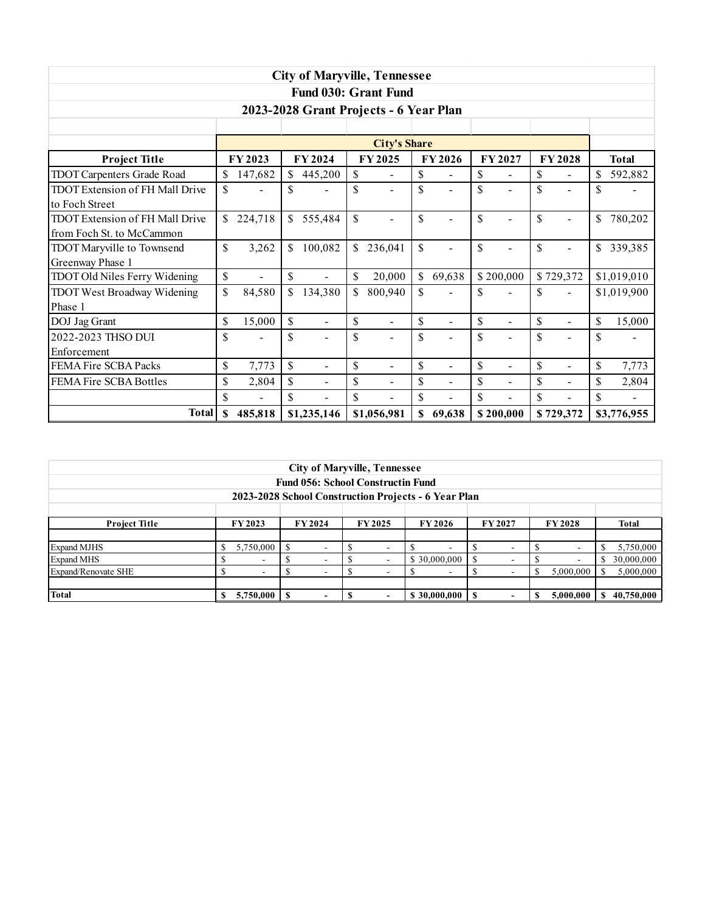| <b>City of Maryville, Tennessee</b>                                                    |               |                          |              |                |              |                                        |    |                          |    |                |    |                          |               |
|----------------------------------------------------------------------------------------|---------------|--------------------------|--------------|----------------|--------------|----------------------------------------|----|--------------------------|----|----------------|----|--------------------------|---------------|
|                                                                                        |               |                          |              |                |              | <b>Fund 030: Grant Fund</b>            |    |                          |    |                |    |                          |               |
|                                                                                        |               |                          |              |                |              | 2023-2028 Grant Projects - 6 Year Plan |    |                          |    |                |    |                          |               |
|                                                                                        |               |                          |              |                |              |                                        |    |                          |    |                |    |                          |               |
| <b>City's Share</b>                                                                    |               |                          |              |                |              |                                        |    |                          |    |                |    |                          |               |
| FY 2024<br>FY 2028<br>FY 2023<br>FY 2025<br>FY 2026<br>FY 2027<br><b>Project Title</b> |               |                          |              |                |              |                                        |    |                          |    |                |    |                          | <b>Total</b>  |
| <b>TDOT Carpenters Grade Road</b>                                                      |               | 147,682                  |              | 445,200        | \$           | $\blacksquare$                         | \$ | $\blacksquare$           | \$ | $\blacksquare$ | \$ | $\blacksquare$           | 592,882       |
| TDOT Extension of FH Mall Drive                                                        | $\mathcal{S}$ | $\overline{\phantom{a}}$ | S            | $\blacksquare$ | \$           |                                        | \$ | $\blacksquare$           | \$ |                | \$ | $\blacksquare$           | \$            |
| to Foch Street                                                                         |               |                          |              |                |              |                                        |    |                          |    |                |    |                          |               |
| <b>TDOT Extension of FH Mall Drive</b>                                                 | $\mathcal{S}$ | 224,718                  | \$           | 555,484        | $\mathbb{S}$ | $\overline{\phantom{0}}$               | \$ | $\overline{\phantom{0}}$ | \$ | $\blacksquare$ | \$ | $\blacksquare$           | \$<br>780,202 |
| from Foch St. to McCammon                                                              |               |                          |              |                |              |                                        |    |                          |    |                |    |                          |               |
| TDOT Maryville to Townsend                                                             | \$            | 3,262                    | \$           | 100,082        | \$           | 236,041                                | \$ | $\blacksquare$           | \$ | $\blacksquare$ | \$ | $\overline{\phantom{a}}$ | \$<br>339,385 |
| Greenway Phase 1                                                                       |               |                          |              |                |              |                                        |    |                          |    |                |    |                          |               |
| <b>TDOT Old Niles Ferry Widening</b>                                                   | $\mathbb{S}$  | $\blacksquare$           | $\mathbb{S}$ | $\blacksquare$ | \$           | 20,000                                 | \$ | 69,638                   |    | \$200,000      |    | \$729,372                | \$1,019,010   |
| <b>TDOT West Broadway Widening</b>                                                     | \$            | 84,580                   | \$           | 134,380        | \$           | 800,940                                | \$ |                          | \$ |                | \$ |                          | \$1,019,900   |
| Phase 1                                                                                |               |                          |              |                |              |                                        |    |                          |    |                |    |                          |               |
| DOJ Jag Grant                                                                          | \$            | 15,000                   | \$           | ÷,             | \$           | L,                                     | \$ | $\overline{a}$           | \$ | $\blacksquare$ | \$ | $\blacksquare$           | \$<br>15,000  |
| 2022-2023 THSO DUI                                                                     | \$            |                          | \$           |                | \$           | $\blacksquare$                         | \$ |                          | \$ |                | \$ |                          | \$            |
| Enforcement                                                                            |               |                          |              |                |              |                                        |    |                          |    |                |    |                          |               |
| FEMA Fire SCBA Packs                                                                   | \$            | 7,773                    | \$           | $\blacksquare$ | \$           | $\blacksquare$                         | \$ | $\blacksquare$           | \$ | $\blacksquare$ | \$ | $\blacksquare$           | \$<br>7,773   |
| FEMA Fire SCBA Bottles                                                                 | \$            | 2,804                    | \$           | $\blacksquare$ | \$           | $\blacksquare$                         | \$ | $\blacksquare$           | \$ | $\blacksquare$ | \$ | $\overline{\phantom{a}}$ | \$<br>2,804   |
|                                                                                        | \$            |                          | \$           |                | \$           |                                        | \$ | L,                       | \$ |                | \$ | $\overline{a}$           | \$            |
| <b>Total</b>                                                                           | \$            | 485,818                  |              | \$1,235,146    |              | \$1,056,981                            | \$ | 69,638                   |    | \$200,000      |    | \$729,372                | \$3,776,955   |

|                                                      |                                                            |                          |  | <b>City of Maryville, Tennessee</b> |  |  |  |                          |               |  |              |           |   |            |
|------------------------------------------------------|------------------------------------------------------------|--------------------------|--|-------------------------------------|--|--|--|--------------------------|---------------|--|--------------|-----------|---|------------|
| <b>Fund 056: School Constructin Fund</b>             |                                                            |                          |  |                                     |  |  |  |                          |               |  |              |           |   |            |
| 2023-2028 School Construction Projects - 6 Year Plan |                                                            |                          |  |                                     |  |  |  |                          |               |  |              |           |   |            |
|                                                      |                                                            |                          |  |                                     |  |  |  |                          |               |  |              |           |   |            |
| <b>Project Title</b>                                 | FY 2023<br>FY 2024<br><b>FY 2026</b><br>FY 2025<br>FY 2027 |                          |  |                                     |  |  |  |                          | <b>FY2028</b> |  | <b>Total</b> |           |   |            |
|                                                      |                                                            |                          |  |                                     |  |  |  |                          |               |  |              |           |   |            |
| <b>Expand MJHS</b>                                   |                                                            | 5,750,000                |  | -                                   |  |  |  | ۰                        |               |  |              |           |   | 5,750,000  |
| <b>Expand MHS</b>                                    |                                                            | $\overline{\phantom{a}}$ |  |                                     |  |  |  | \$30,000,000             | S             |  |              |           |   | 30,000,000 |
| Expand/Renovate SHE                                  |                                                            | $\overline{\phantom{a}}$ |  |                                     |  |  |  | $\overline{\phantom{a}}$ |               |  |              | 5,000,000 |   | 5,000,000  |
|                                                      |                                                            |                          |  |                                     |  |  |  |                          |               |  |              |           |   |            |
| Total                                                |                                                            | 5,750,000                |  | $\overline{\phantom{0}}$            |  |  |  | \$30,000,000             |               |  |              | 5,000,000 | э | 40,750,000 |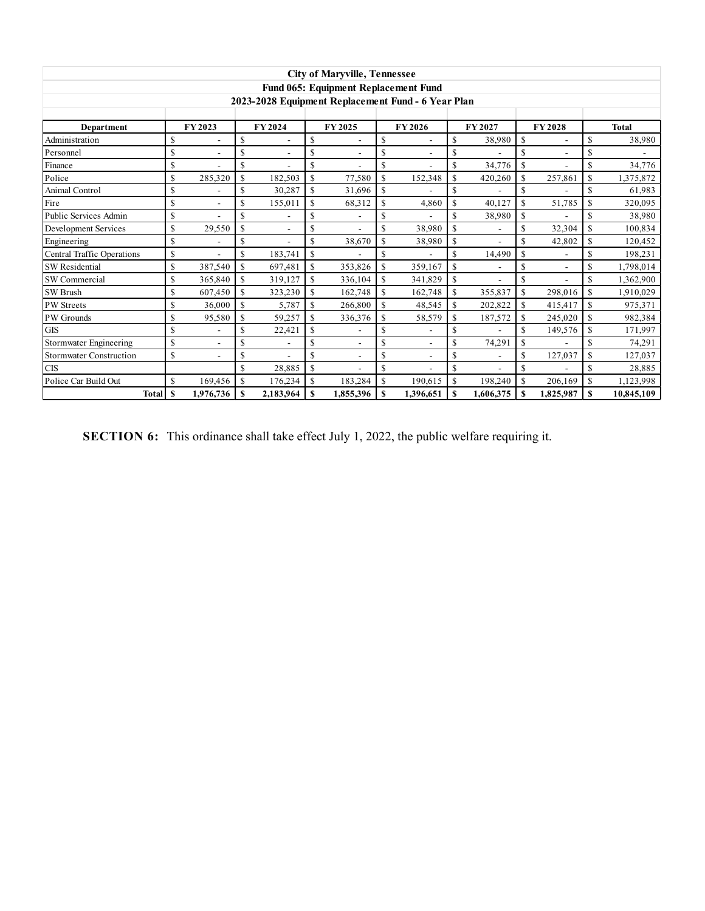| <b>City of Maryville, Tennessee</b> |    |           |               |           |    |                                      |              |                                                    |    |           |                    |               |    |              |
|-------------------------------------|----|-----------|---------------|-----------|----|--------------------------------------|--------------|----------------------------------------------------|----|-----------|--------------------|---------------|----|--------------|
|                                     |    |           |               |           |    | Fund 065: Equipment Replacement Fund |              |                                                    |    |           |                    |               |    |              |
|                                     |    |           |               |           |    |                                      |              | 2023-2028 Equipment Replacement Fund - 6 Year Plan |    |           |                    |               |    |              |
|                                     |    |           |               |           |    |                                      |              |                                                    |    |           |                    |               |    |              |
| Department                          |    | FY 2023   |               | FY 2024   |    | FY 2025                              |              | FY 2026                                            |    | FY 2027   |                    | <b>FY2028</b> |    | <b>Total</b> |
| Administration                      | \$ |           | \$            |           | \$ |                                      | $\mathbf S$  |                                                    | \$ | 38,980    | \$                 |               | S  | 38,980       |
| Personnel                           | \$ |           | \$            |           | \$ |                                      | \$           |                                                    | \$ |           | \$                 |               | \$ |              |
| Finance                             | \$ |           | \$            | $\sim$    | \$ | $\overline{a}$                       | \$           | $\overline{a}$                                     | \$ | 34,776    | \$                 |               | S  | 34,776       |
| Police                              | \$ | 285,320   | \$            | 182,503   | \$ | 77,580                               | $\mathbf S$  | 152,348                                            | \$ | 420,260   | \$                 | 257,861       | \$ | 1,375,872    |
| Animal Control                      | \$ |           | \$            | 30,287    | \$ | 31.696                               | $\mathbf S$  |                                                    | \$ |           | \$                 |               | S  | 61,983       |
| Fire                                | \$ | Ĭ.        | \$            | 155,011   | \$ | 68,312                               | $\mathbf S$  | 4,860                                              | \$ | 40,127    | \$                 | 51,785        | S  | 320,095      |
| Public Services Admin               | \$ |           | \$            |           | \$ |                                      | \$           |                                                    | \$ | 38,980    | \$                 |               | S  | 38,980       |
| Development Services                | \$ | 29,550    | $\mathbf S$   | $\sim$    | \$ | ÷.                                   | \$           | 38,980                                             | \$ |           | \$                 | 32,304        | \$ | 100,834      |
| Engineering                         | \$ |           | \$            |           | \$ | 38,670                               | $\mathbf S$  | 38,980                                             | \$ |           | \$                 | 42,802        | S  | 120,452      |
| <b>Central Traffic Operations</b>   | \$ |           | \$            | 183,741   | \$ |                                      | \$           |                                                    | \$ | 14,490    | \$                 |               | S  | 198,231      |
| <b>SW</b> Residential               | \$ | 387,540   | \$            | 697,481   | \$ | 353,826                              | $\mathbb{S}$ | 359,167                                            | \$ |           | $\mathbf{\hat{S}}$ |               | S  | 1.798.014    |
| SW Commercial                       | \$ | 365,840   | \$            | 319,127   | \$ | 336,104                              | \$           | 341,829                                            | \$ |           | \$                 |               | \$ | 1,362,900    |
| <b>SW Brush</b>                     | \$ | 607,450   | <sup>\$</sup> | 323,230   | \$ | 162,748                              | $\mathbf S$  | 162,748                                            | \$ | 355,837   | \$                 | 298,016       | \$ | 1,910,029    |
| PW Streets                          | \$ | 36,000    | <sup>\$</sup> | 5,787     | \$ | 266,800                              | $\mathbf S$  | 48,545                                             | \$ | 202,822   | \$                 | 415,417       | S  | 975,371      |
| PW Grounds                          | \$ | 95,580    | \$            | 59,257    | \$ | 336,376                              | $\mathbf S$  | 58,579                                             | \$ | 187,572   | \$                 | 245,020       | \$ | 982,384      |
| <b>GIS</b>                          | \$ |           | \$            | 22,421    | \$ |                                      | \$           |                                                    | \$ |           | \$                 | 149,576       | S  | 171,997      |
| <b>Stormwater Engineering</b>       | \$ |           | \$            |           | \$ |                                      | \$           |                                                    | \$ | 74,291    | \$                 |               | S  | 74,291       |
| <b>Stormwater Construction</b>      | \$ |           | \$            |           | \$ |                                      | \$           |                                                    | \$ |           | \$                 | 127,037       | \$ | 127,037      |
| <b>CIS</b>                          |    |           | \$            | 28,885    | \$ |                                      | \$           |                                                    | \$ |           | \$                 |               | S  | 28,885       |
| Police Car Build Out                | \$ | 169,456   | \$            | 176,234   | \$ | 183,284                              | $\mathbf S$  | 190,615                                            | \$ | 198,240   | \$                 | 206,169       | \$ | 1,123,998    |
| <b>Total</b>                        | S  | 1,976,736 | S             | 2,183,964 | S  | 1,855,396                            | S            | 1,396,651                                          | S  | 1,606,375 | \$                 | 1,825,987     | S  | 10,845,109   |

**SECTION 6:** This ordinance shall take effect July 1, 2022, the public welfare requiring it.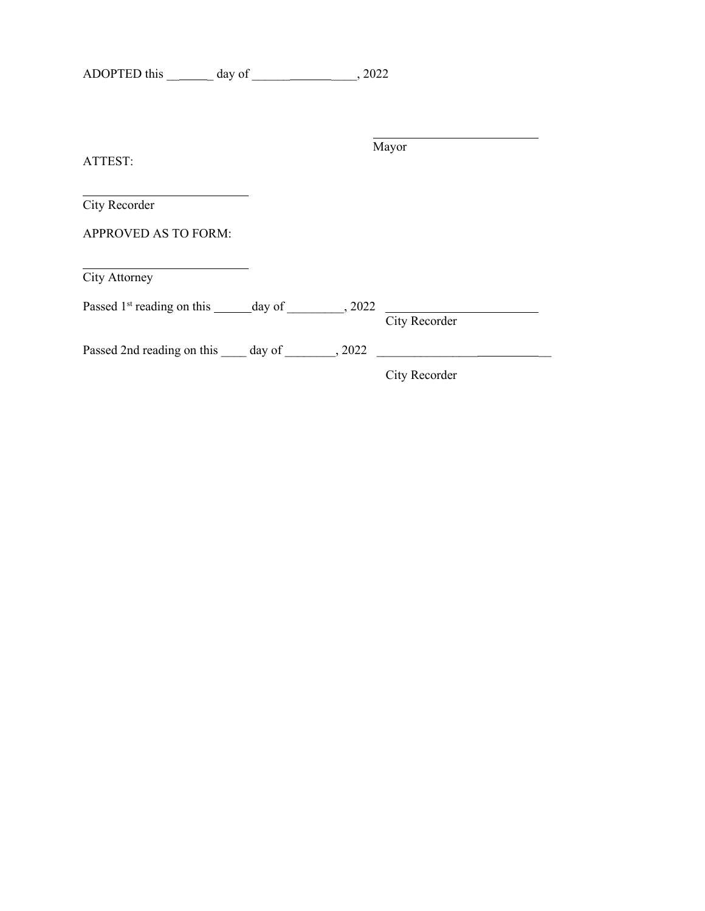| <b>ADOPTED</b> this | day of |  |
|---------------------|--------|--|
|---------------------|--------|--|

| ATTEST:                                                            |  | Mayor         |  |
|--------------------------------------------------------------------|--|---------------|--|
| City Recorder                                                      |  |               |  |
| <b>APPROVED AS TO FORM:</b>                                        |  |               |  |
| <b>City Attorney</b>                                               |  |               |  |
| Passed $1st$ reading on this _______ day of $\qquad \qquad , 2022$ |  | City Recorder |  |
| Passed 2nd reading on this day of 2022                             |  |               |  |
|                                                                    |  | City Recorder |  |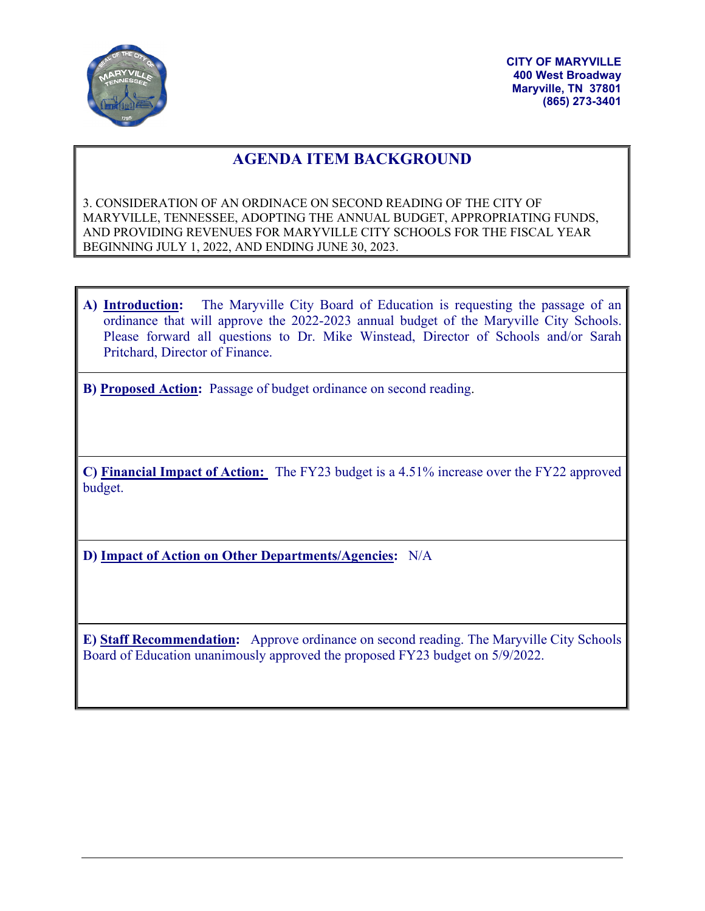

**CITY OF MARYVILLE 400 West Broadway Maryville, TN 37801 (865) 273-3401**

# **AGENDA ITEM BACKGROUND**

3. CONSIDERATION OF AN ORDINACE ON SECOND READING OF THE CITY OF MARYVILLE, TENNESSEE, ADOPTING THE ANNUAL BUDGET, APPROPRIATING FUNDS, AND PROVIDING REVENUES FOR MARYVILLE CITY SCHOOLS FOR THE FISCAL YEAR BEGINNING JULY 1, 2022, AND ENDING JUNE 30, 2023.

**A) Introduction:** The Maryville City Board of Education is requesting the passage of an ordinance that will approve the 2022-2023 annual budget of the Maryville City Schools. Please forward all questions to Dr. Mike Winstead, Director of Schools and/or Sarah Pritchard, Director of Finance.

**B) Proposed Action:** Passage of budget ordinance on second reading.

**C) Financial Impact of Action:** The FY23 budget is a 4.51% increase over the FY22 approved budget.

**D) Impact of Action on Other Departments/Agencies:** N/A

**E) Staff Recommendation:** Approve ordinance on second reading. The Maryville City Schools Board of Education unanimously approved the proposed FY23 budget on 5/9/2022.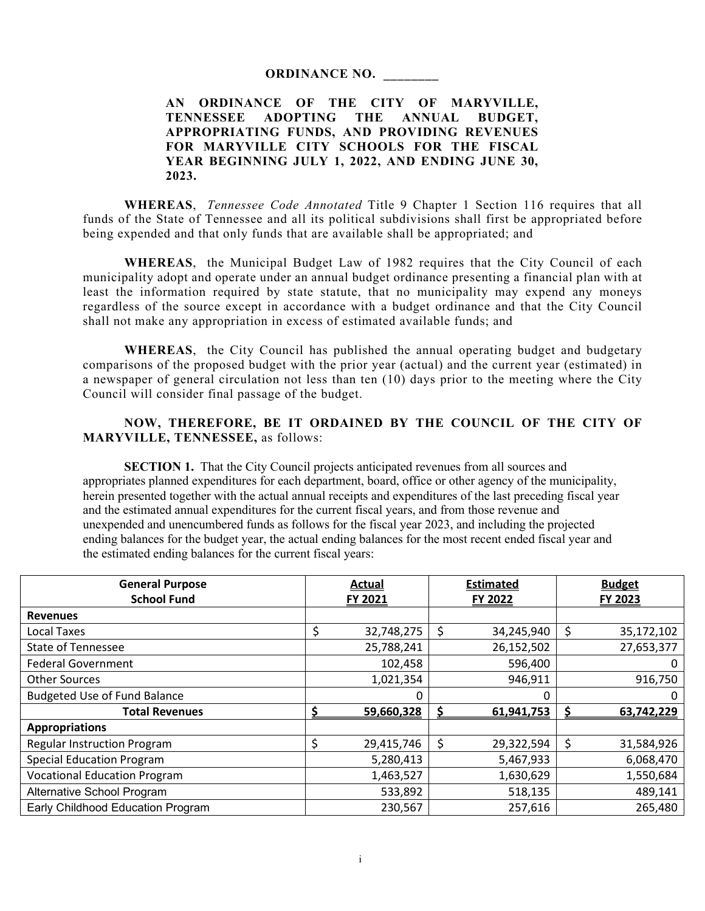#### **ORDINANCE NO. \_\_\_\_\_\_\_\_**

# **AN ORDINANCE OF THE CITY OF MARYVILLE, TENNESSEE ADOPTING THE ANNUAL BUDGET, APPROPRIATING FUNDS, AND PROVIDING REVENUES FOR MARYVILLE CITY SCHOOLS FOR THE FISCAL YEAR BEGINNING JULY 1, 2022, AND ENDING JUNE 30, 2023.**

**WHEREAS**, *Tennessee Code Annotated* Title 9 Chapter 1 Section 116 requires that all funds of the State of Tennessee and all its political subdivisions shall first be appropriated before being expended and that only funds that are available shall be appropriated; and

**WHEREAS**, the Municipal Budget Law of 1982 requires that the City Council of each municipality adopt and operate under an annual budget ordinance presenting a financial plan with at least the information required by state statute, that no municipality may expend any moneys regardless of the source except in accordance with a budget ordinance and that the City Council shall not make any appropriation in excess of estimated available funds; and

**WHEREAS**, the City Council has published the annual operating budget and budgetary comparisons of the proposed budget with the prior year (actual) and the current year (estimated) in a newspaper of general circulation not less than ten (10) days prior to the meeting where the City Council will consider final passage of the budget.

# **NOW, THEREFORE, BE IT ORDAINED BY THE COUNCIL OF THE CITY OF MARYVILLE, TENNESSEE,** as follows:

**SECTION 1.** That the City Council projects anticipated revenues from all sources and appropriates planned expenditures for each department, board, office or other agency of the municipality, herein presented together with the actual annual receipts and expenditures of the last preceding fiscal year and the estimated annual expenditures for the current fiscal years, and from those revenue and unexpended and unencumbered funds as follows for the fiscal year 2023, and including the projected ending balances for the budget year, the actual ending balances for the most recent ended fiscal year and the estimated ending balances for the current fiscal years:

| <b>General Purpose</b>              | Actual  |            | <b>Estimated</b> |            | <b>Budget</b> |            |
|-------------------------------------|---------|------------|------------------|------------|---------------|------------|
| <b>School Fund</b>                  | FY 2021 |            |                  | FY 2022    |               | FY 2023    |
| <b>Revenues</b>                     |         |            |                  |            |               |            |
| Local Taxes                         | \$      | 32,748,275 | \$               | 34,245,940 | \$            | 35,172,102 |
| <b>State of Tennessee</b>           |         | 25,788,241 |                  | 26,152,502 |               | 27,653,377 |
| <b>Federal Government</b>           |         | 102,458    |                  | 596,400    |               | 0          |
| <b>Other Sources</b>                |         | 1,021,354  |                  | 946,911    |               | 916,750    |
| <b>Budgeted Use of Fund Balance</b> |         |            |                  | 0          |               | 0          |
| <b>Total Revenues</b>               |         | 59,660,328 |                  | 61,941,753 |               | 63,742,229 |
| <b>Appropriations</b>               |         |            |                  |            |               |            |
| <b>Regular Instruction Program</b>  |         | 29,415,746 | \$               | 29,322,594 | \$            | 31,584,926 |
| <b>Special Education Program</b>    |         | 5,280,413  |                  | 5,467,933  |               | 6,068,470  |
| <b>Vocational Education Program</b> |         | 1,463,527  |                  | 1,630,629  |               | 1,550,684  |
| Alternative School Program          |         | 533,892    |                  | 518,135    |               | 489,141    |
| Early Childhood Education Program   |         | 230,567    |                  | 257,616    |               | 265,480    |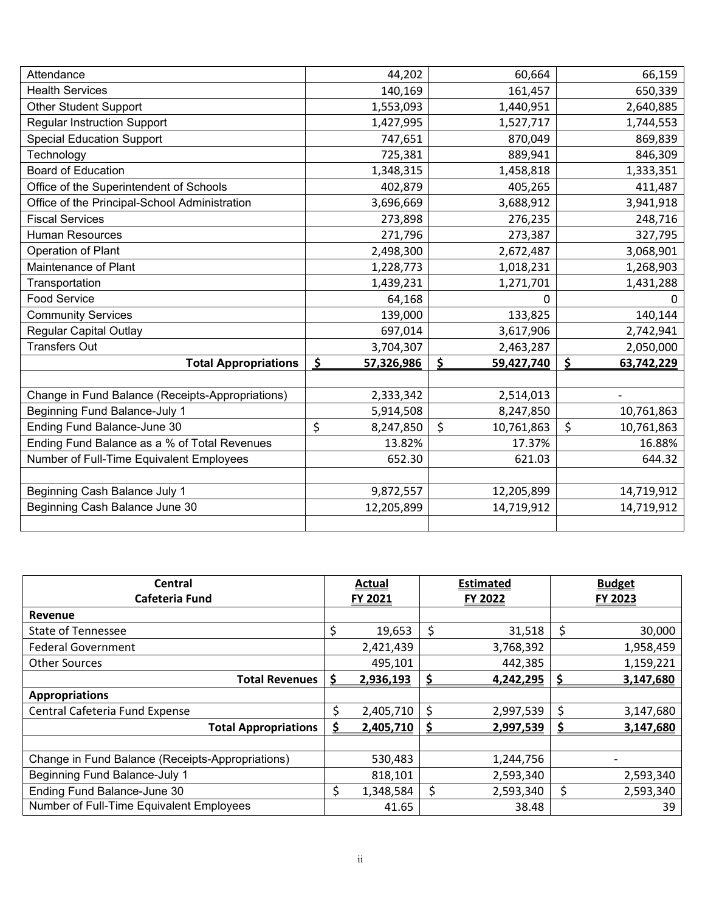| Attendance                                       | 44,202                  | 60,664           | 66,159           |
|--------------------------------------------------|-------------------------|------------------|------------------|
| <b>Health Services</b>                           | 140,169                 | 161,457          | 650,339          |
| <b>Other Student Support</b>                     | 1,553,093               | 1,440,951        | 2,640,885        |
| <b>Regular Instruction Support</b>               | 1,427,995               | 1,527,717        | 1,744,553        |
| <b>Special Education Support</b>                 | 747,651                 | 870,049          | 869,839          |
| Technology                                       | 725,381                 | 889,941          | 846,309          |
| <b>Board of Education</b>                        | 1,348,315               | 1,458,818        | 1,333,351        |
| Office of the Superintendent of Schools          | 402,879                 | 405,265          | 411,487          |
| Office of the Principal-School Administration    | 3,696,669               | 3,688,912        | 3,941,918        |
| <b>Fiscal Services</b>                           | 273,898                 | 276,235          | 248,716          |
| <b>Human Resources</b>                           | 271,796                 | 273,387          | 327,795          |
| Operation of Plant                               | 2,498,300               | 2,672,487        | 3,068,901        |
| Maintenance of Plant                             | 1,228,773               | 1,018,231        | 1,268,903        |
| Transportation                                   | 1,439,231               | 1,271,701        | 1,431,288        |
| <b>Food Service</b>                              | 64,168                  | 0                | 0                |
| <b>Community Services</b>                        | 139,000                 | 133,825          | 140,144          |
| <b>Regular Capital Outlay</b>                    | 697,014                 | 3,617,906        | 2,742,941        |
| <b>Transfers Out</b>                             | 3,704,307               | 2,463,287        | 2,050,000        |
| <b>Total Appropriations</b>                      | <u>\$</u><br>57,326,986 | \$<br>59,427,740 | \$<br>63,742,229 |
|                                                  |                         |                  |                  |
| Change in Fund Balance (Receipts-Appropriations) | 2,333,342               | 2,514,013        |                  |
| <b>Beginning Fund Balance-July 1</b>             | 5,914,508               | 8,247,850        | 10,761,863       |
| Ending Fund Balance-June 30                      | \$<br>8,247,850         | \$<br>10,761,863 | \$<br>10,761,863 |
| Ending Fund Balance as a % of Total Revenues     | 13.82%                  | 17.37%           | 16.88%           |
| Number of Full-Time Equivalent Employees         | 652.30                  | 621.03           | 644.32           |
|                                                  |                         |                  |                  |
| Beginning Cash Balance July 1                    | 9,872,557               | 12,205,899       | 14,719,912       |
| Beginning Cash Balance June 30                   | 12,205,899              | 14,719,912       | 14,719,912       |
|                                                  |                         |                  |                  |

| Central                                          |    | <b>Actual</b> |         | <b>Estimated</b> |    | <b>Budget</b> |  |
|--------------------------------------------------|----|---------------|---------|------------------|----|---------------|--|
| Cafeteria Fund                                   |    | FY 2021       | FY 2022 |                  |    | FY 2023       |  |
| Revenue                                          |    |               |         |                  |    |               |  |
| <b>State of Tennessee</b>                        | Ś. | 19,653        | \$      | 31,518           | \$ | 30,000        |  |
| <b>Federal Government</b>                        |    | 2,421,439     |         | 3,768,392        |    | 1,958,459     |  |
| <b>Other Sources</b>                             |    | 495,101       |         | 442,385          |    | 1,159,221     |  |
| <b>Total Revenues</b>                            |    | 2,936,193     | S       | 4,242,295        |    | 3,147,680     |  |
| <b>Appropriations</b>                            |    |               |         |                  |    |               |  |
| Central Cafeteria Fund Expense                   | Ŝ  | 2,405,710     | \$      | 2,997,539        | \$ | 3,147,680     |  |
| <b>Total Appropriations</b>                      | S  | 2,405,710     |         | 2,997,539        |    | 3,147,680     |  |
|                                                  |    |               |         |                  |    |               |  |
| Change in Fund Balance (Receipts-Appropriations) |    | 530,483       |         | 1,244,756        |    |               |  |
| <b>Beginning Fund Balance-July 1</b>             |    | 818,101       |         | 2,593,340        |    | 2,593,340     |  |
| Ending Fund Balance-June 30                      | Ś  | 1,348,584     | \$      | 2,593,340        | \$ | 2,593,340     |  |
| Number of Full-Time Equivalent Employees         |    | 41.65         |         | 38.48            |    | 39            |  |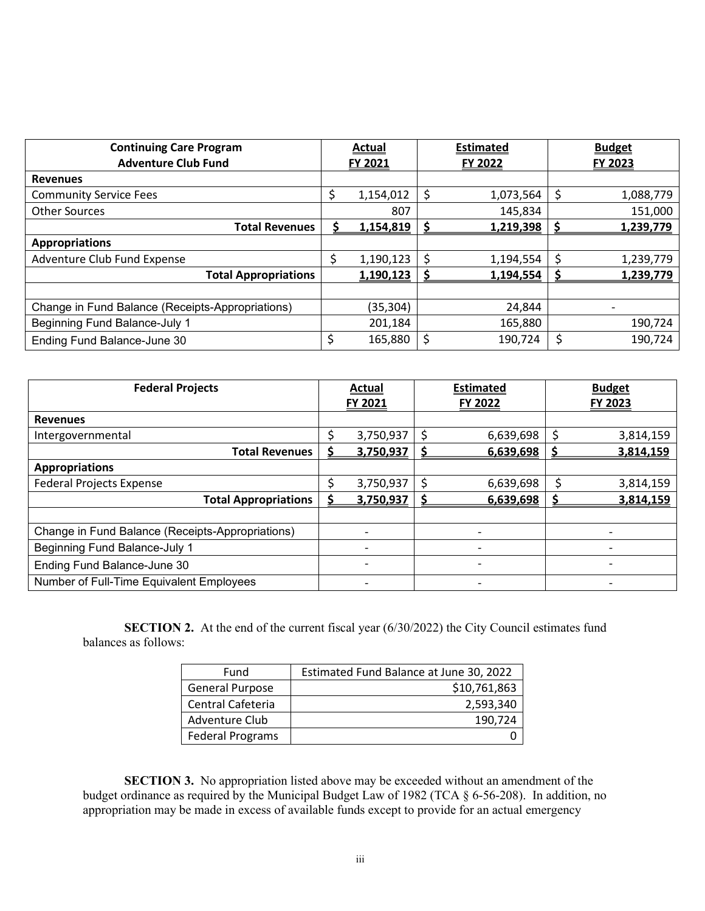| <b>Continuing Care Program</b>                   |         | <b>Actual</b> |    | <b>Estimated</b> |  | <b>Budget</b> |  |
|--------------------------------------------------|---------|---------------|----|------------------|--|---------------|--|
| <b>Adventure Club Fund</b>                       | FY 2021 |               |    | FY 2022          |  | FY 2023       |  |
| <b>Revenues</b>                                  |         |               |    |                  |  |               |  |
| <b>Community Service Fees</b>                    |         | 1,154,012     | \$ | 1,073,564        |  | 1,088,779     |  |
| <b>Other Sources</b>                             |         | 807           |    | 145,834          |  | 151,000       |  |
| <b>Total Revenues</b>                            |         | 1,154,819     |    | 1,219,398        |  | 1,239,779     |  |
| <b>Appropriations</b>                            |         |               |    |                  |  |               |  |
| Adventure Club Fund Expense                      |         | 1,190,123     | \$ | 1,194,554        |  | 1,239,779     |  |
| <b>Total Appropriations</b>                      |         | 1,190,123     |    | 1,194,554        |  | 1,239,779     |  |
|                                                  |         |               |    |                  |  |               |  |
| Change in Fund Balance (Receipts-Appropriations) |         | (35, 304)     |    | 24,844           |  |               |  |
| <b>Beginning Fund Balance-July 1</b>             |         | 201,184       |    | 165,880          |  | 190,724       |  |
| Ending Fund Balance-June 30                      | \$      | 165,880       | Ś  | 190,724          |  | 190,724       |  |

| <b>Federal Projects</b>                          |                | <b>Actual</b> |                          | <b>Estimated</b> |  | <b>Budget</b>  |  |
|--------------------------------------------------|----------------|---------------|--------------------------|------------------|--|----------------|--|
|                                                  | <b>FY 2021</b> |               | <b>FY 2022</b>           |                  |  | <b>FY 2023</b> |  |
| <b>Revenues</b>                                  |                |               |                          |                  |  |                |  |
| Intergovernmental                                |                | 3,750,937     | Ś                        | 6,639,698        |  | 3,814,159      |  |
| <b>Total Revenues</b>                            |                | 3,750,937     |                          | 6,639,698        |  | 3,814,159      |  |
| <b>Appropriations</b>                            |                |               |                          |                  |  |                |  |
| <b>Federal Projects Expense</b>                  |                | 3,750,937     | \$.                      | 6,639,698        |  | 3,814,159      |  |
| <b>Total Appropriations</b>                      |                | 3,750,937     |                          | 6,639,698        |  | 3,814,159      |  |
|                                                  |                |               |                          |                  |  |                |  |
| Change in Fund Balance (Receipts-Appropriations) |                |               |                          |                  |  |                |  |
| Beginning Fund Balance-July 1                    |                |               | $\overline{\phantom{a}}$ |                  |  |                |  |
| Ending Fund Balance-June 30                      |                |               |                          |                  |  |                |  |
| Number of Full-Time Equivalent Employees         |                |               |                          |                  |  |                |  |

**SECTION 2.** At the end of the current fiscal year (6/30/2022) the City Council estimates fund balances as follows:

| Fund                    | Estimated Fund Balance at June 30, 2022 |
|-------------------------|-----------------------------------------|
| General Purpose         | \$10,761,863                            |
| Central Cafeteria       | 2,593,340                               |
| Adventure Club          | 190.724                                 |
| <b>Federal Programs</b> |                                         |

**SECTION 3.** No appropriation listed above may be exceeded without an amendment of the budget ordinance as required by the Municipal Budget Law of 1982 (TCA § 6-56-208). In addition, no appropriation may be made in excess of available funds except to provide for an actual emergency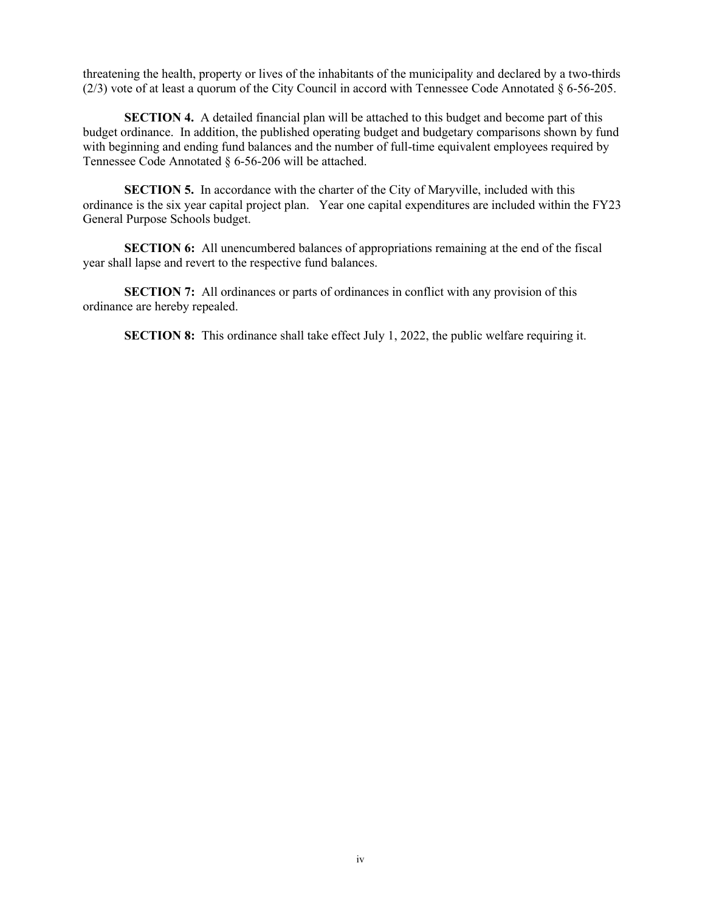threatening the health, property or lives of the inhabitants of the municipality and declared by a two-thirds (2/3) vote of at least a quorum of the City Council in accord with Tennessee Code Annotated § 6-56-205.

**SECTION 4.** A detailed financial plan will be attached to this budget and become part of this budget ordinance. In addition, the published operating budget and budgetary comparisons shown by fund with beginning and ending fund balances and the number of full-time equivalent employees required by Tennessee Code Annotated § 6-56-206 will be attached.

**SECTION 5.** In accordance with the charter of the City of Maryville, included with this ordinance is the six year capital project plan. Year one capital expenditures are included within the FY23 General Purpose Schools budget.

**SECTION 6:** All unencumbered balances of appropriations remaining at the end of the fiscal year shall lapse and revert to the respective fund balances.

**SECTION 7:** All ordinances or parts of ordinances in conflict with any provision of this ordinance are hereby repealed.

**SECTION 8:** This ordinance shall take effect July 1, 2022, the public welfare requiring it.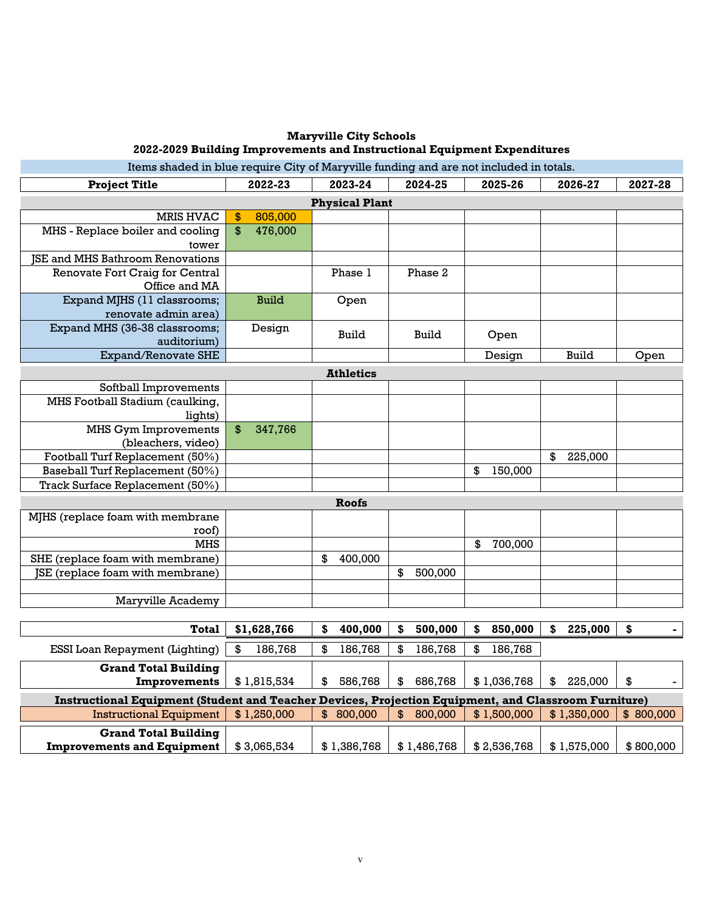# **Maryville City Schools 2022-2029 Building Improvements and Instructional Equipment Expenditures**

Items shaded in blue require City of Maryville funding and are not included in totals.

| <b>Project Title</b>                                                                                 | 2022-23                      | 2023-24          | 2024-25                  | 2025-26       | 2026-27       | 2027-28   |  |  |  |  |
|------------------------------------------------------------------------------------------------------|------------------------------|------------------|--------------------------|---------------|---------------|-----------|--|--|--|--|
| <b>Physical Plant</b>                                                                                |                              |                  |                          |               |               |           |  |  |  |  |
| <b>MRIS HVAC</b>                                                                                     | 805,000<br>$\boldsymbol{\$}$ |                  |                          |               |               |           |  |  |  |  |
| MHS - Replace boiler and cooling<br>tower                                                            | \$<br>476,000                |                  |                          |               |               |           |  |  |  |  |
| <b>JSE and MHS Bathroom Renovations</b>                                                              |                              |                  |                          |               |               |           |  |  |  |  |
| Renovate Fort Craig for Central                                                                      |                              | Phase 1          | Phase 2                  |               |               |           |  |  |  |  |
| Office and MA                                                                                        |                              |                  |                          |               |               |           |  |  |  |  |
| Expand MJHS (11 classrooms;                                                                          | <b>Build</b>                 | Open             |                          |               |               |           |  |  |  |  |
| renovate admin area)                                                                                 |                              |                  |                          |               |               |           |  |  |  |  |
| Expand MHS (36-38 classrooms;                                                                        | Design                       | Build            | Build                    | Open          |               |           |  |  |  |  |
| auditorium)                                                                                          |                              |                  |                          |               |               |           |  |  |  |  |
| <b>Expand/Renovate SHE</b>                                                                           |                              |                  |                          | Design        | <b>Build</b>  | Open      |  |  |  |  |
|                                                                                                      |                              | <b>Athletics</b> |                          |               |               |           |  |  |  |  |
| Softball Improvements                                                                                |                              |                  |                          |               |               |           |  |  |  |  |
| MHS Football Stadium (caulking,                                                                      |                              |                  |                          |               |               |           |  |  |  |  |
| lights)                                                                                              |                              |                  |                          |               |               |           |  |  |  |  |
| <b>MHS Gym Improvements</b>                                                                          | $\$\$<br>347,766             |                  |                          |               |               |           |  |  |  |  |
| (bleachers, video)                                                                                   |                              |                  |                          |               |               |           |  |  |  |  |
| Football Turf Replacement (50%)                                                                      |                              |                  |                          |               | \$<br>225,000 |           |  |  |  |  |
| Baseball Turf Replacement (50%)                                                                      |                              |                  |                          | \$<br>150,000 |               |           |  |  |  |  |
| Track Surface Replacement (50%)                                                                      |                              |                  |                          |               |               |           |  |  |  |  |
|                                                                                                      |                              | <b>Roofs</b>     |                          |               |               |           |  |  |  |  |
| MJHS (replace foam with membrane                                                                     |                              |                  |                          |               |               |           |  |  |  |  |
| roof)                                                                                                |                              |                  |                          |               |               |           |  |  |  |  |
| <b>MHS</b>                                                                                           |                              |                  |                          | 700,000<br>\$ |               |           |  |  |  |  |
| SHE (replace foam with membrane)                                                                     |                              | \$<br>400,000    |                          |               |               |           |  |  |  |  |
| JSE (replace foam with membrane)                                                                     |                              |                  | \$<br>500,000            |               |               |           |  |  |  |  |
|                                                                                                      |                              |                  |                          |               |               |           |  |  |  |  |
| Maryville Academy                                                                                    |                              |                  |                          |               |               |           |  |  |  |  |
|                                                                                                      |                              |                  |                          |               |               |           |  |  |  |  |
| <b>Total</b>                                                                                         | \$1,628,766                  | \$<br>400,000    | \$<br>500,000            | \$<br>850,000 | \$<br>225,000 | \$        |  |  |  |  |
| ESSI Loan Repayment (Lighting)                                                                       | \$<br>186,768                | \$<br>186,768    | 186,768<br>\$            | \$<br>186,768 |               |           |  |  |  |  |
| <b>Grand Total Building</b>                                                                          |                              |                  |                          |               |               |           |  |  |  |  |
| <b>Improvements</b>                                                                                  | \$1,815,534                  | \$<br>586,768    | 686,768<br>\$            | \$1,036,768   | 225,000<br>\$ | \$        |  |  |  |  |
| Instructional Equipment (Student and Teacher Devices, Projection Equipment, and Classroom Furniture) |                              |                  |                          |               |               |           |  |  |  |  |
| <b>Instructional Equipment</b>                                                                       | \$1,250,000                  | \$800,000        | 800,000<br>$\mathbf{\$}$ | \$1,500,000   | \$1,350,000   | \$800,000 |  |  |  |  |
| <b>Grand Total Building</b>                                                                          |                              |                  |                          |               |               |           |  |  |  |  |
| <b>Improvements and Equipment</b>                                                                    | \$3,065,534                  | \$1,386,768      | \$1,486,768              | \$2,536,768   | \$1,575,000   | \$800,000 |  |  |  |  |